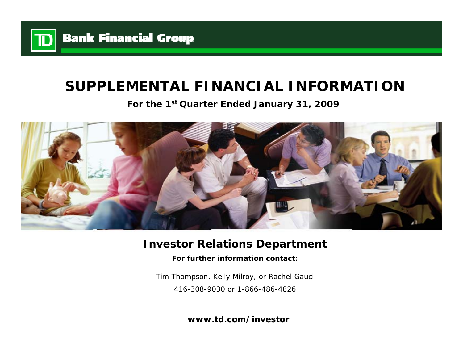

# **SUPPLEMENTAL FINANCIAL INFORMATION**

**For the 1st Quarter Ended January 31, 2009**



# **Investor Relations Department**

**For further information contact:**

Tim Thompson, Kelly Milroy, or Rachel Gauci 416-308-9030 or 1-866-486-4826

**www.td.com/investor**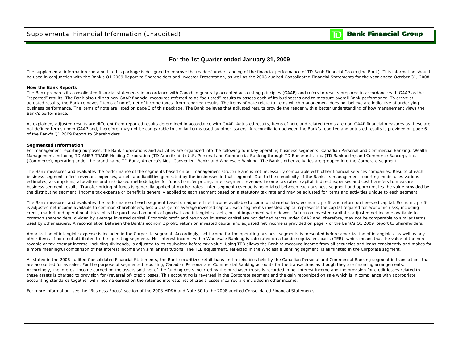## **Bank Financial Group**

m

### **For the 1st Quarter ended January 31, 2009**

The supplemental information contained in this package is designed to improve the readers' understanding of the financial performance of TD Bank Financial Group (the Bank). This information should be used in conjunction with the Bank's Q1 2009 Report to Shareholders and Investor Presentation, as well as the 2008 audited Consolidated Financial Statements for the year ended October 31, 2008.

#### **How the Bank Reports**

The Bank prepares its consolidated financial statements in accordance with Canadian generally accepted accounting principles (GAAP) and refers to results prepared in accordance with GAAP as the "reported" results. The Bank also utilizes non-GAAP financial measures referred to as "adjusted" results to assess each of its businesses and to measure overall Bank performance. To arrive at adjusted results, the Bank removes "items of note", net of income taxes, from reported results. The items of note relate to items which management does not believe are indicative of underlying business performance. The items of note are listed on page 3 of this package. The Bank believes that adjusted results provide the reader with a better understanding of how management views the Bank's performance.

As explained, adjusted results are different from reported results determined in accordance with GAAP. Adjusted results, items of note and related terms are non-GAAP financial measures as these are not defined terms under GAAP and, therefore, may not be comparable to similar terms used by other issuers. A reconciliation between the Bank's reported and adjusted results is provided on page 6 of the Bank's Q1 2009 Report to Shareholders.

#### **Segmented Information**

For management reporting purposes, the Bank's operations and activities are organized into the following four key operating business segments: Canadian Personal and Commercial Banking; Wealth Management, including TD AMERITRADE Holding Corporation (TD Ameritrade); U.S. Personal and Commercial Banking through TD Banknorth, Inc. (TD Banknorth) and Commerce Bancorp, Inc. (Commerce), operating under the brand name TD Bank, America's Most Convenient Bank; and Wholesale Banking. The Bank's other activities are grouped into the Corporate segment.

The Bank measures and evaluates the performance of the segments based on our management structure and is not necessarily comparable with other financial services companies. Results of each business segment reflect revenue, expenses, assets and liabilities generated by the businesses in that segment. Due to the complexity of the Bank, its management reporting model uses various estimates, assumptions, allocations and risk-based methodologies for funds transfer pricing, inter-segment revenue, income tax rates, capital, indirect expenses and cost transfers to measure business segment results. Transfer pricing of funds is generally applied at market rates. Inter-segment revenue is negotiated between each business segment and approximates the value provided by the distributing segment. Income tax expense or benefit is generally applied to each segment based on a statutory tax rate and may be adjusted for items and activities unique to each segment.

The Bank measures and evaluates the performance of each segment based on adjusted net income available to common shareholders, economic profit and return on invested capital. Economic profit is adjusted net income available to common shareholders, less a charge for average invested capital. Each segment's invested capital represents the capital required for economic risks, including credit, market and operational risks, plus the purchased amounts of goodwill and intangible assets, net of impairment write downs. Return on invested capital is adjusted net income available to common shareholders, divided by average invested capital. Economic profit and return on invested capital are not defined terms under GAAP and, therefore, may not be comparable to similar terms used by other issuers. A reconciliation between the Bank's economic profit, return on invested capital and adjusted net income is provided on page 7 of the Bank's Q1 2009 Report to Shareholders.

Amortization of intangible expense is included in the Corporate segment. Accordingly, net income for the operating business segments is presented before amortization of intangibles, as well as any other items of note not attributed to the operating segments. Net interest income within Wholesale Banking is calculated on a taxable equivalent basis (TEB), which means that the value of the nontaxable or tax-exempt income, including dividends, is adjusted to its equivalent before-tax value. Using TEB allows the Bank to measure income from all securities and loans consistently and makes for a more meaningful comparison of net interest income with similar institutions. The TEB adjustment, reflected in the Wholesale Banking segment, is eliminated in the Corporate segment.

As stated in the 2008 audited Consolidated Financial Statements, the Bank securitizes retail loans and receivables held by the Canadian Personal and Commercial Banking segment in transactions that are accounted for as sales. For the purpose of segmented reporting, Canadian Personal and Commercial Banking accounts for the transactions as though they are financing arrangements. Accordingly, the interest income earned on the assets sold net of the funding costs incurred by the purchaser trusts is recorded in net interest income and the provision for credit losses related to these assets is charged to provision for (reversal of) credit losses. This accounting is reversed in the Corporate segment and the gain recognized on sale which is in compliance with appropriate accounting standards together with income earned on the retained interests net of credit losses incurred are included in other income.

For more information, see the "Business Focus" section of the 2008 MD&A and Note 30 to the 2008 audited Consolidated Financial Statements.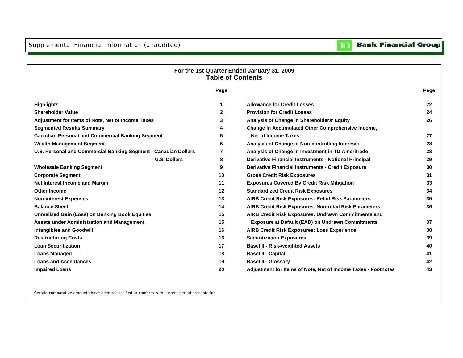Supplemental Financial Information (unaudited)

#### **Bank Financial Group**  $\overline{\mathbf{D}}$

# **Page Page Highlights 1 Allowance for Credit Losses 22 Shareholder Value 2 Provision for Credit Losses 24Adjustment for Items of Note, Net of Income Taxes 3 Analysis of Change in Shareholders' Equity 26 Segmented Results Summary 4 Change in Accumulated Other Comprehensive Income, Canadian Personal and Commercial Banking Segment 5 Net of Income Taxes 27 Wealth Management Segment 6 Analysis of Change in Non-controlling Interests 28 U.S. Personal and Commercial Banking Segment - Canadian Dollars 7 Analysis of Change in Investment in TD Ameritrade 28 - U.S. Dollars 8 Derivative Financial Instruments - Notional Principal 29 Wholesale Banking Segment 9 Derivative Financial Instruments - Credit Exposure 30 Corporate Segment 10 Gross Credit Risk Exposures 31 Net Interest Income and Margin 11 Exposures Covered By Credit Risk Mitigation 33 Other Income 12 Standardized Credit Risk Exposures 34 Non-interest Expenses 13 AIRB Credit Risk Exposures: Retail Risk Parameters 35 Balance Sheet 14 AIRB Credit Risk Exposures: Non-retail Risk Parameters 36 Unrealized Gain (Loss) on Banking Book Equities 15 AIRB Credit Risk Exposures: Undrawn Commitments and Assets under Administration and Management 15 Exposure at Default (EAD) on Undrawn Commitments 37 Intangibles and Goodwill 16 AIRB Credit Risk Exposures: Loss Experience 38 Restructuring Costs 16 Securitization Exposures 39 Loan Securitization 17 Basel II - Risk-weighted Assets 40 Loans Managed 18 Basel II - Capital 41 Loans and Acceptances 19 Basel II - Glossary 42 Impaired Loans 20 Adjustment for Items of Note, Net of Income Taxes - Footnotes 43 For the 1st Quarter Ended January 31, 2009 Table of Contents**

Certain comparative amounts have been reclassified to conform with current period presentation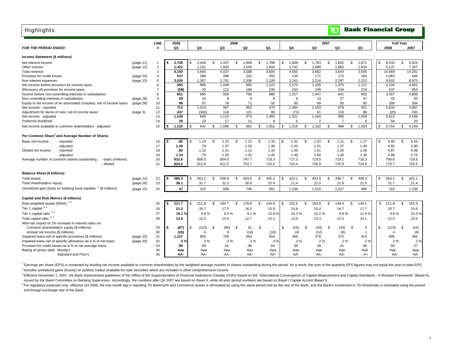| <b>Highlights</b>                                                                                                                                                                    |                                  |            |                                 |                              |     |                        |      |                        |                                |      |                        |                            |              | TD                     | <b>Bank Financial Group</b> |     |                              |                  |                        |
|--------------------------------------------------------------------------------------------------------------------------------------------------------------------------------------|----------------------------------|------------|---------------------------------|------------------------------|-----|------------------------|------|------------------------|--------------------------------|------|------------------------|----------------------------|--------------|------------------------|-----------------------------|-----|------------------------------|------------------|------------------------|
| <b>FOR THE PERIOD ENDED</b>                                                                                                                                                          | <b>LINE</b>                      | 2009<br>Q1 |                                 | Q4                           |     | Q3                     | 2008 | Q <sub>2</sub>         | Q <sub>1</sub>                 |      | Q4                     | Q3                         | 2007         | Q <sub>2</sub>         | Q1                          |     | 2008                         | <b>Full Year</b> | 2007                   |
| Income Statement (\$ millions)                                                                                                                                                       |                                  |            |                                 |                              |     |                        |      |                        |                                |      |                        |                            |              |                        |                             |     |                              |                  |                        |
| Net interest income<br>(page 11)<br>Other income<br>(page 12)                                                                                                                        | $\overline{1}$<br>$\overline{c}$ |            | 2,728<br>\$<br>1,422            | 2,449<br>1,191               | \$. | 2,437<br>1,600         | \$   | 1,858<br>1,530         | \$<br>1,788<br>1,816           | \$   | 1,808<br>1,742         | \$<br>1,783<br>1,899       | \$           | 1,662<br>1,882         | \$<br>1,671<br>1,834        | \$. | 8,532<br>6,137               | \$               | 6,924<br>7,357         |
| Total revenue<br>Provision for credit losses<br>(page 24)<br>Non-interest expenses<br>(page 13)                                                                                      | 3<br>4<br>5                      |            | 4,150<br>537<br>3,020           | 3,640<br>288<br>2,367        |     | 4,037<br>288<br>2.701  |      | 3,388<br>232<br>2,206  | 3,604<br>255<br>2,228          |      | 3,550<br>139<br>2,241  | 3,682<br>171<br>2,216      |              | 3,544<br>172<br>2,297  | 3,505<br>163<br>2,221       |     | 14,669<br>1,063<br>9.502     |                  | 14,281<br>645<br>8,975 |
| Net income before provision for income taxes<br>(Recovery of) provision for income taxes                                                                                             | 6<br>$\overline{7}$              |            | 593<br>(58)                     | 985<br>20                    |     | 1,048<br>122           |      | 950<br>160             | 1,121<br>235                   |      | 1,170<br>153           | 1,295<br>248               |              | 1,075<br>234           | 1,121<br>218                |     | 4,104<br>537                 |                  | 4,661<br>853           |
| Income before non-controlling interests in subsidiaries<br>Non-controlling interests in subsidiaries<br>(page 28)                                                                    | 8<br>9<br>10                     |            | 651<br>28<br>89                 | 965<br>18<br>67              |     | 926<br>8<br>79         |      | 790<br>9<br>71         | 886<br>8<br>92                 |      | 1,017<br>8<br>85       | 1,047<br>13<br>69          |              | 841<br>27<br>65        | 903<br>47<br>65             |     | 3,567<br>43<br>309           |                  | 3,808<br>95<br>284     |
| Equity in net income of an associated company, net of income taxes<br>(page 28)<br>Net income - reported<br>Adjustment for items of note, net of income taxes<br>(page 3)            | 11<br>12                         |            | 712<br>437                      | 1.014<br>(349)               |     | 997<br>118             |      | 852<br>121             | 970<br>90                      |      | 1.094<br>(73)          | 1.103<br>61                |              | 879<br>116             | 921<br>88                   |     | 3.833<br>(20)                |                  | 3.997<br>192           |
| Net income - adjusted<br>Preferred dividends                                                                                                                                         | 13<br>14                         |            | 1,149<br>29                     | 665<br>23                    |     | 1,115<br>17            |      | 973<br>11              | 1,060<br>8                     |      | 1,021<br>5             | 1,164<br>$\overline{2}$    |              | 995<br>7               | 1,009<br>6                  |     | 3,813<br>59                  |                  | 4,189<br>20            |
| Net income available to common shareholders - adjusted                                                                                                                               | 15                               |            | 1,120                           | 642<br>\$                    | \$  | 1,098                  | \$   | 962                    | \$<br>1,052                    | \$   | 1,016                  | \$<br>1,162                | $\mathbf{s}$ | 988                    | \$<br>1.003                 | \$  | 3,754                        | \$               | 4.169                  |
| Per Common Share <sup>1</sup> and Average Number of Shares                                                                                                                           |                                  |            |                                 |                              |     |                        |      |                        |                                |      |                        |                            |              |                        |                             |     |                              |                  |                        |
| Basic net income<br>- reported<br>- adjusted<br>Diluted net income<br>- reported                                                                                                     | 16<br>17<br>18                   |            | .82<br>\$.<br>1.35<br>.82       | 1.23<br>.79<br>1.22          | \$  | 1.22<br>1.37<br>1.21   | \$   | 1.12<br>1.33<br>1.12   | \$<br>1.34<br>1.46<br>1.33     | - \$ | 1.52<br>1.42<br>1.50   | \$<br>1.53<br>1.61<br>1.51 | \$           | 1.21<br>1.37<br>1.20   | \$<br>1.27<br>1.40<br>1.26  | -\$ | 4.90<br>4.92<br>4.87         | \$               | 5.53<br>5.80<br>5.48   |
| - adjusted<br>Average number of common shares outstanding<br>- basic (millions)<br>- diluted                                                                                         | 19<br>20<br>21                   |            | 1.34<br>832.6<br>834.2          | .79<br>808.0<br>812.8        |     | 1.35<br>804.0<br>811.0 |      | 1.32<br>747.7<br>753.7 | 1.45<br>718.3<br>724.6         |      | 1.40<br>717.3<br>724.4 | 1.60<br>719.5<br>726.9     |              | 1.36<br>719.1<br>725.9 | 1.38<br>718.3<br>724.9      |     | 4.88<br>769.6<br>775.7       |                  | 5.75<br>718.6<br>725.5 |
|                                                                                                                                                                                      |                                  |            |                                 |                              |     |                        |      |                        |                                |      |                        |                            |              |                        |                             |     |                              |                  |                        |
| <b>Balance Sheet (\$ billions)</b><br>Total assets<br>(page 14)<br>Total shareholders' equity<br>(page 26)                                                                           | 22<br>23                         |            | 585.4<br>$\mathfrak{L}$<br>38.1 | 563.2<br>31.7                | \$  | 508.8<br>31.3          | \$   | 503.6<br>30.6          | \$<br>435.2<br>22.9            | \$   | 422.1<br>21.4          | \$<br>403.9<br>21.0        | \$           | 396.7<br>21.8          | \$<br>408.2<br>21.0         | \$  | 563.2<br>31.7                | \$               | 422.1<br>21.4          |
| Unrealized gain (loss) on banking book equities <sup>2</sup> (\$ millions)<br>(page 15)                                                                                              | 24                               |            | 47                              | 310                          |     | 698                    |      | 746                    | 901                            |      | 1.236                  | 1.010                      |              | 1.027                  | 990                         |     | 310                          |                  | 1.236                  |
| Capital and Risk Metrics (\$ billions)                                                                                                                                               |                                  |            |                                 |                              |     |                        |      |                        |                                |      |                        |                            |              |                        |                             |     |                              |                  |                        |
| Risk-weighted assets (RWA) 3,4<br>Tier 1 capital 3, 4                                                                                                                                | 25<br>26                         |            | 211.7<br>\$.<br>21.3            | 211.8<br>20.7                | \$. | 184.7<br>17.5          | \$   | 178.6<br>16.3          | \$<br>145.9<br>15.9            | \$   | 152.5<br>15.6          | \$<br>150.8<br>15.4        | \$           | 149.4<br>14.7          | \$<br>149.1<br>17.7         | \$  | 211.8<br>20.7                | \$               | 152.5<br>15.6          |
| Tier 1 capital ratio $3, 4$<br>Total capital ratio $3, 4$                                                                                                                            | 27<br>28                         |            | 10.1%<br>13.6                   | 9.8%<br>12.0                 |     | 9.5%<br>13.4           |      | 9.1%<br>12.7           | 10.9%<br>15.1                  |      | 10.3%<br>13.0          | 10.2%<br>13.3              |              | 9.8%<br>12.3           | 11.9%<br>14.1               |     | 9.8%<br>12.0                 |                  | 10.3%<br>13.0          |
| After-tax impact of 1% increase in interest rates on:<br>Common shareholders' equity (\$ millions)                                                                                   | 29                               |            | (87)<br>\$.                     | (123)                        | \$  | (66)                   | \$   | 51                     | \$<br>$\overline{\phantom{a}}$ | \$   | (10)                   | \$<br>(20)                 | \$           | (33)                   | \$<br>5<br>$\mathbf{1}$     | £.  | (123)                        | - \$             | (10)                   |
| Annual net income (\$ millions)<br>Impaired loans net of specific provisions (\$ millions)<br>(page 20)<br>Impaired loans net of specific allowance as a % of net loans<br>(page 20) | 30<br>31<br>32                   |            | (26)<br>1,157<br>.5 %           | $\overline{4}$<br>805<br>.3% |     | 9<br>709<br>.3%        |      | (18)<br>654<br>$.3\%$  | (16)<br>554<br>.3%             |      | (4)<br>366<br>.2%      | (12)<br>379<br>$.2\%$      |              | (6)<br>372<br>$.2\%$   | 314<br>$.2\%$               |     | $\overline{4}$<br>805<br>.3% |                  | (4)<br>366<br>$.2\%$   |
| Provision for credit losses as a % of net average loans<br>Rating of senior debt: Moody's<br>Standard and Poor's                                                                     | 33<br>34<br>35                   |            | .90<br>Aaa<br>AA-               | .49<br>Aaa<br>AA-            |     | .51<br>Aaa<br>AA-      |      | .46<br>Aaa<br>AA-      | .54<br>Aaa<br>AA-              |      | .30<br>Aaa<br>AA-      | .39<br>Aaa<br>AA-          |              | .41<br>Aaa<br>AA-      | .38<br>Aa3<br>A+            |     | .50<br>Aaa<br>AA-            |                  | .37<br>Aaa<br>AA-      |

<sup>1</sup> Earnings per share (EPS) is computed by dividing net income available to common shareholders by the weighted average number of shares outstanding during the period. As a result, the sum of the quarterly EPS figures may <sup>2</sup> Includes unrealized gains (losses) on publicly traded available-for-sale securities which are included in other comprehensive income.

<sup>3</sup> Effective November 1, 2007, the Bank implemented guidelines of the Office of the Superintendent of Financial Institutions Canada (OSFI) based on the "International Convergence of Capital Measurement and Capital Standar issued by the Basel Committee on Banking Supervision. Accordingly, the numbers after Q4 2007 are based on Basel II, while all prior period numbers are based on Basel I Capital Accord (Basel I).

<sup>4</sup> For regulatory purposes only, effective Q4 2008, the one month lag in reporting TD Banknorth and Commerce assets is eliminated by using the same period end as the rest of the Bank, and the Bank's investment in TD Ameri end foreign exchange rate of the Bank.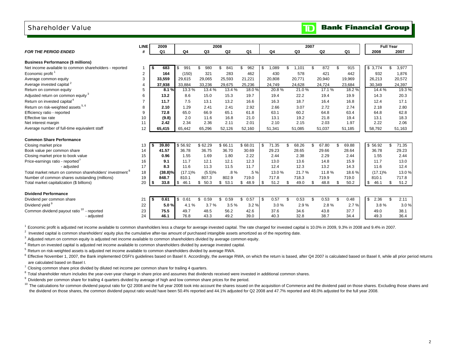## Shareholder Value

|                                                                     | <b>LINE</b>             |      | 2009           |                | 2008       |            |                |             |             | 2007        |     |                | <b>Full Year</b> |                          |       |
|---------------------------------------------------------------------|-------------------------|------|----------------|----------------|------------|------------|----------------|-------------|-------------|-------------|-----|----------------|------------------|--------------------------|-------|
| <b>FOR THE PERIOD ENDED</b>                                         | #                       |      | Q <sub>1</sub> | Q <sub>4</sub> | Q3         | Q2         | Q <sub>1</sub> | Q4          | Q3          | Q2          |     | Q <sub>1</sub> | 2008             | 2007                     |       |
|                                                                     |                         |      |                |                |            |            |                |             |             |             |     |                |                  |                          |       |
| <b>Business Performance (\$ millions)</b>                           |                         |      |                |                |            |            |                |             |             |             |     |                |                  |                          |       |
| Net income available to common shareholders - reported              |                         |      | 683            | \$<br>991      | 980<br>ደ   | 841<br>\$  | 962            | \$<br>1,089 | 1.101<br>\$ | \$<br>872   | \$  | 915            | \$3,774          | 3,977<br>\$              |       |
| Economic profit <sup>1</sup>                                        | $\overline{\mathbf{c}}$ |      | 164            | (150)          | 321        | 283        | 462            | 430         | 578         | 421         |     | 442            | 932              |                          | 1.876 |
| Average common equity                                               | 3                       |      | 33,559         | 29,615         | 29,065     | 25,593     | 21,221         | 20,808      | 20,771      | 20,940      |     | 19,969         | 26,213           | 20,572                   |       |
| Average invested capital <sup>2</sup>                               | $\overline{4}$          |      | 37,938         | 33,884         | 33,236     | 29,675     | 25,236         | 24,749      | 24,628      | 24,724      |     | 23,684         | 30,349           | 24,397                   |       |
| Return on common equity                                             | 5                       |      | 8.1%           | 13.3%          | 13.4 %     | 13.4 %     | 18.0%          | 20.8%       | 21.0%       | 17.1%       |     | 18.2%          | 14.4 %           |                          | 19.3% |
| Adjusted return on common equity <sup>3</sup>                       | 6                       |      | 13.2           | 8.6            | 15.0       | 15.3       | 19.7           | 19.4        | 22.2        | 19.4        |     | 19.9           | 14.3             |                          | 20.3  |
| Return on invested capital <sup>4</sup>                             |                         |      | 11.7           | 7.5            | 13.1       | 13.2       | 16.6           | 16.3        | 18.7        | 16.4        |     | 16.8           | 12.4             |                          | 17.1  |
| Return on risk-weighted assets 5, 6                                 | 8                       |      | 2.10           | 1.29           | 2.41       | 2.41       | 2.92           | 2.66        | 3.07        | 2.72        |     | 2.74           | 2.18             |                          | 2.80  |
| Efficiency ratio - reported                                         | 9                       |      | 72.8           | 65.0           | 66.9       | 65.1       | 61.8           | 63.1        | 60.2        | 64.8        |     | 63.4           | 64.8             |                          | 62.8  |
| Effective tax rate                                                  | 10                      |      | (9.8)          | 2.0            | 11.6       | 16.8       | 21.0           | 13.1        | 19.2        | 21.8        |     | 19.4           | 13.1             |                          | 18.3  |
| Net interest margin                                                 | 11                      |      | 2.42           | 2.34           | 2.36       | 2.11       | 2.01           | 2.10        | 2.15        | 2.03        |     | 1.97           | 2.22             |                          | 2.06  |
| Average number of full-time equivalent staff                        | 12                      |      | 65,415         | 65,442         | 65,296     | 52,126     | 52,160         | 51,341      | 51,085      | 51,037      |     | 51,185         | 58,792           | 51.163                   |       |
|                                                                     |                         |      |                |                |            |            |                |             |             |             |     |                |                  |                          |       |
| <b>Common Share Performance</b>                                     |                         |      |                |                |            |            |                |             |             |             |     |                |                  |                          |       |
| Closing market price                                                | 13                      | -S   | 39.80          | \$56.92        | \$62.29    | \$66.11    | \$68.01        | 71.35<br>\$ | 68.26<br>£. | 67.80<br>\$ | \$. | 69.88          | \$56.92          | $\overline{71.35}$<br>\$ |       |
| Book value per common share                                         | 14                      |      | 41.57          | 36.78          | 36.75      | 36.70      | 30.69          | 29.23       | 28.65       | 29.66       |     | 28.64          | 36.78            | 29.23                    |       |
| Closing market price to book value                                  | 15                      |      | 0.96           | 1.55           | 1.69       | 1.80       | 2.22           | 2.44        | 2.38        | 2.29        |     | 2.44           | 1.55             |                          | 2.44  |
| Price-earnings ratio - reported <sup>7</sup>                        | 16                      |      | 9.1            | 11.7           | 12.1       | 12.1       | 12.3           | 13.0        | 13.6        | 14.8        |     | 15.9           | 11.7             |                          | 13.0  |
| - adiusted                                                          | 17                      |      | 8.3            | 11.6           | 11.3       | 11.5       | 11.7           | 12.4        | 12.3        | 13.2        |     | 14.3           | 11.6             |                          | 12.4  |
| Total market return on common shareholders' investment <sup>8</sup> | 18                      |      | (38.8)%        | $(17.1)\%$     | (5.5)%     | $.8\%$     | .5%            | 13.0 %      | 21.7%       | 11.8%       |     | 18.6%          | $(17.1)\%$       |                          | 13.0% |
| Number of common shares outstanding (millions)                      | 19                      |      | 848.7          | 810.1          | 807.3      | 802.9      | 719.0          | 717.8       | 718.3       | 719.9       |     | 719.0          | 810.1            | 717.8                    |       |
| Total market capitalization (\$ billions)                           | 20                      | l \$ | 33.8           | \$<br>46.1     | 50.3<br>\$ | 53.1<br>\$ | \$<br>48.9     | 51.2<br>\$  | \$<br>49.0  | 48.8<br>\$  | \$. | 50.2           | \$<br>46.1       | \$                       | 51.2  |
|                                                                     |                         |      |                |                |            |            |                |             |             |             |     |                |                  |                          |       |
| <b>Dividend Performance</b>                                         |                         |      |                |                |            |            |                |             |             |             |     |                |                  |                          |       |
| Dividend per common share                                           | 21                      | - 56 | 0.61           | \$<br>0.61     | \$<br>0.59 | 0.59<br>\$ | 0.57<br>\$     | 0.57<br>\$  | 0.53<br>\$  | 0.53<br>\$  | \$  | 0.48           | 2.36<br>\$       | \$                       | 2.11  |
| Dividend yield <sup>9</sup>                                         | 22                      |      | 5.0%           | 4.1%           | 3.7%       | 3.5%       | 3.2%           | 3.0%        | 2.9%        | 2.8%        |     | 2.7%           | 3.8%             |                          | 3.0%  |
| Common dividend payout ratio <sup>10</sup> - reported               | 23                      |      | 75.5           | 49.7           | 48.5       | 56.2       | 42.6           | 37.6        | 34.6        | 43.8        |     | 37.7           | 49.0             |                          | 38.1  |
| - adjusted                                                          | 24                      |      | 46.1           | 76.8           | 43.3       | 49.2       | 39.0           | 40.3        | 32.8        | 38.7        |     | 34.4           | 49.3             |                          | 36.4  |
|                                                                     |                         |      |                |                |            |            |                |             |             |             |     |                |                  |                          |       |

<sup>1</sup> Economic profit is adjusted net income available to common shareholders less a charge for average invested capital. The rate charged for invested capital is 10.0% in 2009, 9.3% in 2008 and 9.4% in 2007.

 $2$  Invested capital is common shareholders' equity plus the cumulative after-tax amount of purchased intangible assets amortized as of the reporting date.

<sup>3</sup> Adjusted return on common equity is adjusted net income available to common shareholders divided by average common equity.

4 Return on invested capital is adjusted net income available to common shareholders divided by average invested capital.

 $<sup>5</sup>$  Return on risk-weighted assets is adjusted net income available to common shareholders divided by average RWA.</sup>

<sup>6</sup> Effective November 1, 2007, the Bank implemented OSFI's quidelines based on Basel II. Accordingly, the average RWA, on which the return is based, after Q4 2007 is calculated based on Basel II, while all prior period re are calculated based on Basel I.

 $7$  Closing common share price divided by diluted net income per common share for trailing 4 quarters.

 $8$  Total shareholder return includes the year-over-year change in share price and assumes that dividends received were invested in additional common shares.

<sup>9</sup> Dividends per common share for trailing 4 quarters divided by average of high and low common share prices for the period.

<sup>10</sup> The calculations for common dividend payout ratio for Q2 2008 and the full year 2008 took into account the shares issued on the acquisition of Commerce and the dividend paid on those shares. Excluding those shares and the dividend on those shares, the common dividend payout ratio would have been 50.4% reported and 44.1% adjusted for Q2 2008 and 47.7% reported and 48.0% adjusted for the full year 2008.

# **TD** Bank Financial Group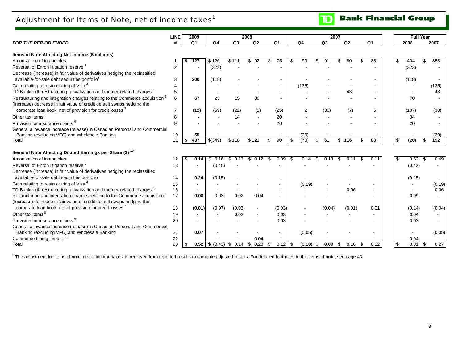Adjustment for Items of Note, net of income taxes $^1$ 

**Bank Financial Group**  $\mathbf{D}$ 

|                                                                                         | LINE           | 2009           |              |             | 2008       |                          |       |        |                | 2007 |        |                |     | <b>Full Year</b> |           |  |
|-----------------------------------------------------------------------------------------|----------------|----------------|--------------|-------------|------------|--------------------------|-------|--------|----------------|------|--------|----------------|-----|------------------|-----------|--|
| <b>FOR THE PERIOD ENDED</b>                                                             |                | Q <sub>1</sub> | Q4           | Q3          | Q2         | Q <sub>1</sub>           | Q4    |        | Q <sub>3</sub> |      | Q2     | Q <sub>1</sub> |     | 2008             | 2007      |  |
|                                                                                         |                |                |              |             |            |                          |       |        |                |      |        |                |     |                  |           |  |
| Items of Note Affecting Net Income (\$ millions)                                        |                | 127            | \$126        | \$111       | 92         |                          | \$.   | 99     |                |      |        | 83             |     | 404              | 353       |  |
| Amortization of intangibles                                                             |                |                |              |             |            | 75                       |       |        |                |      |        |                | -SS |                  |           |  |
| Reversal of Enron litigation reserve <sup>2</sup>                                       | 2              |                | (323)        |             |            |                          |       |        |                |      |        |                |     | (323)            |           |  |
| Decrease (increase) in fair value of derivatives hedging the reclassified               |                |                |              |             |            |                          |       |        |                |      |        |                |     |                  |           |  |
| available-for-sale debt securities portfolio3                                           | 3              | 200            | (118)        |             |            |                          |       |        |                |      |        |                |     | (118)            |           |  |
| Gain relating to restructuring of Visa <sup>4</sup>                                     | $\overline{4}$ |                |              |             |            |                          | (135) |        |                |      |        |                |     |                  | (135)     |  |
| TD Banknorth restructuring, privatization and merger-related charges <sup>5</sup>       | 5              |                |              |             |            | $\overline{\phantom{a}}$ |       |        |                |      | 43     |                |     |                  | 43        |  |
| Restructuring and integration charges relating to the Commerce acquisition <sup>6</sup> | 6              | 67             | 25           | 15          | 30         | $\overline{\phantom{a}}$ |       |        |                |      |        |                |     | 70               |           |  |
| (Increase) decrease in fair value of credit default swaps hedging the                   |                |                |              |             |            |                          |       |        |                |      |        |                |     |                  |           |  |
| corporate loan book, net of provision for credit losses <sup>7</sup>                    | $\overline{7}$ | (12)           | (59)         | (22)        | (1)        | (25)                     |       | 2      | (30)           |      | (7)    | 5              |     | (107)            | (30)      |  |
| Other tax items <sup>8</sup>                                                            | 8              |                |              | 14          |            | 20                       |       |        |                |      |        |                |     | 34               |           |  |
| Provision for insurance claims <sup>9</sup>                                             | 9              |                |              |             |            | 20                       |       |        |                |      |        |                |     | 20               |           |  |
| General allowance increase (release) in Canadian Personal and Commercial                |                |                |              |             |            |                          |       |        |                |      |        |                |     |                  |           |  |
| Banking (excluding VFC) and Wholesale Banking                                           | 10             | 55             |              |             |            |                          |       | (39)   |                |      |        |                |     |                  | (39)      |  |
| Total                                                                                   | 11             | 437<br>\$      | \$(349)      | \$118       | \$121      | 90                       |       | (73)   | 61<br>£.       | \$.  | 116    | 88             | \$  | (20)             | 192<br>Я. |  |
|                                                                                         |                |                |              |             |            |                          |       |        |                |      |        |                |     |                  |           |  |
| Items of Note Affecting Diluted Earnings per Share (\$) <sup>10</sup>                   |                |                |              |             |            |                          |       |        |                |      |        |                |     |                  |           |  |
| Amortization of intangibles                                                             | 12             | 0.14           | \$<br>0.16   | -\$<br>0.13 | \$<br>0.12 | 0.09                     | \$    | 0.14   | \$<br>0.13     |      | 0.11   | 0.11           | -\$ | 0.52<br>- \$     | 0.49      |  |
| Reversal of Enron litigation reserve <sup>2</sup>                                       | 13             |                | (0.40)       |             |            |                          |       |        |                |      |        |                |     | (0.42)           |           |  |
| Decrease (increase) in fair value of derivatives hedging the reclassified               |                |                |              |             |            |                          |       |        |                |      |        |                |     |                  |           |  |
| available-for-sale debt securities portfolio <sup>3</sup>                               | 14             | 0.24           | (0.15)       |             |            |                          |       |        |                |      |        |                |     | (0.15)           |           |  |
| Gain relating to restructuring of Visa <sup>4</sup>                                     | 15             |                |              |             |            |                          |       | (0.19) |                |      |        |                |     |                  | (0.19)    |  |
| TD Banknorth restructuring, privatization and merger-related charges <sup>5</sup>       | 16             |                |              |             |            |                          |       |        |                |      | 0.06   |                |     |                  | 0.06      |  |
| Restructuring and integration charges relating to the Commerce acquisition 6            | 17             | 0.08           | 0.03         | 0.02        | 0.04       |                          |       |        |                |      |        |                |     | 0.09             |           |  |
| (Increase) decrease in fair value of credit default swaps hedging the                   |                |                |              |             |            |                          |       |        |                |      |        |                |     |                  |           |  |
| corporate loan book, net of provision for credit losses                                 | 18             | (0.01)         | (0.07)       | (0.03)      |            | (0.03)                   |       |        | (0.04)         |      | (0.01) | 0.01           |     | (0.14)           | (0.04)    |  |
| Other tax items <sup>8</sup>                                                            | 19             |                |              | 0.02        |            | 0.03                     |       |        |                |      |        |                |     | 0.04             |           |  |
| Provision for insurance claims <sup>9</sup>                                             | 20             |                |              |             |            | 0.03                     |       |        |                |      |        |                |     | 0.03             |           |  |
| General allowance increase (release) in Canadian Personal and Commercial                |                |                |              |             |            |                          |       |        |                |      |        |                |     |                  |           |  |
| Banking (excluding VFC) and Wholesale Banking                                           | 21             | 0.07           |              |             |            |                          |       | (0.05) |                |      |        |                |     |                  | (0.05)    |  |
| Commerce timing impact <sup>11</sup>                                                    | 22             |                |              |             | 0.04       |                          |       |        |                |      |        |                |     | 0.04             |           |  |
| Total                                                                                   | 23             | 0.52           | (0.43)<br>S. | 0.14<br>æ.  | 0.20<br>æ. | $0.12$   \$              |       | (0.10) | 0.09           |      | 0.16   | 0.12           |     | 0.01             | 0.27      |  |
|                                                                                         |                |                |              |             |            |                          |       |        |                |      |        |                |     |                  |           |  |

<sup>1</sup> The adjustment for items of note, net of income taxes, is removed from reported results to compute adjusted results. For detailed footnotes to the items of note, see page 43.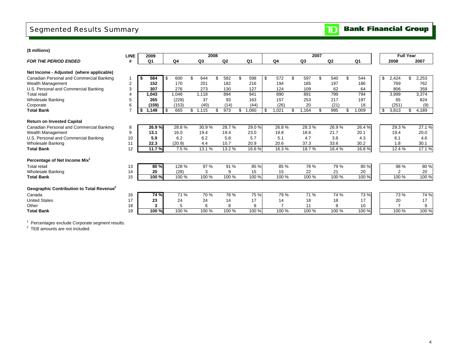# Segmented Results Summary

### **(\$ millions)**

|                                                       | <b>LINE</b>    | 2009        |           |             | 2008 |                |     |       |             |            | 2007 |       |             |    | <b>Full Year</b> |     |        |
|-------------------------------------------------------|----------------|-------------|-----------|-------------|------|----------------|-----|-------|-------------|------------|------|-------|-------------|----|------------------|-----|--------|
| <b>FOR THE PERIOD ENDED</b>                           | #              | Q1          | Q4        | Q3          |      | Q <sub>2</sub> |     | Q1    | Q4          | Q3         |      | Q2    | Q1          |    | 2008             |     | 2007   |
|                                                       |                |             |           |             |      |                |     |       |             |            |      |       |             |    |                  |     |        |
| Net Income - Adjusted (where applicable)              |                |             |           |             |      |                |     |       |             |            |      |       |             |    |                  |     |        |
| Canadian Personal and Commercial Banking              |                | 584<br>-\$  | \$<br>600 | \$<br>644   | \$.  | 582            | \$. | 598   | \$<br>572   | \$<br>597  | \$   | 540   | \$<br>544   | \$ | 2,424            | \$  | 2,253  |
| Wealth Management                                     | $\overline{2}$ | 152         | 170       | 201         |      | 182            |     | 216   | 194         | 185        |      | 197   | 186         |    | 769              |     | 762    |
| U.S. Personal and Commercial Banking                  | 3              | 307         | 276       | 273         |      | 130            |     | 127   | 124         | 109        |      | 62    | 64          |    | 806              |     | 359    |
| <b>Total retail</b>                                   |                | 1.043       | 1.046     | 1.118       |      | 894            |     | 941   | 890         | 891        |      | 799   | 794         |    | 3.999            |     | 3,374  |
| <b>Wholesale Banking</b>                              | 5              | 265         | (228)     | 37          |      | 93             |     | 163   | 157         | 253        |      | 217   | 197         |    | 65               |     | 824    |
| Corporate                                             | 6              | (159)       | (153)     | (40)        |      | (14)           |     | (44)  | (26)        | 20         |      | (21)  | 18          |    | (251)            |     | (9)    |
| <b>Total Bank</b>                                     |                | \$<br>1,149 | \$<br>665 | \$<br>1,115 | \$.  | 973            | \$  | .060  | \$<br>1,021 | \$<br>.164 | \$.  | 995   | \$<br>1,009 | \$ | 3,813            | \$. | 4,189  |
| <b>Return on Invested Capital</b>                     |                |             |           |             |      |                |     |       |             |            |      |       |             |    |                  |     |        |
| Canadian Personal and Commercial Banking              | 8              | 26.9%       | 28.8%     | 30.9%       |      | 28.7%          |     | 29.0% | 26.8%       | 28.3%      |      | 26.9% | 26.4%       |    | 29.3%            |     | 27.1%  |
|                                                       | 9              | 13.1        | 16.0      | 19.4        |      | 19.4           |     | 23.0  | 19.8        | 18.6       |      | 21.7  | 20.1        |    | 19.4             |     | 20.0   |
| Wealth Management                                     | 10             |             |           |             |      |                |     |       |             |            |      |       |             |    |                  |     |        |
| U.S. Personal and Commercial Banking                  |                | 5.9         | 6.2       | 6.2         |      | 5.8            |     | 5.7   | 5.1         | 4.7        |      | 3.8   | 4.3         |    | 6.1              |     | 4.6    |
| <b>Wholesale Banking</b>                              | 11             | 22.3        | (20.9)    | 4.4         |      | 10.7           |     | 20.9  | 20.6        | 37.3       |      | 33.6  | 30.2        |    | 1.8              |     | 30.1   |
| <b>Total Bank</b>                                     | 12             | 11.7%       | 7.5%      | 13.1%       |      | 13.2 %         |     | 16.6% | 16.3%       | 18.7%      |      | 16.4% | 16.8%       |    | 12.4 %           |     | 17.1 % |
| Percentage of Net Income Mix <sup>1</sup>             |                |             |           |             |      |                |     |       |             |            |      |       |             |    |                  |     |        |
| <b>Total retail</b>                                   | 13             | 80%         | 128 %     | 97 %        |      | 91 %           |     | 85 %  | 85 %        | 78 %       |      | 79 %  | 80 %        |    | 98 %             |     | 80%    |
| <b>Wholesale Banking</b>                              | 14             | 20          | (28)      | 3           |      | 9              |     | 15    | 15          | 22         |      | 21    | 20          |    |                  |     | 20     |
| <b>Total Bank</b>                                     | 15             | 100 %       | 100 %     | 100 %       |      | 100 %          |     | 100 % | 100 %       | 100 %      |      | 100 % | 100 %       |    | 100 %            |     | 100 %  |
|                                                       |                |             |           |             |      |                |     |       |             |            |      |       |             |    |                  |     |        |
| Geographic Contribution to Total Revenue <sup>2</sup> |                |             |           |             |      |                |     |       |             |            |      |       |             |    |                  |     |        |
| Canada                                                | 16             | 74 %        | 71 %      | 70 %        |      | 78%            |     | 75 %  | 79%         | 71 %       |      | 74 %  | 73 %        |    | 73 %             |     | 74 %   |
| <b>United States</b>                                  | 17             | 23          | 24        | 24          |      | 14             |     | 17    | 14          | 18         |      | 18    | 17          |    | 20               |     | 17     |
| Other                                                 | 18             | 3           | 5         | 6           |      | 8              |     | 8     |             | 11         |      | 8     | 10          |    | $\overline{ }$   |     | 9      |
| <b>Total Bank</b>                                     | 19             | 100 %       | 100 %     | 100 %       |      | 100 %          |     | 100%  | 100 %       | 100 %      |      | 100 % | 100 %       |    | 100 %            |     | 100 %  |

 $1$  Percentages exclude Corporate segment results.

<sup>2</sup> TEB amounts are not included.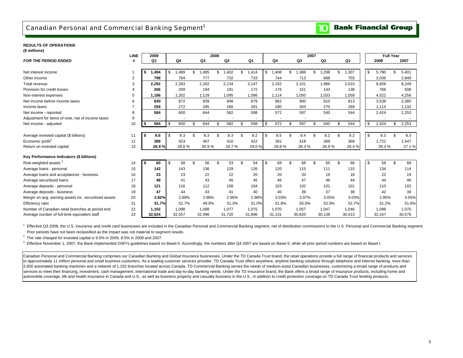## Canadian Personal and Commercial Banking Segment<sup>1</sup>

#### **Bank Financial Group**  $\mathbf{D}$

#### **RESULTS OF OPERATIONS(\$ millions)**

| $v \sim$                                              | <b>LINE</b> |      | 2009   |      |        |        | 2008 |                |             |            |     |        | 2007 |                |                |        |           |        | <b>Full Year</b> |        |
|-------------------------------------------------------|-------------|------|--------|------|--------|--------|------|----------------|-------------|------------|-----|--------|------|----------------|----------------|--------|-----------|--------|------------------|--------|
| <b>FOR THE PERIOD ENDED</b>                           | #           |      | Q1     |      | Q4     | Q3     |      | Q <sub>2</sub> | Q1          | Q4         |     | Q3     |      | Q <sub>2</sub> |                | Q1     |           | 2008   |                  | 2007   |
|                                                       |             |      |        |      |        |        |      |                |             |            |     |        |      |                |                |        |           |        |                  |        |
| Net interest income                                   |             | \$   | 1,494  | - \$ | ,489   | 1,485  | \$   | ,402           | \$<br>1.414 | \$<br>,408 | \$  | .388   | \$   | ,298           | £.             | ,307   | \$        | 5,790  | \$               | 5,401  |
| Other income                                          | 2           |      | 798    |      | 794    | 777    |      | 732            | 733         | 744        |     | 713    |      | 688            |                | 703    |           | 3,036  |                  | 2,848  |
| Total revenue                                         | 3           |      | 2,292  |      | 2,283  | 2,262  |      | 2,134          | 2.147       | 2,152      |     | 2,101  |      | 1,986          |                | 2,010  |           | 8,826  |                  | 8,249  |
| Provision for credit losses                           |             |      | 266    |      | 209    | 194    |      | 191            | 172         | 176        |     | 151    |      | 143            |                | 138    |           | 766    |                  | 608    |
| Non-interest expenses                                 | 5           |      | 1,186  |      | 1,202  | 1,129  |      | 1,095          | 1,096       | 1,114      |     | 1,050  |      | 1,033          |                | 1,059  |           | 4,522  |                  | 4,256  |
| Net income before income taxes                        | 6           |      | 840    |      | 872    | 939    |      | 848            | 879         | 862        |     | 900    |      | 810            |                | 813    |           | 3,538  |                  | 3,385  |
| Income taxes                                          |             |      | 256    |      | 272    | 295    |      | 266            | 281         | 290        |     | 303    |      | 270            |                | 269    |           | 1,114  |                  | 1,132  |
| Net income - reported                                 | 8           |      | 584    |      | 600    | 644    |      | 582            | 598         | 572        |     | 597    |      | 540            |                | 544    |           | 2,424  |                  | 2,253  |
| Adjustment for items of note, net of income taxes     | 9           |      |        |      |        |        |      |                |             |            |     |        |      |                |                |        |           |        |                  |        |
| Net income - adjusted                                 | 10          | \$   | 584    | -\$  | 600    | 644    | \$   | 582            | \$<br>598   | \$<br>572  | \$. | 597    | \$   | 540            | $\mathfrak{L}$ | 544    | \$        | 2,424  | \$               | 2,253  |
|                                                       |             |      |        |      |        |        |      |                |             |            |     |        |      |                |                |        |           |        |                  |        |
| Average invested capital (\$ billions)                | 11          | - \$ | 8.6    | - \$ | 8.3    | 8.3    | \$   | 8.3            | \$<br>8.2   | \$<br>8.5  | \$. | 8.4    |      | 8.2            | £.             | 8.2    | <b>\$</b> | 8.3    | \$               | 8.3    |
| Economic profit <sup>2</sup>                          | 12          |      | 389    |      | 423    | 467    |      | 410            | 422         | 391        |     | 418    |      | 369            |                | 369    |           | 1,722  |                  | 1,547  |
| Return on invested capital                            | 13          |      | 26.9%  |      | 28.8%  | 30.9%  |      | 28.7%          | 29.0%       | 26.8%      |     | 28.3%  |      | 26.9%          |                | 26.4%  |           | 29.3%  |                  | 27.1%  |
|                                                       |             |      |        |      |        |        |      |                |             |            |     |        |      |                |                |        |           |        |                  |        |
| Key Performance Indicators (\$ billions)              |             |      |        |      |        |        |      |                |             |            |     |        |      |                |                |        |           |        |                  |        |
| Risk-weighted assets <sup>3</sup>                     | 14          | \$   | 60     | - \$ | 58     | 56     | \$   | 53             | \$<br>54    | \$<br>68   | \$  | 68     | £.   | 65             | \$             | 66     | \$        | 58     | \$               | 68     |
| Average loans - personal                              | 15          |      | 142    |      | 143    | 136    |      | 129            | 126         | 120        |     | 115    |      | 111            |                | 110    |           | 134    |                  | 114    |
| Average loans and acceptances - business              | 16          |      | 23     |      | 23     | 22     |      | 22             | 20          | 20         |     | 20     |      | 19             |                | 18     |           | 22     |                  | 19     |
| Average securitized loans                             | 17          |      | 48     |      | 41     | 43     |      | 45             | 45          | 46         |     | 47     |      | 46             |                | 44     |           | 44     |                  | 46     |
| Average deposits - personal                           | 18          |      | 121    |      | 116    | 112    |      | 108            | 104         | 103        |     | 102    |      | 101            |                | 101    |           | 110    |                  | 102    |
| Average deposits - business                           | 19          |      | 47     |      | 44     | 43     |      | 41             | 40          | 40         |     | 39     |      | 37             |                | 38     |           | 42     |                  | 39     |
| Margin on avg. earning assets inc. securitized assets | 20          |      | 2.82%  |      | 2.89%  | 2.98%  |      | 2.96%          | 2.98%       | 3.03%      |     | 3.07%  |      | 3.05%          |                | 3.03%  |           | 2.95%  |                  | 3.05%  |
| Efficiency ratio                                      | 21          |      | 51.7%  |      | 52.7%  | 49.9%  |      | 51.3%          | 51.0%       | 51.8%      |     | 50.0%  |      | 52.0%          |                | 52.7%  |           | 51.2%  |                  | 51.6%  |
| Number of Canadian retail branches at period end      | 22          |      | 1,102  |      | 1,098  | 1,088  |      | 1.077          | 1,075       | 1,070      |     | 1,057  |      | 1,047          |                | 1,040  |           | 1,098  |                  | 1,070  |
| Average number of full-time equivalent staff          | 23          |      | 32.624 |      | 32,557 | 32.496 |      | 31,720         | 31.896      | 31.131     |     | 30,620 |      | 30.138         |                | 30,413 |           | 32.167 |                  | 30,576 |

<sup>1</sup> Effective Q3 2008, the U.S. insurance and credit card businesses are included in the Canadian Personal and Commercial Banking segment. net of distribution commissions to the U.S. Personal and Commercial Banking segment Prior periods have not been reclassified as the impact was not material to segment results.

 $2$  The rate charged for invested capital is 9.0% in 2009, 8.5% in 2008 and 2007.

 $3$  Effective November 1, 2007, the Bank implemented OSFI's guidelines based on Basel II. Accordingly, the numbers after Q4 2007 are based on Basel II, while all prior period numbers are based on Basel I.

Canadian Personal and Commercial Banking comprises our Canadian Banking and Global Insurance businesses. Under the TD Canada Trust brand, the retail operations provide a full range of financial products and services to approximately 11 million personal and small business customers. As a leading customer services provider, TD Canada Trust offers anywhere, anytime banking solutions through telephone and internet banking, more than 2,600 automated banking machines and a network of 1,102 branches located across Canada. TD Commercial Banking serves the needs of medium-sized Canadian businesses, customizing a broad range of products and services to meet their financing, investment, cash management, international trade and day-to-day banking needs. Under the TD Insurance brand, the Bank offers a broad range of insurance products, including home and automobile coverage, life and health insurance in Canada and U.S., as well as business property and casualty business in the U.S., in addition to credit protection coverage on TD Canada Trust lending products.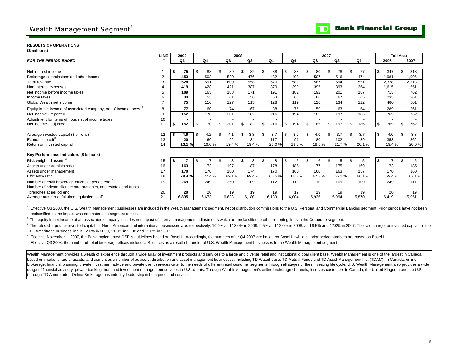# Wealth Management Segment<sup>1</sup>

#### **Bank Financial Group**  $\mathbf T$

#### **RESULTS OF OPERATIONS**

**(\$ millions)**

|                                                                              | <b>LINE</b>    | 2009   |     |                |    | 2008  |        |    |       |                |     |       | 2007 |       |    |                |      | <b>Full Year</b> |       |
|------------------------------------------------------------------------------|----------------|--------|-----|----------------|----|-------|--------|----|-------|----------------|-----|-------|------|-------|----|----------------|------|------------------|-------|
| <b>FOR THE PERIOD ENDED</b>                                                  | #              | Q1     |     | Q <sub>4</sub> |    | Q3    | Q2     |    | Q1    | Q <sub>4</sub> |     | Q3    |      | Q2    |    | Q <sub>1</sub> |      | 2008             | 2007  |
|                                                                              |                |        |     |                |    |       |        |    |       |                |     |       |      |       |    |                |      |                  |       |
| Net interest income                                                          |                | 75     | -\$ | 88             |    | 89    | 82     |    | 88    | \$<br>83       |     | 80    |      | 78    | £. | 77             | \$   | 347              | 318   |
| Brokerage commissions and other income                                       | $\overline{2}$ | 453    |     | 503            |    | 520   | 476    |    | 482   | 498            |     | 507   |      | 516   |    | 474            |      | 1,981            | 1,995 |
| Total revenue                                                                |                | 528    |     | 591            |    | 609   | 558    |    | 570   | 581            |     | 587   |      | 594   |    | 551            |      | 2,328            | 2,313 |
| Non-interest expenses                                                        |                | 419    |     | 428            |    | 421   | 387    |    | 379   | 399            |     | 395   |      | 393   |    | 364            |      | 1,615            | 1,551 |
| Net income before income taxes                                               |                | 109    |     | 163            |    | 188   | 171    |    | 191   | 182            |     | 192   |      | 201   |    | 187            |      | 713              | 762   |
| Income taxes                                                                 | 6              | 34     |     | 53             |    | 61    | 56     |    | 63    | 63             |     | 66    |      | 67    |    | 65             |      | 233              | 261   |
| Global Wealth net income                                                     |                | 75     |     | 110            |    | 127   | 115    |    | 128   | 119            |     | 126   |      | 134   |    | 122            |      | 480              | 501   |
| Equity in net income of associated company, net of income taxes <sup>2</sup> | 8              | 77     |     | 60             |    | 74    | 67     |    | 88    | 75             |     | 59    |      | 63    |    | 64             |      | 289              | 261   |
| Net income - reported                                                        | 9              | 152    |     | 170            |    | 201   | 182    |    | 216   | 194            |     | 185   |      | 197   |    | 186            |      | 769              | 762   |
| Adjustment for items of note, net of income taxes                            | 10             |        |     |                |    |       |        |    |       |                |     |       |      |       |    |                |      |                  |       |
| Net income - adjusted                                                        | 11             | 152    | -\$ | 170            | £. | 201   | 182    |    | 216   | \$<br>194      | \$. | 185   | \$.  | 197   | \$ | 186            | - \$ | 769              | 762   |
|                                                                              |                |        |     |                |    |       |        |    |       |                |     |       |      |       |    |                |      |                  |       |
| Average invested capital (\$ billions)                                       | 12             | 4.6    | \$  | 4.2            | £. | 4.1   | 3.8    |    | 3.7   | \$<br>3.9      | \$  | 4.0   |      | 3.7   | \$ | 3.7            | \$   | 4.0              | 3.8   |
| Economic profit <sup>3</sup>                                                 | 13             | 20     |     | 60             |    | 92    | 84     |    | 117   | 91             |     | 80    |      | 102   |    | 89             |      | 353              | 362   |
| Return on invested capital                                                   | 14             | 13.1 % |     | 16.0%          |    | 19.4% | 19.4 % |    | 23.0% | 19.8%          |     | 18.6% |      | 21.7% |    | 20.1%          |      | 19.4%            | 20.0% |
| Key Performance Indicators (\$ billions)                                     |                |        |     |                |    |       |        |    |       |                |     |       |      |       |    |                |      |                  |       |
| Risk-weighted assets <sup>4</sup>                                            | 15             |        | \$  |                | \$ | 8     | 8      | £. | 8     | \$<br>5        |     |       |      |       |    | 5              | \$   |                  | 5     |
| Assets under administration                                                  | 16             | 163    |     | 173            |    | 197   | 187    |    | 178   | 185            |     | 177   |      | 175   |    | 169            |      | 173              | 185   |
| Assets under management                                                      | 17             | 170    |     | 170            |    | 180   | 174    |    | 170   | 160            |     | 160   |      | 163   |    | 157            |      | 170              | 160   |
| Efficiency ratio                                                             | 18             | 79.4%  |     | 72.4%          |    | 69.1% | 69.4%  |    | 66.5% | 68.7%          |     | 67.3% |      | 66.2% |    | 66.1%          |      | 69.4%            | 67.1% |
| Number of retail brokerage offices at period end <sup>5</sup>                | 19             | 269    |     | 249            |    | 250   | 109    |    | 112   | 111            |     | 110   |      | 109   |    | 109            |      | 249              | 111   |
| Number of private client centre branches, and estates and trusts             |                |        |     |                |    |       |        |    |       |                |     |       |      |       |    |                |      |                  |       |
| branches at period end                                                       | 20             | 20     |     | 20             |    | 19    | 19     |    | 19    | 19             |     | 19    |      | 19    |    | 19             |      | 20               | 19    |
| Average number of full-time equivalent staff                                 | 21             | 6.835  |     | 6.673          |    | 6,633 | 6,180  |    | 6,189 | 6,004          |     | 5,936 |      | 5,994 |    | 5,870          |      | 6.419            | 5,951 |

<sup>1</sup> Effective Q3 2008, the U.S. Wealth Management businesses are included in the Wealth Management segment, net of distribution commissions to the U.S. Personal and Commercial Banking segment. Prior periods have not been reclassified as the impact was not material to segment results.

<sup>2</sup> The equity in net income of an associated company includes net impact of internal management adjustments which are reclassified to other reporting lines in the Corporate segment.

<sup>3</sup> The rates charged for invested capital for North American and international businesses are, respectively, 10.0% and 13.0% in 2009; 9.5% and 12.0% in 2008; and 9.5% and 12.0% in 2007. The rate charge for invested capita TD Ameritrade business line is 12.0% in 2009, 11.0% in 2008 and 11.0% in 2007.

4 Effective November 1, 2007, the Bank implemented OSFI's guidelines based on Basel II. Accordingly, the numbers after Q4 2007 are based on Basel II, while all prior period numbers are based on Basel I.

5 Effective Q3 2008, the number of retail brokerage offices include U.S. offices as a result of transfer of U.S. Wealth Management businesses to the Wealth Management segment.

Wealth Management provides a wealth of experience through a wide array of investment products and services to a large and diverse retail and institutional global client base. Wealth Management is one of the largest in Cana based on market share of assets, and comprises a number of advisory, distribution and asset management businesses, including TD Waterhouse, TD Mutual Funds and TD Asset Management Inc. (TDAM). In Canada, online brokerage, financial planning, private investment advice and private client services cater to the needs of different retail customer segments through all stages of their investing life cycle. U.S. Wealth Management also pr range of financial advisory, private banking, trust and investment management services to U.S. clients. Through Wealth Management's online brokerage channels, it serves customers in Canada, the United Kingdom and the U.S. (through TD Ameritrade). Online Brokerage has industry leadership in both price and service.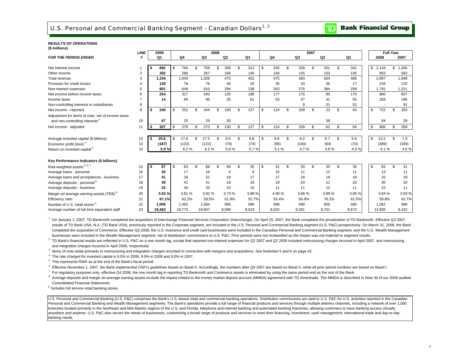### U.S. Personal and Commercial Banking Segment - Canadian Dollars<sup>1, 2</sup>

#### **Bank Financial Group**  $\overline{\mathbf{D}}$

#### **RESULTS OF OPERATIONS(\$ millions)**

| <b>LINE</b>                                                                                           | 2009       |     |        |    |        | 2008 |       |           |           |    | 2007  |     |                |           |             | <b>Full Year</b> |             |
|-------------------------------------------------------------------------------------------------------|------------|-----|--------|----|--------|------|-------|-----------|-----------|----|-------|-----|----------------|-----------|-------------|------------------|-------------|
| <b>FOR THE PERIOD ENDED</b><br>#                                                                      | Q1         |     | Q4     |    | Q3     |      | Q2    | Q1        | Q4        |    | Q3    |     | Q <sub>2</sub> | Q1        | 2008        |                  | 2007        |
|                                                                                                       |            |     |        |    |        |      |       |           |           |    |       |     |                |           |             |                  |             |
| Net interest income                                                                                   | 892<br>\$  | . ጽ | 764    | £. | 759    | \$   | 309   | \$<br>312 | \$<br>335 | \$ | 338   | \$  | 351            | \$<br>341 | S.<br>2,144 |                  | 1,365<br>\$ |
| 2<br>Other income                                                                                     | 302        |     | 280    |    | 267    |      | 166   | 140       | 140       |    | 145   |     | 153            | 145       | 853         |                  | 583         |
| 3<br>Total revenue                                                                                    | 1,194      |     | 1,044  |    | 1,026  |      | 475   | 452       | 475       |    | 483   |     | 504            | 486       | 2,997       |                  | 1,948       |
| Provision for credit losses                                                                           | 139        |     | 78     |    | 76     |      | 46    | 26        | 35        |    | 33    |     | 35             | 17        | 226         |                  | 120         |
| 5<br>Non-interest expenses                                                                            | 801        |     | 649    |    | 610    |      | 294   | 238       | 263       |    | 275   |     | 384            | 299       | 1,791       |                  | 1,221       |
| Net income before income taxes<br>6                                                                   | 254        |     | 317    |    | 340    |      | 135   | 188       | 177       |    | 175   |     | 85             | 170       | 980         |                  | 607         |
| Income taxes                                                                                          | 14         |     | 66     |    | 96     |      | 35    | 61        | 53        |    | 57    |     | 31             | 55        | 258         |                  | 196         |
| 8<br>Non-controlling interests in subsidiaries                                                        |            |     |        |    |        |      |       |           |           |    | 9     |     | 31             | 51        |             |                  | 91          |
| 9<br>Net income - reported                                                                            | \$<br>240  | \$  | 251    |    | 244    | \$   | 100   | \$<br>127 | \$<br>124 | S  | 109   | \$  | 23             | \$<br>64  | S<br>722    | \$               | 320         |
| Adjustment for items of note, net of income taxes<br>10<br>and non-controlling interests <sup>3</sup> | 67         |     | 25     |    | 29     |      | 30    |           |           |    |       |     | 39             |           | 84          |                  | 39          |
| 11<br>Net income - adjusted                                                                           | 307<br>\$  | -\$ | 276    | \$ | 273    | \$   | 130   | \$<br>127 | \$<br>124 | \$ | 109   | \$  | 62             | \$<br>64  | 806<br>\$   | \$               | 359         |
|                                                                                                       |            |     |        |    |        |      |       |           |           |    |       |     |                |           |             |                  |             |
| Average invested capital (\$ billions)<br>12                                                          | 20.6<br>\$ | \$  | 17.6   |    | 17.5   | \$   | 9.0   | \$<br>8.8 | \$<br>9.6 | \$ | 9.2   | \$  | 6.7            | \$<br>5.9 | \$<br>13.2  | \$               | 7.9         |
| 13<br>Economic profit (loss) <sup>4</sup>                                                             | (187)      |     | (123)  |    | (122)  |      | (70)  | (74)      | (95)      |    | (100) |     | (84)           | (70)      | (389)       |                  | (349)       |
| 14<br>Return on invested capital <sup>4</sup>                                                         | 5.9%       |     | 6.2%   |    | 6.2%   |      | 5.8%  | 5.7%      | 5.1%      |    | 4.7%  |     | 3.8%           | 4.3%      |             | 6.1%             | 4.6%        |
| Key Performance Indicators (\$ billions)                                                              |            |     |        |    |        |      |       |           |           |    |       |     |                |           |             |                  |             |
| Risk-weighted assets 5, 6, 7<br>15                                                                    | 87<br>\$   | \$  | 83     | £. | 68     | \$   | 66    | \$<br>35  | \$<br>31  | \$ | 33    | \$. | 35             | \$<br>35  | \$<br>83    |                  | 31<br>\$    |
| 16<br>Average loans - personal                                                                        | 20         |     | 17     |    | 16     |      | 9     | 9         | 10        |    | 11    |     | 12             | 11        |             | 13               | 11          |
| Average loans and acceptances - business<br>17                                                        | 41         |     | 34     |    | 31     |      | 18    | 17        | 17        |    | 18    |     | 19             | 18        |             | 25               | 18          |
| Average deposits - personal <sup>8</sup><br>18                                                        | 49         |     | 41     |    | 41     |      | 18    | 18        | 19        |    | 20    |     | 21             | 20        |             | 30               | 20          |
| 19<br>Average deposits - business                                                                     | 42         |     | 34     |    | 33     |      | 10    | 10        | 11        |    | 11    |     | 12             | 11        |             | 22               | 11          |
| 20<br>Margin on average earning assets (TEB) <sup>8</sup>                                             | 3.62%      |     | 3.81%  |    | 3.92%  |      | 3.73% | 3.88%     | 4.00%     |    | 3.86% |     | 3.89%          | 3.95 %    |             | 3.84 %           | 3.93%       |
| 21<br>Efficiency ratio                                                                                | 67.1%      |     | 62.2%  |    | 59.5%  |      | 61.9% | 52.7%     | 55.4%     |    | 56.9% |     | 76.2%          | 61.5%     |             | 59.8%            | 62.7%       |
| Number of U.S. retail stores 9<br>22                                                                  | 1,006      |     | 1,062  |    | 1,064  |      | 585   | 586       | 586       |    | 599   |     | 605            | 585       | 1,062       |                  | 586         |
| 23<br>Average number of full-time equivalent staff                                                    | 19,463     |     | 19,773 |    | 19,847 |      | 8,099 | 8,019     | 8,032     |    | 8,281 |     | 8,701          | 8,672     | 13,935      |                  | 8,422       |

<sup>1</sup> On January 1, 2007, TD Banknorth completed the acquisition of Interchange Financial Services Corporation (Interchange). On April 20, 2007, the Bank completed the privatization of TD Banknorth. Effective Q3 2007, results of TD Bank USA, N.A. (TD Bank USA), previously reported in the Corporate segment, are included in the U.S. Personal and Commercial Banking segment (U.S. P&C) prospectively. On March 31, 2008, the Bank completed the acquisition of Commerce. Effective Q3 2008, the U.S. insurance and credit card businesses were included in the Canadian Personal and Commercial Banking segment, and the U.S. Wealth Management businesses were included in the Wealth Management segment, net of distribution commissions to U.S. P&C; Prior periods were not reclassified as the impact was not material to segment results.

<sup>2</sup> TD Bank's financial results are reflected in U.S. P&C on a one month lag, except that reported non-interest expenses for Q2 2007 and Q2 2008 included restructuring charges incurred in April 2007, and restructuring and integration charges incurred in April 2008, respectively.

<sup>3</sup> Items of note relate primarily to restructuring and integration charges recorded in connection with mergers and acquisitions. See footnotes 5 and 6 on page 43.

4 The rate charged for invested capital is 9.5% in 2009, 9.0% in 2008 and 9.0% in 2007.

5 This represents RWA as at the end of the Bank's fiscal period.

<sup>6</sup> Effective November 1. 2007, the Bank implemented OSFI's quidelines based on Basel II. Accordingly, the numbers after Q4 2007 are based on Basel II, while all prior period numbers are based on Basel I.

 $^7$  For regulatory purposes only, effective Q4 2008, the one month lag in reporting TD Banknorth and Commerce assets is eliminated by using the same period end as the rest of the Bank.

<sup>8</sup> Average deposits and margin on average earning assets exclude the impact related to the money market deposit account (MMDA) agreement with TD Ameritrade. The MMDA is described in Note 30 of our 2008 audited Consolidated Financial Statements.

<sup>9</sup> Includes full service retail banking stores.

U.S. Personal and Commercial Banking (U.S. P&C) comprises the Bank's U.S.-based retail and commercial banking operations. Distribution commissions are paid to U.S. P&C for U.S. activities reported in the Canadian Personal and Commercial Banking and Wealth Management segments. The Bank's operations provide a full range of financial products and services through multiple delivery channels, including a network of over 1,000 branches located primarily in the Northeast and Mid-Atlantic regions of the U.S. and Florida, telephone and internet banking and automated banking machines, allowing customers to have banking access virtually anywhere and anytime. U.S. P&C also serves the needs of businesses, customizing a broad range of products and services to meet their financing, investment, cash management, international trade and day-to-day banking needs.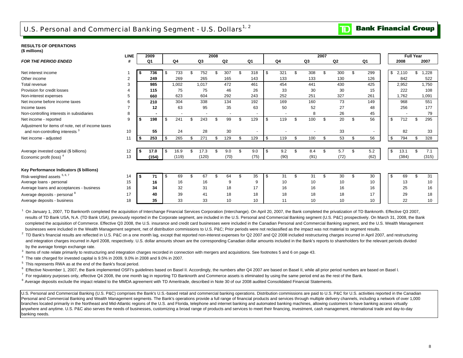# U.S. Personal and Commercial Banking Segment - U.S. Dollars<sup>1, 2</sup>

### **RESULTS OF OPERATIONS**

|  | (\$ millions) |  |
|--|---------------|--|
|--|---------------|--|

|                                                                                                 | <b>LINE</b>    |      | 2009           |      |                |     |       | 2008 |                          |                |                          |     |                |                          | 2007 |                |                          |         |       | <b>Full Year</b> |                 |
|-------------------------------------------------------------------------------------------------|----------------|------|----------------|------|----------------|-----|-------|------|--------------------------|----------------|--------------------------|-----|----------------|--------------------------|------|----------------|--------------------------|---------|-------|------------------|-----------------|
| <b>FOR THE PERIOD ENDED</b>                                                                     |                |      | Q <sub>1</sub> |      | Q <sub>4</sub> |     | Q3    |      | Q2                       |                | Q1                       |     | Q <sub>4</sub> | Q3                       |      | Q <sub>2</sub> | Q1                       |         | 2008  |                  | 2007            |
| Net interest income                                                                             |                | - \$ | 736            | - \$ | 733            | \$. | 752   |      | 307                      |                | 318                      | \$  | 321            | \$<br>308                | \$   | 300            | \$<br>299                | \$2,110 |       | \$               | 1,228           |
| Other income                                                                                    | $\overline{2}$ |      | 249            |      | 269            |     | 265   |      | 165                      |                | 143                      |     | 133            | 133                      |      | 130            | 126                      |         | 842   |                  | 522             |
| Total revenue                                                                                   | 3              |      | 985            |      | 1,002          |     | 1,017 |      | 472                      |                | 461                      |     | 454            | 441                      |      | 430            | 425                      |         | 2,952 |                  | 1,750           |
| Provision for credit losses                                                                     |                |      | 115            |      | 75             |     | 75    |      | 46                       |                | 26                       |     | 33             | 30                       |      | 30             | 15                       |         | 222   |                  | 108             |
| Non-interest expenses                                                                           | 5              |      | 660            |      | 623            |     | 604   |      | 292                      |                | 243                      |     | 252            | 251                      |      | 327            | 261                      |         | 1,762 |                  | 1,091           |
| Net income before income taxes                                                                  | 6              |      | 210            |      | 304            |     | 338   |      | 134                      |                | 192                      |     | 169            | 160                      |      | 73             | 149                      |         | 968   |                  | 551             |
| Income taxes                                                                                    |                |      | 12             |      | 63             |     | 95    |      | 35                       |                | 63                       |     | 50             | 52                       |      | 27             | 48                       |         | 256   |                  | 177             |
| Non-controlling interests in subsidiaries                                                       | 8              |      |                |      |                |     |       |      | $\overline{\phantom{a}}$ |                | ۰                        |     |                | 8                        |      | 26             | 45                       |         |       |                  | 79              |
|                                                                                                 | 9              | \$   | ۰<br>198       |      | 241            |     | 243   |      | 99                       | £.             | 129                      |     | 119            | \$<br>100                | \$   | 20             | \$<br>56                 | \$      | 712   |                  | 295             |
| Net income - reported                                                                           |                |      |                |      |                |     |       |      |                          |                |                          |     |                |                          |      |                |                          |         |       |                  |                 |
| Adjustment for items of note, net of income taxes<br>and non-controlling interests <sup>3</sup> | 10             |      | 55             |      | 24             |     | 28    |      | 30                       |                | $\overline{\phantom{a}}$ |     |                | $\overline{\phantom{a}}$ |      | 33             | $\overline{\phantom{a}}$ |         | 82    |                  | 33              |
| Net income - adjusted                                                                           | 11             | \$   | 253            |      | 265            | \$. | 271   |      | 129                      | \$.            | 129                      | \$. | 119            | \$<br>100                | \$   | 53             | \$<br>56                 | \$      | 794   |                  | 328             |
| Average invested capital (\$ billions)                                                          | 12             | - \$ | 17.0           | l \$ | 16.9           | \$  | 17.3  |      | 9.0                      | £.             | 9.0                      | \$  | 9.2            | \$<br>8.4                | \$   | 5.7            | \$<br>5.2                | \$      | 13.1  | £.               | 7.1             |
| Economic profit (loss) <sup>4</sup>                                                             | 13             |      | (154)          |      | (119)          |     | (120) |      | (70)                     |                | (75)                     |     | (90)           | (91)                     |      | (72)           | (62)                     |         | (384) |                  | (315)           |
| Key Performance Indicators (\$ billions)                                                        |                |      |                |      |                |     |       |      |                          |                |                          |     |                |                          |      |                |                          |         |       |                  |                 |
| Risk-weighted assets 5, 6, 7                                                                    | 14             | - \$ | 71             | - \$ | 69             | \$  | 67    |      | 64                       | $\mathfrak{L}$ | 35                       | \$. | 31             | \$<br>31                 | \$   | 30             | \$<br>30                 | \$      | 69    | £.               | 31              |
| Average loans - personal                                                                        | 15             |      | 16             |      | 16             |     | 16    |      | 9                        |                | 9                        |     | 10             | 10                       |      | 10             | 10                       |         | 13    |                  | 10 <sup>1</sup> |
| Average loans and acceptances - business                                                        | 16             |      | 34             |      | 32             |     | 31    |      | 18                       |                | 17                       |     | 16             | 16                       |      | 16             | 16                       |         | 25    |                  | 16              |
| Average deposits - personal 8                                                                   | 17             |      | 40             |      | 39             |     | 41    |      | 18                       |                | 18                       |     | 18             | 18                       |      | 18             | 17                       |         | 29    |                  | 18              |
| Average deposits - business                                                                     | 18             |      | 35             |      | 33             |     | 33    |      | 10 <sup>10</sup>         |                | 10                       |     | 11             | 10                       |      | 10             | 10                       |         | 22    |                  | 10              |

 $1$  On January 1, 2007, TD Banknorth completed the acquisition of Interchange Financial Services Corporation (Interchange). On April 20, 2007, the Bank completed the privatization of TD Banknorth. Effective Q3 2007, results of TD Bank USA, N.A. (TD Bank USA), previously reported in the Corporate segment, are included in the U.S. Personal and Commercial Banking segment (U.S. P&C) prospectively. On March 31, 2008, the Bank completed the acquisition of Commerce. Effective Q3 2008, the U.S. insurance and credit card businesses were included in the Canadian Personal and Commercial Banking segment, and the U.S. Wealth Management businesses were included in the Wealth Management segment, net of distribution commissions to U.S. P&C; Prior periods were not reclassified as the impact was not material to segment results.<br><sup>2</sup> TD Boak's financial results

 2 TD Bank's financial results are reflected in U.S. P&C on a one month lag, except that reported non-interest expenses for Q2 2007 and Q2 2008 included restructuring charges incurred in April 2007, and restructuring and integration charges incurred in April 2008, respectively. U.S. dollar amounts shown are the corresponding Canadian dollar amounts included in the Bank's reports to shareholders for the relevant periods divided by the average foreign exchange rate.

 $3$  Items of note relate primarily to restructuring and integration charges recorded in connection with mergers and acquisitions. See footnotes 5 and 6 on page 43.

 $4$  The rate charged for invested capital is  $9.5\%$  in 2009,  $9.0\%$  in 2008 and  $9.0\%$  in 2007.

5 This represents RWA as at the end of the Bank's fiscal period.

<sup>6</sup> Effective November 1, 2007, the Bank implemented OSFI's guidelines based on Basel II. Accordingly, the numbers after Q4 2007 are based on Basel II, while all prior period numbers are based on Basel I.

 $^7$  For regulatory purposes only, effective Q4 2008, the one month lag in reporting TD Banknorth and Commerce assets is eliminated by using the same period end as the rest of the Bank.

 $8$  Average deposits exclude the impact related to the MMDA agreement with TD Ameritrade, described in Note 30 of our 2008 audited Consolidated Financial Statements.

U.S. Personal and Commercial Banking (U.S. P&C) comprises the Bank's U.S.-based retail and commercial banking operations. Distribution commissions are paid to U.S. P&C for U.S. activities reported in the Canadian Personal and Commercial Banking and Wealth Management segments. The Bank's operations provide a full range of financial products and services through multiple delivery channels, including a network of over 1,000 branches located primarily in the Northeast and Mid-Atlantic regions of the U.S. and Florida, telephone and internet banking and automated banking machines, allowing customers to have banking access virtually anywhere and anytime. U.S. P&C also serves the needs of businesses, customizing a broad range of products and services to meet their financing, investment, cash management, international trade and day-to-day banking needs.

#### **Bank Financial Group**  $\mathbf T$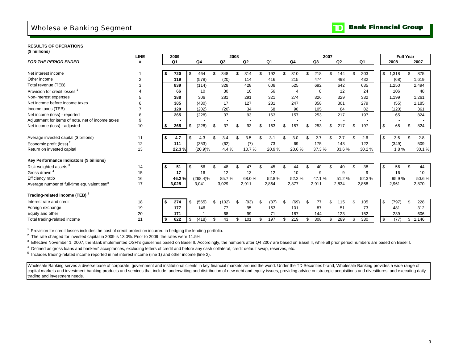# Wholesale Banking Segment

#### **RESULTS OF OPERATIONS**

|  | (\$ millions) |  |
|--|---------------|--|
|--|---------------|--|

|                                                   | <b>LINE</b>    |      | 2009           |             |             | 2008 |       |     |       |     |                |     | 2007  |           |           |             | <b>Full Year</b> |       |
|---------------------------------------------------|----------------|------|----------------|-------------|-------------|------|-------|-----|-------|-----|----------------|-----|-------|-----------|-----------|-------------|------------------|-------|
| <b>FOR THE PERIOD ENDED</b>                       | #              |      | Q <sub>1</sub> | Q4          | Q3          |      | Q2    |     | Q1    |     | Q4             |     | Q3    | Q2        | Q1        | 2008        |                  | 2007  |
|                                                   |                |      |                |             |             |      |       |     |       |     |                |     |       |           |           |             |                  |       |
| Net interest income                               |                | Ŝ.   | 720            | \$<br>464   | \$<br>348   | \$   | 314   | £.  | 192   | \$  | 310            | \$  | 218   | \$<br>144 | \$<br>203 | \$<br>1,318 | \$               | 875   |
| Other income                                      | $\overline{2}$ |      | 119            | (578)       | (20)        |      | 114   |     | 416   |     | 215            |     | 474   | 498       | 432       | (68)        |                  | 1,619 |
| Total revenue (TEB)                               | 3              |      | 839            | (114)       | 328         |      | 428   |     | 608   |     | 525            |     | 692   | 642       | 635       | 1,250       |                  | 2,494 |
| Provision for credit losses                       |                |      | 66             | 10          | 30          |      | 10    |     | 56    |     | $\overline{4}$ |     | 8     | 12        | 24        | 106         |                  | 48    |
| Non-interest expenses                             |                |      | 388            | 306         | 281         |      | 291   |     | 321   |     | 274            |     | 326   | 329       | 332       | 1,199       |                  | 1,261 |
| Net income before income taxes                    |                |      | 385            | (430)       | 17          |      | 127   |     | 231   |     | 247            |     | 358   | 301       | 279       | (55)        |                  | 1,185 |
| Income taxes (TEB)                                |                |      | 120            | (202)       | (20)        |      | 34    |     | 68    |     | 90             |     | 105   | 84        | 82        | (120)       |                  | 361   |
| Net income (loss) - reported                      | 8              |      | 265            | (228)       | 37          |      | 93    |     | 163   |     | 157            |     | 253   | 217       | 197       | 65          |                  | 824   |
| Adjustment for items of note, net of income taxes | 9              |      |                |             |             |      |       |     |       |     |                |     |       |           |           |             |                  |       |
| Net income (loss) - adjusted                      | 10             | - \$ | 265            | \$<br>(228) | \$<br>37    | \$   | 93    | \$  | 163   | \$  | 157            | \$  | 253   | \$<br>217 | \$<br>197 | \$<br>65    | \$               | 824   |
|                                                   |                |      |                |             |             |      |       |     |       |     |                |     |       |           |           |             |                  |       |
| Average invested capital (\$ billions)            | 11             |      | 4.7            | 4.3         | 3.4         | \$   | 3.5   |     | 3.1   | -\$ | 3.0            | \$. | 2.7   | 2.7       | \$<br>2.6 | \$<br>3.6   | \$               | 2.8   |
| Economic profit (loss) <sup>2</sup>               | 12             |      | 111            | (353)       | (62)        |      | (7)   |     | 73    |     | 69             |     | 175   | 143       | 122       | (349)       |                  | 509   |
| Return on invested capital                        | 13             |      | 22.3%          | (20.9)%     | 4.4%        |      | 10.7% |     | 20.9% |     | 20.6%          |     | 37.3% | 33.6%     | 30.2%     | 1.8%        |                  | 30.1% |
|                                                   |                |      |                |             |             |      |       |     |       |     |                |     |       |           |           |             |                  |       |
| Key Performance Indicators (\$ billions)          |                |      |                |             |             |      |       |     |       |     |                |     |       |           |           |             |                  |       |
| Risk-weighted assets <sup>3</sup>                 | 14             | Ŝ.   | 51             | \$<br>56    | \$<br>48    | \$   | 47    | \$. | 45    | -\$ | 44             | \$  | 40    | \$<br>40  | \$<br>38  | \$<br>56    | \$               | 44    |
| Gross drawn <sup>4</sup>                          | 15             |      | 17             | 16          | 12          |      | 13    |     | 12    |     | 10             |     | 9     | 9         | 9         | 16          |                  | 10    |
| Efficiency ratio                                  | 16             |      | 46.2%          | $(268.4)\%$ | 85.7%       |      | 68.0% |     | 52.8% |     | 52.2%          |     | 47.1% | 51.2%     | 52.3%     | 95.9%       |                  | 50.6% |
| Average number of full-time equivalent staff      | 17             |      | 3,025          | 3,041       | 3,029       |      | 2,911 |     | 2,864 |     | 2,877          |     | 2,911 | 2,834     | 2,858     | 2,961       |                  | 2,870 |
|                                                   |                |      |                |             |             |      |       |     |       |     |                |     |       |           |           |             |                  |       |
| Trading-related income (TEB) <sup>5</sup>         |                |      |                |             |             |      |       |     |       |     |                |     |       |           |           |             |                  |       |
| Interest rate and credit                          | 18             | Ŝ.   | 274            | \$<br>(565) | \$<br>(102) | \$   | (93)  | \$  | (37)  | \$  | (69)           | \$  | 77    | \$<br>115 | \$<br>105 | \$<br>(797) | \$               | 228   |
| Foreign exchange                                  | 19             |      | 177            | 146         | 77          |      | 95    |     | 163   |     | 101            |     | 87    | 51        | 73        | 481         |                  | 312   |
| Equity and other                                  | 20             |      | 171            |             | 68          |      | 99    |     | 71    |     | 187            |     | 144   | 123       | 152       | 239         |                  | 606   |
| Total trading-related income                      | 21             |      | 622            | \$<br>(418) | \$<br>43    | \$   | 101   | \$  | 197   | -\$ | 219            | S   | 308   | \$<br>289 | \$<br>330 | \$<br>(77)  | \$               | 1.146 |

1 Provision for credit losses includes the cost of credit protection incurred in hedging the lending portfolio.

<sup>2</sup> The rate charged for invested capital in 2009 is 13.0%. Prior to 2009, the rates were 11.5%.

<sup>3</sup> Effective November 1, 2007, the Bank implemented OSFI's guidelines based on Basel II. Accordingly, the numbers after Q4 2007 are based on Basel II, while all prior period numbers are based on Basel I.

4 Defined as gross loans and bankers' acceptances, excluding letters of credit and before any cash collateral, credit default swap, reserves, etc.

5 Includes trading-related income reported in net interest income (line 1) and other income (line 2).

Wholesale Banking serves a diverse base of corporate, government and institutional clients in key financial markets around the world. Under the TD Securities brand, Wholesale Banking provides a wide range of capital markets and investment banking products and services that include: underwriting and distribution of new debt and equity issues, providing advice on strategic acquisitions and divestitures, and executing daily trading and investment needs.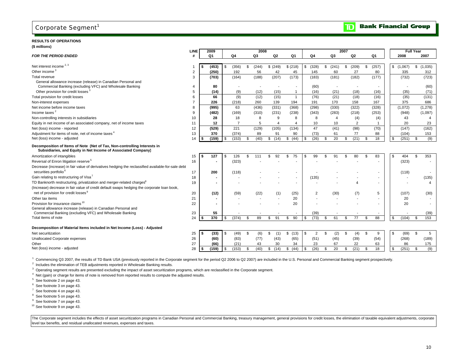# Corporate Segment<sup>1</sup>

#### **RESULTS OF OPERATIONS(\$ millions)**

|                                                                                                                                           | LINE           |    | 2009  |      |                |     | 2008           |            |                |                |     |       | 2007 |                |             |    |           | <b>Full Year</b> |           |
|-------------------------------------------------------------------------------------------------------------------------------------------|----------------|----|-------|------|----------------|-----|----------------|------------|----------------|----------------|-----|-------|------|----------------|-------------|----|-----------|------------------|-----------|
| <b>FOR THE PERIOD ENDED</b>                                                                                                               |                |    | Q1    |      | Q4             |     | Q <sub>3</sub> | Q2         | Q <sub>1</sub> | Q <sub>4</sub> |     | Q3    |      | Q2             | Q1          |    | 2008      |                  | 2007      |
|                                                                                                                                           |                |    |       |      |                |     |                |            |                |                |     |       |      |                |             |    |           |                  |           |
| Net interest income $2,3$                                                                                                                 |                |    | (453) |      | (356)          | \$  | (244)          | \$ (249)   | \$(218)        | \$<br>(328)    | \$  | (241) | \$   | (209)          | \$<br>(257) |    | \$(1,067) |                  | \$(1,035) |
| Other income <sup>3</sup>                                                                                                                 | $\overline{2}$ |    | (250) |      | 192            |     | 56             | 42         | 45             | 145            |     | 60    |      | 27             | 80          |    | 335       |                  | 312       |
| Total revenue                                                                                                                             | 3              |    | (703) |      | (164)          |     | (188)          | (207)      | (173)          | (183)          |     | (181) |      | (182)          | (177)       |    | (732)     |                  | (723)     |
| General allowance increase (release) in Canadian Personal and<br>Commercial Banking (excluding VFC) and Wholesale Banking                 | 4              |    | 80    |      |                |     |                |            |                | (60)           |     |       |      |                |             |    |           |                  | (60)      |
| Other provision for credit losses <sup>3</sup>                                                                                            | 5              |    | (14)  |      | (9)            |     | (12)           | (15)       |                | (16)           |     | (21)  |      | (18)           | (16)        |    | (35)      |                  | (71)      |
| Total provision for credit losses                                                                                                         | 6              |    | 66    |      | (9)            |     | (12)           | (15)       | $\overline{1}$ | (76)           |     | (21)  |      | (18)           | (16)        |    | (35)      |                  | (131)     |
| Non-interest expenses                                                                                                                     | $\overline{7}$ |    | 226   |      | (218)          |     | 260            | 139        | 194            | 191            |     | 170   |      | 158            | 167         |    | 375       |                  | 686       |
| Net income before income taxes                                                                                                            | 8              |    | (995) |      | 63             |     | (436)          | (331)      | (368)          | (298)          |     | (330) |      | (322)          | (328)       |    | (1,072)   |                  | (1,278)   |
| Income taxes <sup>2</sup>                                                                                                                 | 9              |    | (482) |      | (169)          |     | (310)          | (231)      | (238)          | (343)          |     | (283) |      | (218)          | (253)       |    | (948)     |                  | (1,097)   |
| Non-controlling interests in subsidiaries                                                                                                 | 10             |    | 28    |      | 18             |     | 8              | 9          | 8              | 8              |     | 4     |      | (4)            | (4)         |    | 43        |                  | 4         |
| Equity in net income of an associated company, net of income taxes                                                                        | 11             |    | 12    |      | $\overline{7}$ |     | 5              | Δ          | Δ              | 10             |     | 10    |      | $\overline{2}$ |             |    | 20        |                  | 23        |
| Net (loss) income - reported                                                                                                              | 12             |    | (529) |      | 221            |     | (129)          | (105)      | (134)          | 47             |     | (41)  |      | (98)           | (70)        |    | (147)     |                  | (162)     |
| Adjustment for items of note, net of income taxes <sup>4</sup>                                                                            | 13             |    | 370   |      | (374)          |     | 89             | 91         | 90             | (73)           |     | 61    |      | 77             | 88          |    | (104)     |                  | 153       |
| Net (loss) income - adjusted                                                                                                              | 14             |    | (159) |      | (153)          | \$  | (40)           | (14)<br>\$ | \$<br>(44)     | \$<br>(26)     | \$  | 20    | \$.  | (21)           | \$<br>18    | \$ | (251)     | S.               | (9)       |
| Decomposition of Items of Note (Net of Tax, Non-controlling Interests in<br>Subsidiaries, and Equity in Net Income of Associated Company) |                |    |       |      |                |     |                |            |                |                |     |       |      |                |             |    |           |                  |           |
| Amortization of intangibles                                                                                                               | 15             | \$ | 127   | - \$ | 126            | £.  | 111            | 92<br>\$.  | \$<br>75       | \$<br>99       |     | 91    | \$.  | 80             | \$<br>83    | -S | 404       | \$               | 353       |
| Reversal of Enron litigation reserve <sup>5</sup>                                                                                         | 16             |    |       |      | (323)          |     |                |            |                |                |     |       |      |                |             |    | (323)     |                  |           |
| Decrease (increase) in fair value of derivatives hedging the reclassified available-for-sale debt<br>securities portfolio <sup>6</sup>    | 17             |    | 200   |      | (118)          |     |                |            |                |                |     |       |      |                |             |    | (118)     |                  |           |
| Gain relating to restructuring of Visa <sup>7</sup>                                                                                       | 18             |    |       |      |                |     |                |            |                | (135)          |     |       |      |                |             |    |           |                  | (135)     |
| TD Banknorth restructuring, privatization and merger-related charges <sup>8</sup>                                                         | 19             |    |       |      |                |     |                |            |                |                |     |       |      | Δ              |             |    |           |                  | 4         |
| (Increase) decrease in fair value of credit default swaps hedging the corporate loan book,                                                |                |    |       |      |                |     |                |            |                |                |     |       |      |                |             |    |           |                  |           |
| net of provision for credit losses <sup>9</sup>                                                                                           | 20             |    | (12)  |      | (59)           |     | (22)           | (1)        | (25)           | $\overline{2}$ |     | (30)  |      | (7)            | 5           |    | (107)     |                  | (30)      |
| Other tax items                                                                                                                           | 21             |    |       |      |                |     |                |            | 20             |                |     |       |      |                |             |    | 20        |                  |           |
| Provision for insurance claims <sup>10</sup>                                                                                              | 22             |    |       |      |                |     |                |            | 20             |                |     |       |      |                |             |    | 20        |                  |           |
| General allowance increase (release) in Canadian Personal and                                                                             |                |    |       |      |                |     |                |            |                |                |     |       |      |                |             |    |           |                  |           |
| Commercial Banking (excluding VFC) and Wholesale Banking                                                                                  | 23             |    | 55    |      |                |     |                |            |                | (39)           |     |       |      |                |             |    |           |                  | (39)      |
| Total items of note                                                                                                                       | 24             |    | 370   |      | (374)          | . ፍ | 89             | 91<br>. ፍ  | 90<br>\$       | \$<br>(73)     | S.  | 61    | \$.  | 77             | \$<br>88    | \$ | (104)     | \$               | 153       |
|                                                                                                                                           |                |    |       |      |                |     |                |            |                |                |     |       |      |                |             |    |           |                  |           |
| Decomposition of Material Items included in Net Income (Loss) - Adjusted                                                                  |                |    |       |      |                |     |                |            |                |                |     |       |      |                |             |    |           |                  |           |
| Net securitization                                                                                                                        | 25             | S. | (33)  |      | (49)           |     | (6)            | (1)<br>. ፍ | \$(13)         | \$<br>2        | \$. | (2)   | \$   | (4)            | \$<br>9     | S  | (69)      | \$               | 5         |
| <b>Unallocated Corporate expenses</b>                                                                                                     | 26             |    | (60)  |      | (83)           |     | (77)           | (43)       | (65)           | (51)           |     | (45)  |      | (39)           | (54)        |    | (268)     |                  | (189)     |
| Other                                                                                                                                     | 27             |    | (66)  |      | (21)           |     | 43             | 30         | 34             | 23             |     | 67    |      | 22             | 63          |    | 86        |                  | 175       |
| Net (loss) income - adjusted                                                                                                              | 28             |    | (159) |      | (153)          | \$  | (40)           | (14)<br>\$ | \$ (44)        | \$<br>(26)     | \$  | 20    | \$   | (21)           | \$<br>18    | \$ | (251)     | \$               | (9)       |

1 Commencing Q3 2007, the results of TD Bank USA (previously reported in the Corporate segment for the period Q2 2006 to Q2 2007) are included in the U.S. Personal and Commercial Banking segment prospectively.

<sup>2</sup> Includes the elimination of TEB adjustments reported in Wholesale Banking results.

<sup>3</sup> Operating segment results are presented excluding the impact of asset securitization programs, which are reclassified in the Corporate segment.

<sup>4</sup> Net (gain) or charge for items of note is removed from reported results to compute the adjusted results.

5 See footnote 2 on page 43.

6 See footnote 3 on page 43.

7 See footnote 4 on page 43.

<sup>8</sup> See footnote 5 on page 43.

<sup>9</sup> See footnote 7 on page 43.

10 See footnote 9 on page 43.

The Corporate segment includes the effects of asset securitization programs in Canadian Personal and Commercial Banking, treasury management, general provisions for credit losses, the elimination of taxable equivalent adju level tax benefits, and residual unallocated revenues, expenses and taxes.

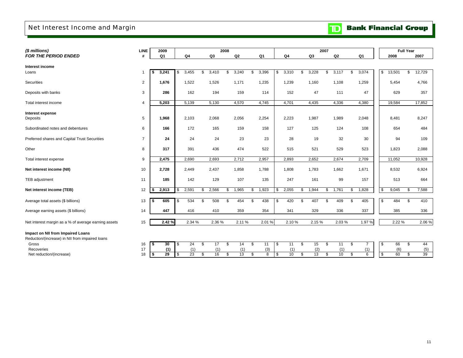# Net Interest Income and Margin

# **TD** Bank Financial Group

| (\$ millions)                                        | <b>LINE</b>             |           | 2009            |                       |     |       | 2008 |        |             |             |             | 2007 |       |                      |              | <b>Full Year</b> |        |
|------------------------------------------------------|-------------------------|-----------|-----------------|-----------------------|-----|-------|------|--------|-------------|-------------|-------------|------|-------|----------------------|--------------|------------------|--------|
| FOR THE PERIOD ENDED                                 | #                       |           | Q1              | Q4                    |     | Q3    |      | Q2     | Q1          | Q4          | Q3          |      | Q2    | Q1                   | 2008         |                  | 2007   |
|                                                      |                         |           |                 |                       |     |       |      |        |             |             |             |      |       |                      |              |                  |        |
| Interest income                                      |                         |           |                 |                       |     |       |      |        |             |             |             |      |       |                      |              |                  |        |
| Loans                                                |                         | \$        | 3,241           | \$<br>3,455           | \$  | 3,410 | \$   | 3,240  | \$<br>3,396 | \$<br>3,310 | \$<br>3,228 | \$   | 3,117 | \$<br>3,074          | \$<br>13,501 | \$               | 12,729 |
| Securities                                           | 2                       |           | 1,676           | 1,522                 |     | 1,526 |      | 1,171  | 1,235       | 1,239       | 1,160       |      | 1,108 | 1,259                | 5,454        |                  | 4,766  |
| Deposits with banks                                  | 3                       |           | 286             | 162                   |     | 194   |      | 159    | 114         | 152         | 47          |      | 111   | 47                   | 629          |                  | 357    |
| Total interest income                                | $\overline{\mathbf{A}}$ |           | 5,203           | 5,139                 |     | 5,130 |      | 4,570  | 4,745       | 4,701       | 4,435       |      | 4,336 | 4,380                | 19,584       |                  | 17,852 |
| Interest expense                                     |                         |           |                 |                       |     |       |      |        |             |             |             |      |       |                      |              |                  |        |
| Deposits                                             | 5                       |           | 1,968           | 2,103                 |     | 2,068 |      | 2,056  | 2,254       | 2,223       | 1,987       |      | 1,989 | 2,048                | 8,481        |                  | 8,247  |
|                                                      |                         |           |                 |                       |     |       |      |        |             |             |             |      |       |                      |              |                  |        |
| Subordinated notes and debentures                    | 6                       |           | 166             | 172                   |     | 165   |      | 159    | 158         | 127         | 125         |      | 124   | 108                  | 654          |                  | 484    |
| Preferred shares and Capital Trust Securities        | $\overline{7}$          |           | 24              | 24                    |     | 24    |      | 23     | 23          | 28          | 19          |      | 32    | 30                   | 94           |                  | 109    |
| Other                                                | 8                       |           | 317             | 391                   |     | 436   |      | 474    | 522         | 515         | 521         |      | 529   | 523                  | 1,823        |                  | 2,088  |
| Total interest expense                               | 9                       |           | 2,475           | 2,690                 |     | 2,693 |      | 2,712  | 2,957       | 2,893       | 2,652       |      | 2,674 | 2,709                | 11,052       |                  | 10,928 |
| Net interest income (NII)                            | 10                      |           | 2,728           | 2,449                 |     | 2,437 |      | 1,858  | 1,788       | 1,808       | 1,783       |      | 1,662 | 1,671                | 8,532        |                  | 6,924  |
| TEB adjustment                                       | 11                      |           | 185             | 142                   |     | 129   |      | 107    | 135         | 247         | 161         |      | 99    | 157                  | 513          |                  | 664    |
| Net interest income (TEB)                            | 12                      | \$        | 2,913           | \$<br>2,591           | \$. | 2,566 | \$   | 1,965  | \$<br>1,923 | \$<br>2,055 | \$<br>1,944 | \$   | 1,761 | \$<br>1,828          | \$<br>9,045  | \$               | 7,588  |
| Average total assets (\$ billions)                   | 13                      | \$        | 605             | \$<br>534             | \$  | 508   | \$   | 454    | \$<br>438   | \$<br>420   | \$<br>407   | \$   | 409   | \$<br>405            | \$<br>484    | \$               | 410    |
|                                                      |                         |           |                 |                       |     |       |      |        |             |             |             |      |       |                      |              |                  |        |
| Average earning assets (\$ billions)                 | 14                      |           | 447             | 416                   |     | 410   |      | 359    | 354         | 341         | 329         |      | 336   | 337                  | 385          |                  | 336    |
| Net interest margin as a % of average earning assets | 15                      |           | 2.42%           | 2.34 %                |     | 2.36% |      | 2.11 % | 2.01%       | 2.10%       | 2.15%       |      | 2.03% | 1.97%                | 2.22 %       |                  | 2.06%  |
| Impact on NII from Impaired Loans                    |                         |           |                 |                       |     |       |      |        |             |             |             |      |       |                      |              |                  |        |
| Reduction/(increase) in NII from impaired loans      |                         |           |                 |                       |     |       |      |        |             |             |             |      |       |                      |              |                  |        |
| Gross                                                | 16                      | \$        | 30              | \$<br>24              | \$  | 17    | \$   | 14     | \$<br>11    | \$<br>11    | \$<br>15    | \$   | 11    | \$<br>$\overline{7}$ | \$<br>66     | \$               | 44     |
| Recoveries                                           | 17                      |           | (1)             | (1)                   |     | (1)   |      | (1)    | (3)         | (1)         | (2)         |      | (1)   | (1)                  | (6)          |                  | (5)    |
| Net reduction/(increase)                             | 18                      | <b>\$</b> | $\overline{29}$ | \$<br>$\overline{23}$ | \$  | 16    | \$   | 13     | \$<br>8     | \$<br>10    | \$<br>13    | \$   | 10    | \$<br>6              | \$<br>60     | \$               | 39     |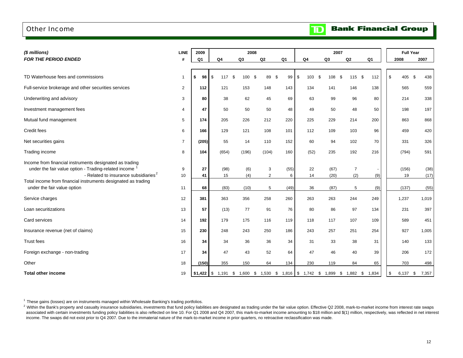## Other Income

**Bank Financial Group**  $\mathbf{D}$ 

| (\$ millions)                                                                                                                                                                                                                                                       | <b>LINE</b>    | 2009           |                    | 2008               |                          |                   |                | 2007                                                                       |                            |            | <b>Full Year</b>     |                      |
|---------------------------------------------------------------------------------------------------------------------------------------------------------------------------------------------------------------------------------------------------------------------|----------------|----------------|--------------------|--------------------|--------------------------|-------------------|----------------|----------------------------------------------------------------------------|----------------------------|------------|----------------------|----------------------|
| FOR THE PERIOD ENDED                                                                                                                                                                                                                                                | #              | Q <sub>1</sub> | Q4                 | Q3                 | Q2                       | Q1                | Q4             | Q3                                                                         | Q2                         | Q1         | 2008                 | 2007                 |
| TD Waterhouse fees and commissions                                                                                                                                                                                                                                  | $\mathbf{1}$   | \$<br>98       | \$<br>117 \$       | 100                | - \$<br>89               | \$<br>99          | \$<br>103      | \$<br>108                                                                  | 115S<br>-\$                | 112        | \$<br>405            | \$<br>438            |
| Full-service brokerage and other securities services                                                                                                                                                                                                                | $\overline{2}$ | 112            | 121                | 153                | 148                      | 143               | 134            | 141                                                                        | 146                        | 138        | 565                  | 559                  |
| Underwriting and advisory                                                                                                                                                                                                                                           | 3              | 80             | 38                 | 62                 | 45                       | 69                | 63             | 99                                                                         | 96                         | 80         | 214                  | 338                  |
| Investment management fees                                                                                                                                                                                                                                          | 4              | 47             | 50                 | 50                 | 50                       | 48                | 49             | 50                                                                         | 48                         | 50         | 198                  | 197                  |
| Mutual fund management                                                                                                                                                                                                                                              | 5              | 174            | 205                | 226                | 212                      | 220               | 225            | 229                                                                        | 214                        | 200        | 863                  | 868                  |
| Credit fees                                                                                                                                                                                                                                                         | 6              | 166            | 129                | 121                | 108                      | 101               | 112            | 109                                                                        | 103                        | 96         | 459                  | 420                  |
| Net securities gains                                                                                                                                                                                                                                                | $\overline{7}$ | (205)          | 55                 | 14                 | 110                      | 152               | 60             | 94                                                                         | 102                        | 70         | 331                  | 326                  |
| Trading income                                                                                                                                                                                                                                                      | 8              | 104            | (654)              | (196)              | (104)                    | 160               | (52)           | 235                                                                        | 192                        | 216        | (794)                | 591                  |
| Income from financial instruments designated as trading<br>under the fair value option - Trading-related income<br>- Related to insurance subsidiaries <sup>2</sup><br>Total income from financial instruments designated as trading<br>under the fair value option | 9<br>10<br>11  | 27<br>41<br>68 | (98)<br>15<br>(83) | (6)<br>(4)<br>(10) | 3<br>$\overline{2}$<br>5 | (55)<br>6<br>(49) | 22<br>14<br>36 | (67)<br>(20)<br>(87)                                                       | $\overline{7}$<br>(2)<br>5 | (9)<br>(9) | (156)<br>19<br>(137) | (38)<br>(17)<br>(55) |
| Service charges                                                                                                                                                                                                                                                     | 12             | 381            | 363                | 356                | 258                      | 260               | 263            | 263                                                                        | 244                        | 249        | 1,237                | 1,019                |
| Loan securitizations                                                                                                                                                                                                                                                | 13             | 57             | (13)               | 77                 | 91                       | 76                | 80             | 86                                                                         | 97                         | 134        | 231                  | 397                  |
| Card services                                                                                                                                                                                                                                                       | 14             | 192            | 179                | 175                | 116                      | 119               | 118            | 117                                                                        | 107                        | 109        | 589                  | 451                  |
| Insurance revenue (net of claims)                                                                                                                                                                                                                                   | 15             | 230            | 248                | 243                | 250                      | 186               | 243            | 257                                                                        | 251                        | 254        | 927                  | 1,005                |
| <b>Trust fees</b>                                                                                                                                                                                                                                                   | 16             | 34             | 34                 | 36                 | 36                       | 34                | 31             | 33                                                                         | 38                         | 31         | 140                  | 133                  |
| Foreign exchange - non-trading                                                                                                                                                                                                                                      | 17             | 34             | 47                 | 43                 | 52                       | 64                | 47             | 46                                                                         | 40                         | 39         | 206                  | 172                  |
| Other                                                                                                                                                                                                                                                               | 18             | (150)          | 355                | 150                | 64                       | 134               | 230            | 119                                                                        | 84                         | 65         | 703                  | 498                  |
| <b>Total other income</b>                                                                                                                                                                                                                                           | 19             |                |                    |                    |                          |                   |                | $$1,422$ \$ 1,191 \$ 1,600 \$ 1,530 \$ 1,816 \$ 1,742 \$ 1,899 \$ 1,882 \$ |                            | 1,834      | \$<br>$6,137$ \$     | 7,357                |

 $1$  These gains (losses) are on instruments managed within Wholesale Banking's trading portfolios.

<sup>2</sup> Within the Bank's property and casualty insurance subsidiaries, investments that fund policy liabilities are designated as trading under the fair value option. Effective Q2 2008, mark-to-market income from interest rat associated with certain investments funding policy liabilities is also reflected on line 10. For Q1 2008 and Q4 2007, this mark-to-market income amounting to \$18 million and \$(1) million, respectively, was reflected in net income. The swaps did not exist prior to Q4 2007. Due to the immaterial nature of the mark-to-market income in prior quarters, no retroactive reclassification was made.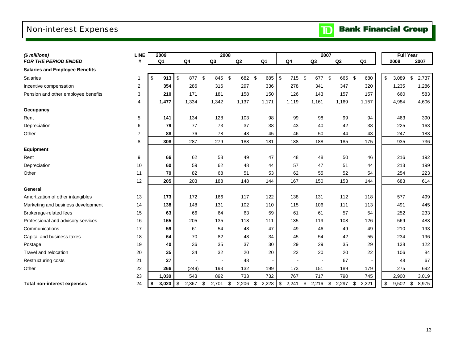# Non-interest Expenses

| (\$ millions)                         | <b>LINE</b>    | 2009           |                         |        |                | 2008 |        |                |               |        |               | 2007                     |             |     |                | <b>Full Year</b> |             |
|---------------------------------------|----------------|----------------|-------------------------|--------|----------------|------|--------|----------------|---------------|--------|---------------|--------------------------|-------------|-----|----------------|------------------|-------------|
| <b>FOR THE PERIOD ENDED</b>           | #              | Q <sub>1</sub> | Q4                      |        | Q <sub>3</sub> |      | Q2     | Q <sub>1</sub> |               | Q4     |               | Q3                       | Q2          |     | Q <sub>1</sub> | 2008             | 2007        |
| <b>Salaries and Employee Benefits</b> |                |                |                         |        |                |      |        |                |               |        |               |                          |             |     |                |                  |             |
| <b>Salaries</b>                       | 1              | \$<br>913      | $\sqrt[6]{\frac{1}{2}}$ | 877 \$ | 845            | - \$ | 682 \$ | 685            | $\sqrt[6]{3}$ | 715 \$ |               | 677 \$                   | 665         | -\$ | 680            | \$<br>3,089      | \$<br>2,737 |
| Incentive compensation                | 2              | 354            | 286                     |        | 316            |      | 297    | 336            |               | 278    |               | 341                      | 347         |     | 320            | 1,235            | 1,286       |
| Pension and other employee benefits   | 3              | 210            | 171                     |        | 181            |      | 158    | 150            |               | 126    |               | 143                      | 157         |     | 157            | 660              | 583         |
|                                       | $\overline{4}$ | 1,477          | 1,334                   |        | 1,342          |      | 1,137  | 1,171          |               | 1,119  |               | 1,161                    | 1,169       |     | 1,157          | 4,984            | 4,606       |
| Occupancy                             |                |                |                         |        |                |      |        |                |               |        |               |                          |             |     |                |                  |             |
| Rent                                  | 5              | 141            | 134                     |        | 128            |      | 103    | 98             |               | 99     |               | 98                       | 99          |     | 94             | 463              | 390         |
| Depreciation                          | 6              | 79             |                         | 77     | 73             |      | 37     | 38             |               | 43     |               | 40                       | 42          |     | 38             | 225              | 163         |
| Other                                 | $\overline{7}$ | 88             |                         | 76     | 78             |      | 48     | 45             |               | 46     |               | 50                       | 44          |     | 43             | 247              | 183         |
|                                       | 8              | 308            | 287                     |        | 279            |      | 188    | 181            |               | 188    |               | 188                      | 185         |     | 175            | 935              | 736         |
| <b>Equipment</b>                      |                |                |                         |        |                |      |        |                |               |        |               |                          |             |     |                |                  |             |
| Rent                                  | 9              | 66             |                         | 62     | 58             |      | 49     | 47             |               | 48     |               | 48                       | 50          |     | 46             | 216              | 192         |
| Depreciation                          | 10             | 60             |                         | 59     | 62             |      | 48     | 44             |               | 57     |               | 47                       | 51          |     | 44             | 213              | 199         |
| Other                                 | 11             | 79             |                         | 82     | 68             |      | 51     | 53             |               | 62     |               | 55                       | 52          |     | 54             | 254              | 223         |
|                                       | 12             | 205            | 203                     |        | 188            |      | 148    | 144            |               | 167    |               | 150                      | 153         |     | 144            | 683              | 614         |
| General                               |                |                |                         |        |                |      |        |                |               |        |               |                          |             |     |                |                  |             |
| Amortization of other intangibles     | 13             | 173            | 172                     |        | 166            |      | 117    | 122            |               | 138    |               | 131                      | 112         |     | 118            | 577              | 499         |
| Marketing and business development    | 14             | 138            | 148                     |        | 131            |      | 102    | 110            |               | 115    |               | 106                      | 111         |     | 113            | 491              | 445         |
| Brokerage-related fees                | 15             | 63             |                         | 66     | 64             |      | 63     | 59             |               | 61     |               | 61                       | 57          |     | 54             | 252              | 233         |
| Professional and advisory services    | 16             | 165            | 205                     |        | 135            |      | 118    | 111            |               | 135    |               | 119                      | 108         |     | 126            | 569              | 488         |
| Communications                        | 17             | 59             |                         | 61     | 54             |      | 48     | 47             |               | 49     |               | 46                       | 49          |     | 49             | 210              | 193         |
| Capital and business taxes            | 18             | 64             |                         | 70     | 82             |      | 48     | 34             |               | 45     |               | 54                       | 42          |     | 55             | 234              | 196         |
| Postage                               | 19             | 40             |                         | 36     | 35             |      | 37     | 30             |               | 29     |               | 29                       | 35          |     | 29             | 138              | 122         |
| Travel and relocation                 | 20             | 35             |                         | 34     | 32             |      | 20     | 20             |               | 22     |               | 20                       | 20          |     | 22             | 106              | 84          |
| Restructuring costs                   | 21             | 27             |                         |        |                |      | 48     |                |               |        |               | $\overline{\phantom{a}}$ | 67          |     |                | 48               | 67          |
| Other                                 | 22             | 266            | (249)                   |        | 193            |      | 132    | 199            |               | 173    |               | 151                      | 189         |     | 179            | 275              | 692         |
|                                       | 23             | 1,030          | 543                     |        | 892            |      | 733    | 732            |               | 767    |               | 717                      | 790         |     | 745            | 2,900            | 3,019       |
| <b>Total non-interest expenses</b>    | 24             | \$<br>3,020    | \$<br>2,367             | \$     | 2,701          | \$   | 2,206  | \$<br>2,228    | $\sqrt[6]{3}$ | 2,241  | $\mathfrak s$ | 2,216                    | \$<br>2,297 | \$  | 2,221          | \$<br>9,502      | \$<br>8,975 |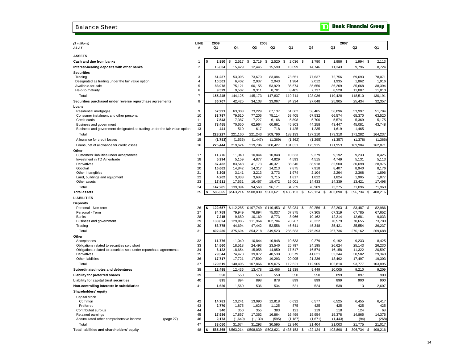#### Balance Sheet

# **TD** Bank Financial Group

| (\$ millions)                                                                                                      | LINE           | 2009            |                  |                  | 2008             |                  |                  |                  | 2007             |                     |
|--------------------------------------------------------------------------------------------------------------------|----------------|-----------------|------------------|------------------|------------------|------------------|------------------|------------------|------------------|---------------------|
| AS AT                                                                                                              | #              | Q1              | Q4               | Q3               | Q2               | Q1               | Q4               | Q3               | Q <sub>2</sub>   | Q1                  |
| <b>ASSETS</b>                                                                                                      |                |                 |                  |                  |                  |                  |                  |                  |                  |                     |
| Cash and due from banks                                                                                            | 1              | 2,850           | \$<br>2,517      | \$<br>2,719      | 2,520<br>\$      | \$<br>2,036      | \$<br>1,790      | \$<br>1,986      | \$<br>1,994      | \$<br>2,113         |
| Interest-bearing deposits with other banks                                                                         | $\overline{c}$ | 16,834          | 15,429           | 12,445           | 15,599           | 13,099           | 14,746           | 11,343           | 9,796            | 8,724               |
| <b>Securities</b>                                                                                                  |                |                 |                  |                  |                  |                  |                  |                  |                  |                     |
| Trading                                                                                                            | 3              | 51,237          | 53,095           | 73,670           | 83,084           | 73,651           | 77,637           | 72,756           | 69,093           | 78,071              |
| Designated as trading under the fair value option                                                                  | 4              | 10,501          | 6,402            | 2,037            | 2,043            | 1,984            | 2,012            | 1,935            | 1,862            | 1,916               |
| Available-for-sale                                                                                                 | 5              | 83,978          | 75,121           | 60,155           | 53,929           | 35,674           | 35,650           | 36,209           | 35,668           | 38,394              |
| Held-to-maturity                                                                                                   | 6              | 9,529           | 9,507            | 9,311            | 8,781            | 8,405            | 7,737            | 8,528            | 11,887           | 11,810              |
| Total                                                                                                              | $\overline{7}$ | 155,245         | 144,125          | 145,173          | 147,837          | 119,714          | 123,036          | 119,428          | 118,510          | 130,191             |
| Securities purchased under reverse repurchase agreements                                                           | 8              | 36,707          | 42,425           | 34,138           | 33,067           | 34,234           | 27,648           | 25,905           | 25,434           | 32,357              |
| Loans                                                                                                              |                |                 |                  |                  |                  |                  |                  |                  |                  |                     |
| Residential mortgages                                                                                              | 9              | 57,991          | 63,003           | 73,229           | 67,137           | 61,662           | 58,485           | 56,096           | 53,997           | 51,794              |
| Consumer instalment and other personal                                                                             | 10             | 83,797          | 79,610           | 77,206           | 75,114           | 68,405           | 67,532           | 66,574           | 65,370           | 63,520              |
| Credit cards                                                                                                       | 11             | 7,543           | 7,387            | 7,227            | 6,166            | 5,898            | 5,700            | 5,574            | 5,369            | 5,175               |
| Business and government                                                                                            | 12<br>13       | 78,455<br>441   | 70,650           | 62,964           | 60,661           | 45,803           | 44,258           | 43,447           | 45,081<br>1,465  | 43,748              |
| Business and government designated as trading under the fair value option                                          |                |                 | 510              | 617              | 718              | 1,425            | 1,235            | 1,619            |                  |                     |
| Total                                                                                                              | 14             | 228,227         | 221,160          | 221,243          | 209,796          | 183,193          | 177,210          | 173,310          | 171,282          | 164,237             |
| Allowance for credit losses                                                                                        | 15             | (1,783)         | (1,536)          | (1, 447)         | (1, 369)         | (1, 362)         | (1, 295)         | (1, 357)         | (1, 378)         | (1,366)             |
| Loans, net of allowance for credit losses                                                                          | 16             | 226,444         | 219,624          | 219,796          | 208,427          | 181,831          | 175,915          | 171,953          | 169,904          | 162,871             |
| Other                                                                                                              |                |                 |                  |                  |                  |                  |                  |                  |                  |                     |
| Customers' liabilities under acceptances                                                                           | 17             | 11,776<br>5,994 | 11,040           | 10,844<br>4,877  | 10,848<br>4,829  | 10,633<br>4,593  | 9,279<br>4,515   | 9,192<br>4,749   | 9,233<br>5,131   | 8,425<br>5,113      |
| Investment in TD Ameritrade<br>Derivatives                                                                         | 18<br>19       | 87,432          | 5,159<br>83,548  | 41,173           | 40,321           | 38,346           | 38,918           | 32,500           | 30,098           | 28,975              |
| Goodwill                                                                                                           | 20             | 16,662          | 14,842           | 14,317           | 14,213           | 7,875            | 7,918            | 8,407            | 8,940            | 8,176               |
| Other intangibles                                                                                                  | 21             | 3,308           | 3,141            | 3,213            | 3,773            | 1,974            | 2,104            | 2,264            | 2,368            | 1,896               |
| Land, buildings and equipment                                                                                      | 22             | 4,202           | 3,833            | 3,687            | 3,715            | 1,817            | 1,822            | 1,824            | 1,905            | 1,877               |
| Other assets                                                                                                       | 23             | 17,911          | 17,531           | 16,457           | 18,472           | 19,001           | 14,433           | 14,339           | 13,421           | 17,498              |
| Total                                                                                                              | 24             | 147,285         | 139,094          | 94,568           | 96,171           | 84,239           | 78,989           | 73,275           | 71,096           | 71,960              |
| <b>Total assets</b>                                                                                                | 25             | 585,365<br>\$   | \$563,214        | \$508,839        | \$503,621        | \$435,153        | 422,124<br>\$    | 403,890 \$<br>\$ | 396,734          | 408,216<br><b>S</b> |
| <b>LIABILITIES</b>                                                                                                 |                |                 |                  |                  |                  |                  |                  |                  |                  |                     |
| <b>Deposits</b>                                                                                                    |                |                 |                  |                  |                  |                  |                  |                  |                  |                     |
| Personal - Non-term                                                                                                | 26             | \$<br>122,657   | \$112,285        | \$107,749        | \$110.453        | \$<br>83,934     | 80,256<br>\$     | 82.203<br>Ŝ.     | 83.487<br>Ŝ.     | 82,986<br>S         |
| Personal - Term                                                                                                    | 27             | 84,759          | 79,949           | 76,894           | 75,037           | 67,875           | 67,305           | 67,319           | 67,785           | 67,652              |
| <b>Banks</b>                                                                                                       | 28             | 7,215           | 9,680            | 10,169           | 8,773            | 8,966            | 10,162           | 12,214           | 12,681           | 9,033               |
| Business and government                                                                                            | 29             | 133,824         | 129,086          | 111,964          | 102,704          | 78,267           | 73,322           | 70,579           | 70,655           | 73,780              |
| Trading                                                                                                            | 30             | 53,775          | 44,694           | 47,442           | 52,556           | 46,641           | 45,348           | 35,421           | 35,554           | 36,237              |
| Total                                                                                                              | 31             | 402,230         | 375,694          | 354,218          | 349,523          | 285,683          | 276,393          | 267,736          | 270,162          | 269,688             |
| Other                                                                                                              |                |                 |                  |                  |                  |                  |                  |                  |                  |                     |
| Acceptances                                                                                                        | 32             | 11,776          | 11,040           | 10,844           | 10,848           | 10,633           | 9,279            | 9,192            | 9,233            | 8,425               |
| Obligations related to securities sold short<br>Obligations related to securities sold under repurchase agreements | 33<br>34       | 14,560<br>6,122 | 18,518<br>18,654 | 24,493<br>15,058 | 23,546<br>14,850 | 25,797<br>17,517 | 24,195<br>16,574 | 26,624<br>16,158 | 25,143<br>11,322 | 26,230<br>20,597    |
| <b>Derivatives</b>                                                                                                 | 35             | 79,344          | 74,473           | 39,872           | 40,538           | 38,579           | 41,621           | 32,344           | 30,582           | 29,340              |
| Other liabilities                                                                                                  | 36             | 17,717          | 17,721           | 17,599           | 19,293           | 20,095           | 21,236           | 18,492           | 17,497           | 19,303              |
| Total                                                                                                              | 37             | 129,519         | 140,406          | 107,866          | 109,075          | 112,621          | 112,905          | 102,810          | 93,777           | 103,895             |
| Subordinated notes and debentures                                                                                  | 38             | 12,495          | 12,436           | 13,478           | 12,466           | 11,939           | 9,449            | 10,005           | 9,210            | 9,209               |
| Liability for preferred shares                                                                                     | 39             | 550             | 550              | 550              | 550              | 550              | 550              | 899              | 897              | 900                 |
| Liability for capital trust securities                                                                             | 40             | 895             | 894              | 898              | 878              | 899              | 899              | 899              | 900              | 900                 |
| Non-controlling interests in subsidiaries                                                                          | 41             | 1,626           | 1,560            | 536              | 534              | 521              | 524              | 538              | 13               | 2,607               |
| Shareholders' equity                                                                                               |                |                 |                  |                  |                  |                  |                  |                  |                  |                     |
| Capital stock                                                                                                      |                |                 |                  |                  |                  |                  |                  |                  |                  |                     |
| Common                                                                                                             | 42             | 14,781          | 13,241           | 13,090           | 12,818           | 6,632            | 6,577            | 6,525            | 6,455            | 6,417               |
| Preferred                                                                                                          | 43             | 2,770           | 1.875            | 1,625            | 1.125            | 875              | 425              | 425              | 425              | 425                 |
| Contributed surplus                                                                                                | 44             | 340             | 350              | 355              | 383              | 121              | 119              | 118              | 124              | 68                  |
| Retained earnings                                                                                                  | 45             | 17,986          | 17,857           | 17,362           | 16,864           | 16,499           | 15,954           | 15,378           | 14,865           | 14,375              |
| Accumulated other comprehensive income<br>(page 27)                                                                | 46             | 2,173           | (1,649)          | (1, 139)         | (595)            | (1, 187)         | (1,671)          | (1, 443)         | (94)             | (268)               |
| Total                                                                                                              | 47             | 38.050          | 31.674           | 31.293           | 30.595           | 22.940           | 21.404           | 21.003           | 21.775           | 21.017              |
| Total liabilities and shareholders' equity                                                                         | 48             | 585,365<br>\$   | \$563,214        | \$508,839        | \$503,621        | \$435,153        | 422,124<br>\$    | 403,890<br>\$    | \$<br>396,734    | \$<br>408,216       |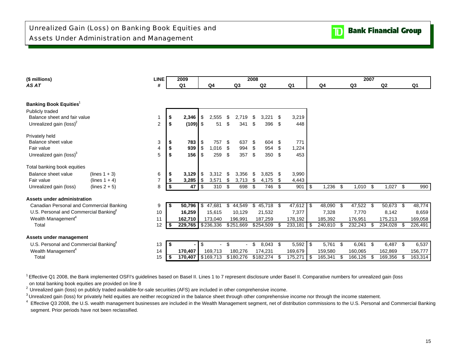| AS AT                                             |                |               | 2009                            |                  |           |              | 2008 |            |      |                |            |                |      |           | 2007 |            |     |         |
|---------------------------------------------------|----------------|---------------|---------------------------------|------------------|-----------|--------------|------|------------|------|----------------|------------|----------------|------|-----------|------|------------|-----|---------|
|                                                   | #              |               | Q1                              |                  | Q4        | Q3           |      | Q2         |      | Q <sub>1</sub> |            | Q <sub>4</sub> |      | Q3        |      | Q2         |     | Q1      |
|                                                   |                |               |                                 |                  |           |              |      |            |      |                |            |                |      |           |      |            |     |         |
| <b>Banking Book Equities</b> <sup>1</sup>         |                |               |                                 |                  |           |              |      |            |      |                |            |                |      |           |      |            |     |         |
| Publicly traded                                   |                |               |                                 |                  |           |              |      |            |      |                |            |                |      |           |      |            |     |         |
| Balance sheet and fair value                      |                | \$            | 2,346                           | \$               | 2,555     | \$<br>2,719  | \$   | 3,221      | -\$  | 3,219          |            |                |      |           |      |            |     |         |
| Unrealized gain (loss) <sup>2</sup>               | $\overline{2}$ | \$            | $(109)$ \$                      |                  | 51        | \$<br>341    | \$   | 396 \$     |      | 448            |            |                |      |           |      |            |     |         |
| Privately held                                    |                |               |                                 |                  |           |              |      |            |      |                |            |                |      |           |      |            |     |         |
| Balance sheet value                               | 3              | \$            | 783                             |                  | 757       | \$<br>637    | \$   | 604 \$     |      | 771            |            |                |      |           |      |            |     |         |
| Fair value                                        | $\overline{4}$ | \$            |                                 |                  | 1,016     | \$<br>994    | \$   | 954        | \$   | 1,224          |            |                |      |           |      |            |     |         |
| Unrealized gain (loss) <sup>3</sup>               | 5              | \$            | $156$ $\overline{\phantom{1}5}$ |                  | 259       | \$<br>357    | \$   | 350 \$     |      | 453            |            |                |      |           |      |            |     |         |
| Total banking book equities                       |                |               |                                 |                  |           |              |      |            |      |                |            |                |      |           |      |            |     |         |
| Balance sheet value<br>$(lines 1 + 3)$            | 6              | - \$          | $3,129$   \$                    |                  | 3,312     | \$<br>3,356  | \$   | $3,825$ \$ |      | 3,990          |            |                |      |           |      |            |     |         |
| Fair value<br>(lines $1 + 4$ )                    | $\overline{7}$ | \$            | $3,285$ \$                      |                  | 3,571     | \$<br>3,713  | \$   | 4,175      | -\$  | 4,443          |            |                |      |           |      |            |     |         |
| Unrealized gain (loss)<br>(lines $2 + 5$ )        | 8              | \$            | 47                              | $\overline{1}$ s | 310       | \$<br>698    | \$   | 746        | - \$ | 901            | $\sqrt{3}$ | 1,236          | \$   | 1,010     | \$   | $1,027$ \$ |     | 990     |
| Assets under administration                       |                |               |                                 |                  |           |              |      |            |      |                |            |                |      |           |      |            |     |         |
| Canadian Personal and Commercial Banking          | 9              | $\frac{2}{3}$ | $50,796$ \$                     |                  | 47,681    | \$<br>44,549 | \$   | 45,718 \$  |      | $47,612$ \$    |            | 48,090         | -\$  | 47,522 \$ |      | 50,673 \$  |     | 48,774  |
| U.S. Personal and Commercial Banking <sup>4</sup> | 10             |               | 16,259                          |                  | 15,615    | 10,129       |      | 21,532     |      | 7,377          |            | 7,328          |      | 7,770     |      | 8,142      |     | 8,659   |
| Wealth Management <sup>4</sup>                    | 11             |               | 162,710                         |                  | 173,040   | 196,991      |      | 187,259    |      | 178,192        |            | 185,392        |      | 176,951   |      | 175,213    |     | 169,058 |
| Total                                             | 12             | - \$          | 229,765 \$236,336               |                  |           | \$251,669    |      | \$254,509  |      | $233,181$ \$   |            | 240,810        |      | 232,243   |      | 234,028 \$ |     | 226,491 |
| Assets under management                           |                |               |                                 |                  |           |              |      |            |      |                |            |                |      |           |      |            |     |         |
| U.S. Personal and Commercial Banking <sup>4</sup> | 13             | $\sqrt{ }$    |                                 | \$               |           | \$           | \$.  | $8,043$ \$ |      | $5,592$ \$     |            | 5,761          | - \$ | 6,061     | \$   | 6,487 \$   |     | 6,537   |
| Wealth Management <sup>4</sup>                    | 14             |               | 170,407                         |                  | 169,713   | 180,276      |      | 174,231    |      | 169,679        |            | 159,580        |      | 160,065   |      | 162,869    |     | 156,777 |
| Total                                             | 15             | ا\$           | 170,407                         |                  | \$169,713 | \$180,276    |      | \$182,274  |      | 175,271        | 1 S        | 165,341        |      | 166,126   |      | 169,356    | -\$ | 163,314 |

<sup>1</sup> Effective Q1 2008, the Bank implemented OSFI's guidelines based on Basel II. Lines 1 to 7 represent disclosure under Basel II. Comparative numbers for unrealized gain (loss on total banking book equities are provided on line 8

<sup>2</sup> Unrealized gain (loss) on publicly traded available-for-sale securities (AFS) are included in other comprehensive income.

<sup>3</sup> Unrealized gain (loss) for privately held equities are neither recognized in the balance sheet through other comprehensive income nor through the income statement.

<sup>4</sup> Effective Q3 2008, the U.S. wealth management businesses are included in the Wealth Management segment, net of distribution commissions to the U.S. Personal and Commercial Banking segment. Prior periods have not been reclassified.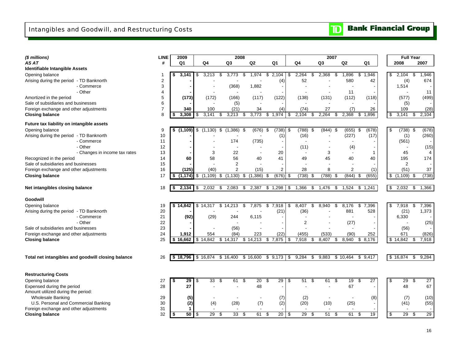| (\$ millions)                                      | <b>LINE</b>    |    | 2009           |                       |      | 2008           |      |                 |                |                       |                |               | 2007           |     |                |         |                 |            | <b>Full Year</b>                 |                          |
|----------------------------------------------------|----------------|----|----------------|-----------------------|------|----------------|------|-----------------|----------------|-----------------------|----------------|---------------|----------------|-----|----------------|---------|-----------------|------------|----------------------------------|--------------------------|
| AS AT                                              | #              |    | Q <sub>1</sub> | Q4                    |      | Q <sub>3</sub> |      | Q <sub>2</sub>  | Q <sub>1</sub> |                       | Q <sub>4</sub> |               | Q <sub>3</sub> |     | Q <sub>2</sub> | Q1      |                 |            | 2008                             | 2007                     |
| Identifiable Intangible Assets                     |                |    |                |                       |      |                |      |                 |                |                       |                |               |                |     |                |         |                 |            |                                  |                          |
| Opening balance                                    |                |    | 3,141          | \$<br>3,213           | \$   | 3,773          | \$   | 1,974           | \$<br>2,104    | \$                    | 2,264          | \$            | 2,368          | \$  | 1,896          | \$      | 1,946           | \$         | 2,104                            | 1,946<br>\$              |
| Arising during the period - TD Banknorth           | $\overline{2}$ |    |                |                       |      |                |      |                 |                | (4)                   | 52             |               |                |     | 580            |         | 42              |            | (4)                              | 674                      |
| - Commerce                                         | 3              |    |                |                       |      | (368)          |      | 1,882           |                | $\blacksquare$        |                |               |                |     |                |         |                 |            | 1,514                            |                          |
| - Other                                            | $\overline{4}$ |    |                |                       |      |                |      |                 |                |                       |                |               |                |     | 11             |         |                 |            |                                  | 11                       |
| Amortized in the period                            | 5              |    | (173)          | (172)                 |      | (166)          |      | (117)           |                | (122)                 | (138)          |               | (131)          |     | (112)          |         | (118)           |            | (577)                            | (499)                    |
| Sale of subsidiaries and businesses                | 6              |    |                |                       |      | (5)            |      |                 |                |                       |                |               |                |     |                |         |                 |            | (5)                              |                          |
| Foreign exchange and other adjustments             | $\overline{7}$ |    | 340            | 100                   |      | (21)           |      | 34              |                | (4)                   | (74)           |               | 27             |     | (7)            |         | 26              |            | 109                              | (28)                     |
| <b>Closing balance</b>                             | 8              | \$ | 3,308          | \$<br>3.141           | \$   | 3,213          | \$   | 3,773           | \$<br>1,974    | \$                    | 2,104          | \$            | 2,264          | \$  | 2,368          | \$1,896 |                 | \$         | 3,141                            | 2,104<br>\$              |
| Future tax liability on intangible assets          |                |    |                |                       |      |                |      |                 |                |                       |                |               |                |     |                |         |                 |            |                                  |                          |
| Opening balance                                    | 9              | \$ | (1, 109)       | \$<br>(1, 130)        | \$   | (1,386)        | \$   | (676)           | \$             | $(738)$ \$            | (788)          | \$            | (844)          | -\$ | (655)          | \$      | (678)           | \$         | (738)                            | (678)<br>-\$             |
| Arising during the period - TD Banknorth           | 10             |    |                |                       |      |                |      |                 |                | (1)                   | (16)           |               |                |     | (227)          |         | (17)            |            | (1)                              | (260)                    |
| - Commerce                                         | 11             |    |                |                       |      | 174            |      | (735)           |                |                       |                |               |                |     |                |         |                 |            | (561)                            |                          |
| - Other                                            | 12             |    |                |                       |      |                |      |                 |                |                       | (11)           |               |                |     | (4)            |         |                 |            |                                  | (15)                     |
| - Changes in income tax rates                      | 13             |    |                | 3                     |      | 22             |      |                 |                | 20                    |                |               | 3              |     |                |         | $\mathbf 1$     |            | 45                               | $\overline{\mathcal{L}}$ |
| Recognized in the period                           | 14             |    | 60             | 58                    |      | 56             |      | 40              |                | 41                    | 49             |               | 45             |     | 40             |         | 40              |            | 195                              | 174                      |
| Sale of subsidiaries and businesses                | 15             |    |                |                       |      | $\overline{2}$ |      |                 |                |                       |                |               |                |     |                |         |                 |            | $\overline{2}$                   |                          |
| Foreign exchange and other adjustments             | 16             |    | (125)          | (40)                  |      | $\overline{c}$ |      | (15)            |                | $\overline{2}$        | 28             |               | 8              |     | $\overline{2}$ |         | (1)             |            | (51)                             | 37                       |
| <b>Closing balance</b>                             | 17             | S  | (1, 174)       | \$<br>(1, 109)        | \$   | (1, 130)       | \$   | (1, 386)        | \$             | (676)<br>-\$          | (738)          | -\$           | (788)          | S   | (844)          | \$      | (655)           | \$         | (1,109)                          | (738)<br>\$              |
| Net intangibles closing balance                    | 18             | \$ | 2,134          | \$<br>2,032           | - \$ | 2,083          | \$   | 2,387           | \$1,298        | \$                    | 1,366          | \$            | 1,476          | \$  | 1,524          | \$      | 1,241           |            | $\sqrt[6]{\frac{1}{2}}$<br>2,032 | \$<br>1,366              |
|                                                    |                |    |                |                       |      |                |      |                 |                |                       |                |               |                |     |                |         |                 |            |                                  |                          |
| Goodwill                                           |                |    |                |                       |      |                |      |                 |                |                       |                |               |                |     |                |         |                 |            |                                  |                          |
| Opening balance                                    | 19             |    | \$14,842       | \$14,317              |      | \$14,213       | \$   | 7,875           | \$             | 7,918<br>\$           | 8,407          | \$            | 8,940          | \$  | 8,176          | \$      | 7,396           | \$         | 7,918                            | 7,396<br>\$              |
| Arising during the period - TD Banknorth           | 20             |    |                |                       |      |                |      |                 |                | (21)                  | (36)           |               |                |     | 881            |         | 528             |            | (21)                             | 1,373                    |
| - Commerce                                         | 21             |    | (92)           | (29)                  |      | 244            |      | 6.115           |                |                       |                |               |                |     |                |         |                 |            | 6,330                            |                          |
| - Other                                            | 22             |    |                |                       |      |                |      |                 |                |                       | $\overline{2}$ |               |                |     | (27)           |         |                 |            |                                  | (25)                     |
| Sale of subsidiaries and businesses                | 23             |    |                |                       |      | (56)           |      |                 |                |                       |                |               |                |     |                |         |                 |            | (56)                             |                          |
| Foreign exchange and other adjustments             | 24             |    | 1,912          | 554                   |      | (84)           |      | 223             |                | (22)                  | (455)          |               | (533)          |     | (90)           |         | 252             |            | 671                              | (826)                    |
| <b>Closing balance</b>                             | 25             |    | \$16.662       | \$14,842              |      | \$14,317       |      | \$14,213        | 7,875<br>\$    | \$                    | 7,918          | \$            | 8,407          | \$  | 8,940          | \$      | 8,176           |            | \$14,842                         | 7,918<br>\$              |
|                                                    |                |    |                |                       |      |                |      |                 |                |                       |                |               |                |     |                |         |                 |            |                                  |                          |
|                                                    |                |    | \$18,796       | \$16,874              |      | \$16,400       |      | \$16,600        | \$9,173        |                       | 9,284          | $\mathfrak s$ | 9,883          |     | \$10,464       |         |                 |            | \$16,874                         | 9,284                    |
| Total net intangibles and goodwill closing balance | 26             |    |                |                       |      |                |      |                 |                | \$                    |                |               |                |     |                | \$9,417 |                 |            |                                  | \$                       |
|                                                    |                |    |                |                       |      |                |      |                 |                |                       |                |               |                |     |                |         |                 |            |                                  |                          |
| <b>Restructuring Costs</b>                         |                |    |                |                       |      |                |      |                 |                |                       |                |               |                |     |                |         |                 |            |                                  |                          |
| Opening balance                                    | 27             | \$ | 29             | \$<br>33              | -\$  | 61             | - \$ | $\overline{20}$ | \$             | $\overline{29}$<br>\$ | 51             | \$            | 61             | \$  | 19             | \$      | $\overline{27}$ | \$         | 29                               | $\overline{27}$<br>\$    |
| Expensed during the period                         | 28             |    | 27             |                       |      |                |      | 48              |                |                       |                |               |                |     | 67             |         |                 |            | 48                               | 67                       |
| Amount utilized during the period:                 |                |    |                |                       |      |                |      |                 |                |                       |                |               |                |     |                |         |                 |            |                                  |                          |
| <b>Wholesale Banking</b>                           | 29             |    | (5)            |                       |      |                |      |                 |                | (7)                   | (2)            |               |                |     |                |         | (8)             |            | (7)                              | (10)                     |
| U.S. Personal and Commercial Banking               | 30             |    | (2)            | (4)                   |      | (28)           |      | (7)             |                | (2)                   | (20)           |               | (10)           |     | (25)           |         |                 |            | (41)                             | (55)                     |
| Foreign exchange and other adjustments             | 31             |    | 1              |                       |      |                |      |                 |                |                       | $\blacksquare$ |               |                |     |                |         |                 |            |                                  |                          |
| <b>Closing balance</b>                             | 32             | \$ | 50             | \$<br>$\overline{29}$ | \$   | 33             | \$   | 61              | \$             | 20<br>\$              | 29             | \$            | 51             | \$  | 61             | \$      | 19              | $\sqrt{3}$ | 29                               | 29<br>\$                 |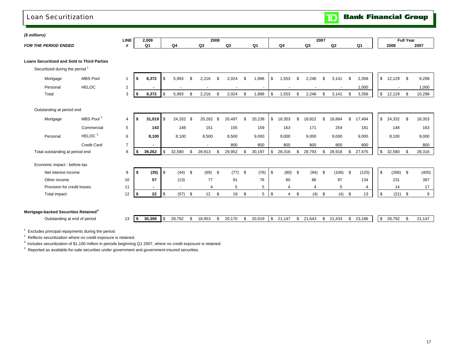## Loan Securitization

**TD** Bank Financial Group

|                                                    |                       | <b>LINE</b>     |      | 2,009          |             |                          |               |                | 2008 |                |     |                          |                      |               |        | 2007 |        |                |                   | <b>Full Year</b> |        |
|----------------------------------------------------|-----------------------|-----------------|------|----------------|-------------|--------------------------|---------------|----------------|------|----------------|-----|--------------------------|----------------------|---------------|--------|------|--------|----------------|-------------------|------------------|--------|
| <b>FOR THE PERIOD ENDED</b>                        |                       | #               |      | Q <sub>1</sub> |             | Q4                       |               | Q3             |      | Q <sub>2</sub> |     | Q <sub>1</sub>           | Q <sub>4</sub>       |               | Q3     |      | Q2     | Q <sub>1</sub> | 2008              |                  | 2007   |
| <b>Loans Securitized and Sold to Third Parties</b> |                       |                 |      |                |             |                          |               |                |      |                |     |                          |                      |               |        |      |        |                |                   |                  |        |
| Securitized during the period <sup>1</sup>         |                       |                 |      |                |             |                          |               |                |      |                |     |                          |                      |               |        |      |        |                |                   |                  |        |
| Mortgage                                           | <b>MBS Pool</b>       | $\mathbf 1$     | - \$ | 8,372          | \$          | 5,993                    | <sup>\$</sup> | 2,216          | \$   | 2.024          | \$. | 1,896                    | \$<br>.553           | -\$           | 2.246  | \$.  | 3.141  | \$<br>2,358    | \$<br>$12,129$ \$ |                  | 9,298  |
| Personal                                           | <b>HELOC</b>          | 2               |      |                |             |                          |               |                |      |                |     | $\overline{\phantom{a}}$ |                      |               |        |      |        | 1,000          |                   |                  | 1,000  |
| Total                                              |                       | 3               | -\$  | 8,372          | \$          | 5,993                    | . \$          | 2,216          | £.   | 2,024          | \$  | 1,896                    | \$<br>1,553          | <sup>\$</sup> | 2,246  | \$   | 3,141  | \$<br>3,358    | \$<br>12,129      | - \$             | 10,298 |
| Outstanding at period end                          |                       |                 |      |                |             |                          |               |                |      |                |     |                          |                      |               |        |      |        |                |                   |                  |        |
| Mortgage                                           | MBS Pool <sup>2</sup> | 4               | -9   | $31,019$ \$    |             | 24,332 \$                |               | 20,262         | \$   | 20,497         | \$  | 20,238                   | \$<br>18,353         | \$            | 18.822 | \$.  | 18.864 | \$<br>17,494   | \$<br>24,332      | - \$             | 18,353 |
|                                                    | Commercial            | $5\phantom{.0}$ |      | 143            |             | 148                      |               | 151            |      | 155            |     | 159                      | 163                  |               | 171    |      | 254    | 181            | 148               |                  | 163    |
| Personal                                           | HELOC <sup>3</sup>    | 6               |      | 8,100          |             | 8,100                    |               | 8,500          |      | 8,500          |     | 9,000                    | 9,000                |               | 9,000  |      | 9,000  | 9,000          | 8,100             |                  | 9,000  |
|                                                    | <b>Credit Card</b>    | $\overline{7}$  |      | $\blacksquare$ |             |                          |               | $\blacksquare$ |      | 800            |     | 800                      | 800                  |               | 800    |      | 800    | 800            |                   |                  | 800    |
| Total outstanding at period end                    |                       | 8               |      | 39,262         | \$          | 32,580                   | -\$           | 28,913         | \$   | 29,952         | \$  | 30,197                   | \$<br>28,316         | \$            | 28,793 | \$   | 28,918 | \$<br>27,475   | \$<br>32,580      |                  | 28,316 |
| Economic impact - before-tax                       |                       |                 |      |                |             |                          |               |                |      |                |     |                          |                      |               |        |      |        |                |                   |                  |        |
| Net interest income                                |                       | 9               | -\$  | (35)           | \$          | $(44)$ \$                |               | $(69)$ \$      |      | (77)           | \$  | (76)                     | \$<br>$(80)$ \$      |               | (94)   | \$   | (106)  | \$<br>(125)    | \$<br>$(266)$ \$  |                  | (405)  |
| Other income                                       |                       | 10              |      | 57             |             | (13)                     |               | 77             |      | 91             |     | 76                       | 80                   |               | 86     |      | 97     | 134            | 231               |                  | 397    |
| Provision for credit losses                        |                       | 11              |      |                |             | $\overline{\phantom{a}}$ |               | 4              |      | 5              |     | 5                        | $\overline{4}$       |               | 4      |      | 5      | 4              | 14                |                  | 17     |
| Total impact                                       |                       | 12              | -9   | 22             | $\mathbb S$ | $(57)$ \$                |               | 12             | \$   | 19             | \$  | 5                        | \$<br>$\overline{4}$ | \$            | (4)    | - \$ | (4)    | \$<br>13       | \$<br>$(21)$ \$   |                  | 9      |
|                                                    |                       |                 |      |                |             |                          |               |                |      |                |     |                          |                      |               |        |      |        |                |                   |                  |        |
| Mortgage-backed Securities Retained <sup>4</sup>   |                       |                 |      |                |             |                          |               |                |      |                |     |                          |                      |               |        |      |        |                |                   |                  |        |

 $1$  Excludes principal repayments during the period.

2 Reflects securitization where no credit exposure is retained.

<sup>3</sup> Includes securitization of \$1,100 million in periods beginning Q1 2007, where no credit exposure is retained.

4 Reported as available-for-sale securities under government and government-insured securities.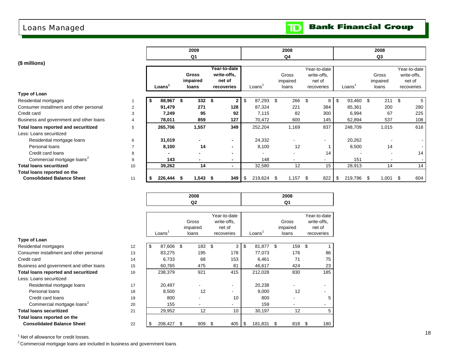# Loans Managed

| <b>Bank Financial Group</b> |  |
|-----------------------------|--|
|-----------------------------|--|

 $\mathbf{D}$ 

|                                             |    |         | 2009         |                          |                    |       | 2008                     |     |             |                          |               |      | 2008                     |      |              |
|---------------------------------------------|----|---------|--------------|--------------------------|--------------------|-------|--------------------------|-----|-------------|--------------------------|---------------|------|--------------------------|------|--------------|
|                                             |    |         | Q1           |                          |                    |       | Q <sub>4</sub>           |     |             |                          |               |      | Q <sub>3</sub>           |      |              |
| (\$ millions)                               |    |         |              |                          |                    |       |                          |     |             |                          |               |      |                          |      |              |
|                                             |    |         |              | Year-to-date             |                    |       |                          |     |             | Year-to-date             |               |      |                          |      | Year-to-date |
|                                             |    |         | <b>Gross</b> | write-offs.              |                    |       | Gross                    |     | write-offs. |                          |               |      | Gross                    |      | write-offs.  |
|                                             |    |         | impaired     | net of                   |                    |       | impaired                 |     |             | net of                   |               |      | impaired                 |      | net of       |
|                                             |    | Loans   | loans        | recoveries               | Loans <sup>'</sup> |       | loans                    |     |             | recoveries               | Loans         |      | loans                    |      | recoveries   |
| Type of Loan                                |    |         |              |                          |                    |       |                          |     |             |                          |               |      |                          |      |              |
| Residential mortgages                       |    | 88,967  | 332S         | $\mathbf{2}$             | \$<br>87,293       |       | \$                       | 266 | \$          | 8                        | \$<br>93,460  | \$.  | 211                      | \$   | 5            |
| Consumer installment and other personal     | 2  | 91,479  | 271          | 128                      | 87,324             |       |                          | 221 |             | 384                      | 85,361        |      | 200                      |      | 280          |
| Credit card                                 | 3  | 7,249   | 95           | 92                       |                    | 7,115 |                          | 82  |             | 300                      | 6,994         |      | 67                       |      | 225          |
| Business and government and other loans     | 4  | 78,011  | 859          | 127                      | 70,472             |       |                          | 600 |             | 145                      | 62,894        |      | 537                      |      | 108          |
| <b>Total loans reported and securitized</b> | 5  | 265,706 | 1,557        | 349                      | 252,204            |       | 1,169                    |     |             | 837                      | 248,709       |      | 1,015                    |      | 618          |
| Less: Loans securitized                     |    |         |              |                          |                    |       |                          |     |             |                          |               |      |                          |      |              |
| Residential mortgage loans                  | 6  | 31,019  |              | $\blacksquare$           | 24,332             |       |                          |     |             | $\overline{\phantom{a}}$ | 20,262        |      |                          |      |              |
| Personal loans                              | 7  | 8,100   | 14           | $\overline{\phantom{0}}$ |                    | 8,100 |                          | 12  |             |                          | 8,500         |      | 14                       |      |              |
| Credit card loans                           | 8  |         |              | $\blacksquare$           | ٠                  |       | $\overline{\phantom{a}}$ |     |             | 14                       |               |      | $\overline{\phantom{a}}$ |      | 14           |
| Commercial mortgage loans <sup>2</sup>      | 9  | 143     |              | $\blacksquare$           |                    | 148   |                          |     |             | ۰                        | 151           |      |                          |      |              |
| <b>Total loans securitized</b>              | 10 | 39,262  | 14           | $\blacksquare$           | 32,580             |       |                          | 12  |             | 15                       | 28,913        |      | 14                       |      | 14           |
| Total loans reported on the                 |    |         |              |                          |                    |       |                          |     |             |                          |               |      |                          |      |              |
| <b>Consolidated Balance Sheet</b>           | 11 | 226,444 | $1,543$ \$   |                          | 219,624            |       | 1,157<br>\$.             |     | -S          | 822                      | \$<br>219,796 | - \$ | 1,001                    | - \$ | 604          |
|                                             |    |         |              |                          |                    |       |                          |     |             |                          |               |      |                          |      |              |

|                                             |    |              | 2008      |     |              |                    |   | 2008     |                          |
|---------------------------------------------|----|--------------|-----------|-----|--------------|--------------------|---|----------|--------------------------|
|                                             |    |              | Q2        |     |              |                    |   | Q1       |                          |
|                                             |    |              |           |     |              |                    |   |          |                          |
|                                             |    |              |           |     | Year-to-date |                    |   |          | Year-to-date             |
|                                             |    |              | Gross     |     | write-offs,  |                    |   | Gross    | write-offs,              |
|                                             |    |              | impaired  |     | net of       |                    |   | impaired | net of                   |
|                                             |    | Loans'       | loans     |     | recoveries   | Loans <sup>'</sup> |   | loans    | recoveries               |
| Type of Loan                                |    |              |           |     |              |                    |   |          |                          |
| Residential mortgages                       | 12 | \$<br>87,606 | \$<br>183 | -\$ | 3            | \$<br>81,877 \$    |   | 159      | \$                       |
| Consumer installment and other personal     | 13 | 83,275       | 195       |     | 178          | 77,073             |   | 176      | 86                       |
| Credit card                                 | 14 | 6,733        | 68        |     | 153          | 6,461              |   | 71       | 75                       |
| Business and government and other loans     | 15 | 60,765       | 475       |     | 81           | 46,617             |   | 424      | 23                       |
| <b>Total loans reported and securitized</b> | 16 | 238,379      | 921       |     | 415          | 212,028            |   | 830      | 185                      |
| Less: Loans securitized                     |    |              |           |     |              |                    |   |          |                          |
| Residential mortgage loans                  | 17 | 20,497       |           |     |              | 20,238             |   |          | $\overline{\phantom{a}}$ |
| Personal loans                              | 18 | 8,500        | 12        |     |              | 9,000              |   | 12       |                          |
| Credit card loans                           | 19 | 800          |           |     | 10           | 800                |   |          | 5                        |
| Commercial mortgage loans <sup>2</sup>      | 20 | 155          |           |     |              | 159                |   |          |                          |
| <b>Total loans securitized</b>              | 21 | 29,952       | 12        |     | 10           | 30,197             |   | 12       | 5                        |
| Total loans reported on the                 |    |              |           |     |              |                    |   |          |                          |
| <b>Consolidated Balance Sheet</b>           | 22 | 208,427      | \$<br>909 | \$  | 405          | \$<br>181,831      | S | 818      | \$<br>180                |

<sup>1</sup> Net of allowance for credit losses.

 $2$  Commercial mortgage loans are included in business and government loans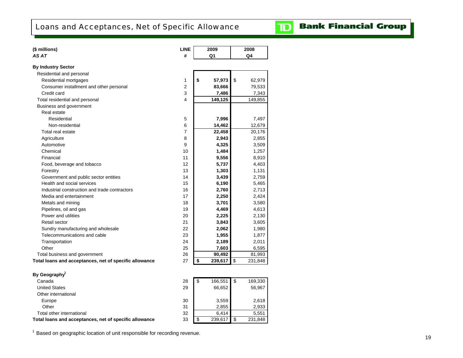

# **Bank Financial Group**

| (\$ millions)                                          | <b>LINE</b>    | 2009          | 2008          |
|--------------------------------------------------------|----------------|---------------|---------------|
| AS AT                                                  | #              | Q1            | Q4            |
| <b>By Industry Sector</b>                              |                |               |               |
| Residential and personal                               |                |               |               |
| Residential mortgages                                  | 1              | \$<br>57,973  | \$<br>62,979  |
| Consumer installment and other personal                | $\overline{2}$ | 83,666        | 79,533        |
| Credit card                                            | 3              | 7,486         | 7,343         |
| Total residential and personal                         | 4              | 149,125       | 149,855       |
| Business and government                                |                |               |               |
| Real estate                                            |                |               |               |
| Residential                                            | 5              | 7,996         | 7,497         |
| Non-residential                                        | 6              | 14,462        | 12,679        |
| Total real estate                                      | $\overline{7}$ | 22,458        | 20,176        |
| Agriculture                                            | 8              | 2,943         | 2,855         |
| Automotive                                             | 9              | 4,325         | 3,509         |
| Chemical                                               | 10             | 1,484         | 1,257         |
| Financial                                              | 11             | 9,556         | 8,910         |
| Food, beverage and tobacco                             | 12             | 5,737         | 4,403         |
| Forestry                                               | 13             | 1,303         | 1,131         |
| Government and public sector entities                  | 14             | 3,439         | 2,759         |
| Health and social services                             | 15             | 6,190         | 5,465         |
| Industrial construction and trade contractors          | 16             | 2,760         | 2,713         |
| Media and entertainment                                | 17             | 2,250         | 2,424         |
| Metals and mining                                      | 18             | 3,701         | 3,580         |
| Pipelines, oil and gas                                 | 19             | 4,469         | 4,613         |
| Power and utilities                                    | 20             | 2,225         | 2,130         |
| Retail sector                                          | 21             | 3,843         | 3,605         |
| Sundry manufacturing and wholesale                     | 22             | 2,062         | 1,980         |
| Telecommunications and cable                           | 23             | 1,955         | 1,877         |
| Transportation                                         | 24             | 2,189         | 2,011         |
| Other                                                  | 25             | 7,603         | 6,595         |
| Total business and government                          | 26             | 90,492        | 81,993        |
| Total loans and acceptances, net of specific allowance | 27             | \$<br>239,617 | \$<br>231,848 |
|                                                        |                |               |               |
| By Geography <sup>1</sup>                              |                |               |               |
| Canada                                                 | 28             | \$<br>166,551 | \$<br>169,330 |
| <b>United States</b>                                   | 29             | 66,652        | 56,967        |
| Other international                                    |                |               |               |
| Europe                                                 | 30             | 3,559         | 2,618         |
| Other                                                  | 31             | 2,855         | 2,933         |
| Total other international                              | 32             | 6,414         | 5,551         |
| Total loans and acceptances, net of specific allowance | 33             | \$<br>239,617 | \$<br>231,848 |
|                                                        |                |               |               |

<sup>1</sup> Based on geographic location of unit responsible for recording revenue.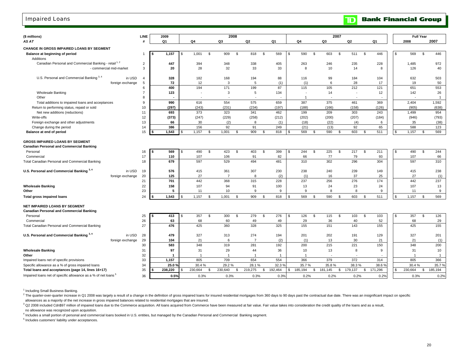### Impaired Loans

| (\$ millions)                                                                             | <b>LINE</b>    | 2009         |                |                | 2008           |                |                |                |                |               |             |                |             | 2007 |           |              |           |     | <b>Full Year</b> |                |                |
|-------------------------------------------------------------------------------------------|----------------|--------------|----------------|----------------|----------------|----------------|----------------|----------------|----------------|---------------|-------------|----------------|-------------|------|-----------|--------------|-----------|-----|------------------|----------------|----------------|
| AS AT                                                                                     | #              | Q1           | Q4             |                | Q3             |                | Q2             |                | Q1             |               | Q4          |                | Q3          |      | Q2        |              | Q1        |     | 2008             |                | 2007           |
| <b>CHANGE IN GROSS IMPAIRED LOANS BY SEGMENT</b>                                          |                |              |                |                |                |                |                |                |                |               |             |                |             |      |           |              |           |     |                  |                |                |
| Balance at beginning of period<br>Additions                                               | $\mathbf{1}$   | 1,157<br>£.  | \$<br>1,001    | <b>S</b>       | 909            | \$             | 818            | \$             | 569            | $\mathfrak s$ | 590         | \$             | 603         | \$   | 511       | \$           | 446       | s.  | 569              | <b>S</b>       | 446            |
| Canadian Personal and Commercial Banking - retail <sup>1,2</sup>                          | $\overline{2}$ | 447          | 394            |                | 348            |                | 338            |                | 405            |               | 263         |                | 246         |      | 235       |              | 228       |     | 1,485            |                | 972            |
| - commercial mid-market                                                                   | 3              | 20           | 28             |                | 32             |                | 33             |                | 33             |               | 8           |                | 10          |      | 14        |              | 8         |     | 126              |                | 40             |
| U.S. Personal and Commercial Banking 3, 4<br>in USD                                       | $\overline{4}$ | 328          | 182            |                | 168            |                | 194            |                | 88             |               | 116         |                | 99          |      | 184       |              | 104       |     | 632              |                | 503            |
| foreign exchange                                                                          | 5              | 72           | 12             |                | 3              |                | 5              |                | (1)            |               | (1)         |                | 6           |      | 28        |              | 17        |     | 19               |                | 50             |
|                                                                                           | 6              | 400          | 194            |                | 171            |                | 199            |                | 87             |               | 115         |                | 105         |      | 212       |              | 121       |     | 651              |                | 553            |
| <b>Wholesale Banking</b>                                                                  |                | 123          |                |                | 3              |                | 5              |                | 134            |               |             |                | 14          |      |           |              | 12        |     | 142              |                | 26             |
| Other                                                                                     | 8              |              |                |                |                |                |                |                |                |               |             |                |             |      |           |              |           |     |                  |                | $\overline{1}$ |
| Total additions to impaired loans and acceptances                                         | 9              | 990          | 616            |                | 554            |                | 575            |                | 659            |               | 387         |                | 375         |      | 461       |              | 369       |     | 2,404            |                | 1,592          |
| Return to performing status, repaid or sold                                               | 10             | (297)        | (243)          |                | (231)          |                | (234)          |                | (197)          |               | (188)       |                | (166)       |      | (158)     |              | (126)     |     | (905)            |                | (638)          |
| Net new additions (reductions)                                                            | 11             | 693          | 373            |                | 323            |                | 341            |                | 462            |               | 199         |                | 209         |      | 303       |              | 243       |     | 1,499            |                | 954            |
| Write-offs                                                                                | 12             | (373)        | (247)          |                | (229)          |                | (258)          |                | (212)          |               | (202)       |                | (200)       |      | (207)     |              | (184)     |     | (946)            |                | (793)          |
| Foreign exchange and other adjustments                                                    | 13             | 66           | 30             |                | (2)            |                | 8              |                | (1)            |               | (18)        |                | (22)        |      | (4)       |              | 6         |     | 35               |                | (38)           |
| Change during the period                                                                  | 14<br>15       | 386<br>1,543 | 156<br>1,157   | \$.            | 92<br>1,001    | $\mathfrak{s}$ | 91<br>909      | $\mathfrak{L}$ | 249<br>818     | \$            | (21)<br>569 | $\mathfrak{L}$ | (13)<br>590 | \$.  | 92<br>603 | $\mathbf{s}$ | 65<br>511 | £.  | 588<br>1,157     | <b>S</b>       | 123<br>569     |
| Balance at end of period                                                                  |                |              |                |                |                |                |                |                |                |               |             |                |             |      |           |              |           |     |                  |                |                |
| <b>GROSS IMPAIRED LOANS BY SEGMENT</b><br><b>Canadian Personal and Commercial Banking</b> |                |              |                |                |                |                |                |                |                |               |             |                |             |      |           |              |           |     |                  |                |                |
| Personal                                                                                  | 16             | 569<br>S     | \$<br>490      | \$             | 423            | \$             | 403            | \$             | 399            | \$            | 244         | \$             | 225         | \$   | 217       | \$           | 211       | \$  | 490              | \$             | 244            |
| Commercial                                                                                | 17             | 110          | 107            |                | 106            |                | 91             |                | 82             |               | 66          |                | 77          |      | 79        |              | 93        |     | 107              |                | 66             |
| Total Canadian Personal and Commercial Banking                                            | 18             | 679          | 597            |                | 529            |                | 494            |                | 481            |               | 310         |                | 302         |      | 296       |              | 304       |     | 597              |                | 310            |
| U.S. Personal and Commercial Banking 3,4<br>in USD                                        | 19             | 576          | 415            |                | 361            |                | 307            |                | 230            |               | 238         |                | 240         |      | 239       |              | 149       |     | 415              |                | 238            |
| foreign exchange                                                                          | 20             | 125          | 27             |                | $\overline{7}$ |                | 8              |                | (2)            |               | (1)         |                | 16          |      | 37        |              | 25        |     | 27               |                | (1)            |
|                                                                                           | 21             | 701          | 442            |                | 368            |                | 315            |                | 228            |               | 237         |                | 256         |      | 276       |              | 174       |     | 442              |                | 237            |
| <b>Wholesale Banking</b>                                                                  | 22             | 158          | 107            |                | 94             |                | 91             |                | 100            |               | 13          |                | 24          |      | 23        |              | 24        |     | 107              |                | 13             |
| Other                                                                                     | 23             | 5            | 11             |                | 10             |                | 9              |                | 9              |               | 9           |                | 8           |      | 8         |              | 9         |     | 11               |                | 9              |
| <b>Total gross impaired loans</b>                                                         | 24             | 1,543        | 1,157          | \$.            | 1,001          | \$.            | 909            | \$             | 818            | \$            | 569         | - \$           | 590         | - \$ | 603       | -S           | 511       | \$  | 1,157            | - \$           | 569            |
| <b>NET IMPAIRED LOANS BY SEGMENT</b><br><b>Canadian Personal and Commercial Banking</b>   |                |              |                |                |                |                |                |                |                |               |             |                |             |      |           |              |           |     |                  |                |                |
| Personal                                                                                  | 25             | 413          | \$<br>357      | \$             | 300            | \$             | 279            | \$             | 276            | \$            | 126         | \$             | 115         | \$   | 103       | \$           | 103       | s.  | 357              | $\mathfrak{s}$ | 126            |
| Commercial                                                                                | 26             | 63           | 68             |                | 60             |                | 49             |                | 49             |               | 29          |                | 36          |      | 40        |              | 52        |     | 68               |                | 29             |
| Total Canadian Personal and Commercial Banking                                            | 27             | 476          | 425            |                | 360            |                | 328            |                | 325            |               | 155         |                | 151         |      | 143       |              | 155       |     | 425              |                | 155            |
| U.S. Personal and Commercial Banking 3,4<br>in USD                                        | 28             | 479          | 327            |                | 313            |                | 274            |                | 194            |               | 201         |                | 202         |      | 191       |              | 129       |     | 327              |                | 201            |
| foreign exchange                                                                          | 29             | 104          | 21             |                | 6              |                | $\overline{7}$ |                | (2)            |               | (1)         |                | 13          |      | 30        |              | 21        |     | 21               |                | (1)            |
|                                                                                           | 30             | 583          | 348            |                | 319            |                | 281            |                | 192            |               | 200         |                | 215         |      | 221       |              | 150       |     | 348              |                | 200            |
| <b>Wholesale Banking</b>                                                                  | 31             | 97           | 31             |                | 29             |                | 44             |                | 36             |               | 10          |                | 13          |      | 8         |              | 9         |     | 31               |                | 10             |
| Other                                                                                     | 32             | -1           | $\overline{1}$ |                | $\overline{1}$ |                | -1             |                | $\overline{1}$ |               |             |                | $\sim$      |      |           |              |           |     | $\overline{1}$   |                | $\overline{1}$ |
| Impaired loans net of specific provisions                                                 | 33             | 1,157        | 805            |                | 709            |                | 654            |                | 554            |               | 366         |                | 379         |      | 372       |              | 314       |     | 805              |                | 366            |
| Specific allowance as a % of gross impaired loans                                         | 34             | 25.0 %       | 30.4%          |                | 29.2%          |                | 28.1%          |                | 32.3%          |               | 35.7%       |                | 35.8%       |      | 38.3%     |              | 38.6%     |     | 30.4%            |                | 35.7%          |
| Total loans and acceptances (page 14, lines 16+17)                                        | 35             | 238.220      | 230.664        | $\mathfrak{s}$ | 230,640        | \$             | 219,275        | $\mathfrak s$  | 192,464        | \$            | 185,194     | \$             | 181,145     | \$   | 179,137   | $\mathbb{S}$ | 171,296   | \$. | 230,664          | $\mathbb{S}$   | 185.194        |
| Impaired loans net of specific allowance as a % of net loans <sup>5</sup>                 | 36             | 0.5%         | 0.3%           |                | 0.3%           |                | 0.3%           |                | 0.3%           |               | 0.2%        |                | 0.2%        |      | 0.2%      |              | 0.2%      |     | 0.3%             |                | 0.2%           |

<sup>1</sup> Including Small Business Banking.

2 The quarter-over-quarter increase in Q1 2008 was largely a result of a change in the definition of gross impaired loans for insured residential mortgages from 360 days to 90 days past the contractual due date. There was allowances as a majority of the net increase in gross impaired balances related to residential mortgages that are insured.

<sup>3</sup> Q2 2008 included Cdn\$97 million of impaired loans due to the Commerce acquisition. All loans acquired from Commerce have been measured at fair value. Fair value takes into consideration the credit quality of the loans no allowance was recognized upon acquisition.

4 Includes a small portion of personal and commercial loans booked in U.S. entities, but managed by the Canadian Personal and Commercial Banking segment.

5 Includes customers' liability under acceptances.

# **TD** Bank Financial Group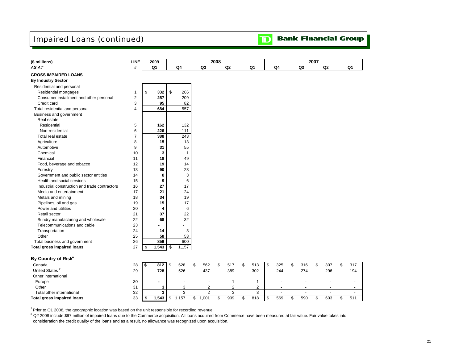# Impaired Loans (continued)

|  |  | <b>TD</b> Bank Financial Group |  |
|--|--|--------------------------------|--|
|--|--|--------------------------------|--|

| (\$ millions)                                 | <b>LINE</b>    |            | 2009           |      |                |           | 2008 |                |           |           |           | 2007 |                |           |
|-----------------------------------------------|----------------|------------|----------------|------|----------------|-----------|------|----------------|-----------|-----------|-----------|------|----------------|-----------|
| AS AT                                         | #              |            | Q <sub>1</sub> |      | Q <sub>4</sub> | Q3        |      | Q <sub>2</sub> | Q1        | Q4        | Q3        |      | Q <sub>2</sub> | Q1        |
| <b>GROSS IMPAIRED LOANS</b>                   |                |            |                |      |                |           |      |                |           |           |           |      |                |           |
| <b>By Industry Sector</b>                     |                |            |                |      |                |           |      |                |           |           |           |      |                |           |
| Residential and personal                      |                |            |                |      |                |           |      |                |           |           |           |      |                |           |
| Residential mortgages                         | $\mathbf{1}$   | \$         | 332            | \$   | 266            |           |      |                |           |           |           |      |                |           |
| Consumer installment and other personal       | $\overline{2}$ |            | 257            |      | 209            |           |      |                |           |           |           |      |                |           |
| Credit card                                   | 3              |            | 95             |      | 82             |           |      |                |           |           |           |      |                |           |
| Total residential and personal                | $\overline{4}$ |            | 684            |      | 557            |           |      |                |           |           |           |      |                |           |
| Business and government                       |                |            |                |      |                |           |      |                |           |           |           |      |                |           |
| Real estate                                   |                |            |                |      |                |           |      |                |           |           |           |      |                |           |
| Residential                                   | 5              |            | 162            |      | 132            |           |      |                |           |           |           |      |                |           |
| Non-residential                               | 6              |            | 226            |      | 111            |           |      |                |           |           |           |      |                |           |
| Total real estate                             | $\overline{7}$ |            | 388            |      | 243            |           |      |                |           |           |           |      |                |           |
| Agriculture                                   | 8              |            | 15             |      | 13             |           |      |                |           |           |           |      |                |           |
| Automotive                                    | 9              |            | 31             |      | 55             |           |      |                |           |           |           |      |                |           |
| Chemical                                      | 10             |            | 3              |      | $\mathbf{1}$   |           |      |                |           |           |           |      |                |           |
| Financial                                     | 11             |            | 18             |      | 49             |           |      |                |           |           |           |      |                |           |
| Food, beverage and tobacco                    | 12             |            | 19             |      | 14             |           |      |                |           |           |           |      |                |           |
| Forestry                                      | 13             |            | 90             |      | 23             |           |      |                |           |           |           |      |                |           |
| Government and public sector entities         | 14             |            | 8              |      | 3              |           |      |                |           |           |           |      |                |           |
| Health and social services                    | 15             |            | 9              |      | 6              |           |      |                |           |           |           |      |                |           |
| Industrial construction and trade contractors | 16             |            | 27             |      | 17             |           |      |                |           |           |           |      |                |           |
| Media and entertainment                       | 17             |            | 21             |      | 24             |           |      |                |           |           |           |      |                |           |
| Metals and mining                             | 18             |            | 34             |      | 19             |           |      |                |           |           |           |      |                |           |
| Pipelines, oil and gas                        | 19             |            | 15             |      | 17             |           |      |                |           |           |           |      |                |           |
| Power and utilities                           | 20             |            | 4              |      | 6              |           |      |                |           |           |           |      |                |           |
| Retail sector                                 | 21             |            | 37             |      | 22             |           |      |                |           |           |           |      |                |           |
| Sundry manufacturing and wholesale            | 22             |            | 68             |      | 32             |           |      |                |           |           |           |      |                |           |
| Telecommunications and cable                  | 23             |            | ۰              |      |                |           |      |                |           |           |           |      |                |           |
| Transportation                                | 24             |            | 14             |      | 3              |           |      |                |           |           |           |      |                |           |
| Other                                         | 25             |            | 58             |      | 53             |           |      |                |           |           |           |      |                |           |
| Total business and government                 | 26             |            | 859            |      | 600            |           |      |                |           |           |           |      |                |           |
| <b>Total gross impaired loans</b>             | 27             | \$         | 1,543          | - \$ | 1,157          |           |      |                |           |           |           |      |                |           |
| By Country of Risk <sup>1</sup>               |                |            |                |      |                |           |      |                |           |           |           |      |                |           |
| Canada                                        | 28             | $\sqrt{s}$ | $812$ \$       |      | 628            | \$<br>562 | \$   | 517            | \$<br>513 | \$<br>325 | \$<br>316 | \$   | 307            | \$<br>317 |

| Canada                     | 28 | 812  | 628 | 562              | 517 | 513 | 325 | 316 | 307                      | 317                      |
|----------------------------|----|------|-----|------------------|-----|-----|-----|-----|--------------------------|--------------------------|
| United States              | 29 | 728  | 526 | 437              | 389 | 302 | 244 | 274 | 296                      | 194                      |
| Other international        |    |      |     |                  |     |     |     |     |                          |                          |
| Europe                     | 30 |      |     | -                |     |     |     | -   | $\overline{\phantom{a}}$ |                          |
| Other                      | 31 |      |     |                  |     |     |     |     |                          | $\overline{\phantom{a}}$ |
| Total other international  | 32 |      |     |                  |     |     |     |     |                          |                          |
| Total gross impaired loans | 33 | .543 | 157 | .00 <sup>2</sup> | 909 | 818 | 569 | 590 | 603                      | 511                      |

 $1$  Prior to Q1 2008, the geographic location was based on the unit responsible for recording revenue.

2 Q2 2008 include \$97 million of impaired loans due to the Commerce acquisition. All loans acquired from Commerce have been measured at fair value. Fair value takes into consideration the credit quality of the loans and as a result, no allowance was recognized upon acquisition.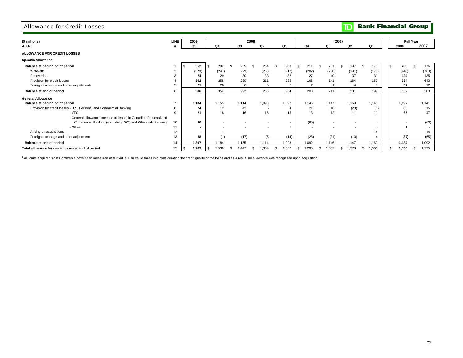#### Allowance for Credit Losses

**TD** Bank Financial Group

| (\$ millions)                                                      | <b>LINE</b>    | 2009         |                          |                          |    |                          | 2008 |                          |    |                |    |                          |             | 2007                     |                          |             |             | <b>Full Year</b> |       |
|--------------------------------------------------------------------|----------------|--------------|--------------------------|--------------------------|----|--------------------------|------|--------------------------|----|----------------|----|--------------------------|-------------|--------------------------|--------------------------|-------------|-------------|------------------|-------|
| AS AT                                                              |                | Q1           |                          | Q4                       |    | Q3                       |      | Q2                       |    | Q1             |    | Q4                       | Q3          |                          | Q2                       | Q1          | 2008        |                  | 2007  |
| ALLOWANCE FOR CREDIT LOSSES                                        |                |              |                          |                          |    |                          |      |                          |    |                |    |                          |             |                          |                          |             |             |                  |       |
| <b>Specific Allowance</b>                                          |                |              |                          |                          |    |                          |      |                          |    |                |    |                          |             |                          |                          |             |             |                  |       |
| Balance at beginning of period                                     |                | 352          |                          | 292                      |    | 255                      |      | 264                      |    | 203            |    | 211                      | 231         |                          | 197                      | 176         | 203<br>l \$ |                  | 176   |
| Write-offs                                                         | $\overline{2}$ | (373)        |                          | (247)                    |    | (229)                    |      | (258)                    |    | (212)          |    | (202)                    | (200)       |                          | (191)                    | (170)       | (946)       |                  | (763) |
| Recoveries                                                         |                |              | 24                       | 29                       |    | 30                       |      | 33                       |    | 32             |    | 27                       | 40          |                          | 37                       | 31          | 124         |                  | 135   |
| Provision for credit losses                                        |                | 362          |                          | 258                      |    | 230                      |      | 211                      |    | 235            |    | 165                      | 141         |                          | 184                      | 153         | 934         |                  | 643   |
| Foreign exchange and other adjustments                             |                |              | 21                       | 20                       |    | 6                        |      | 5                        |    | 6              |    | $\overline{2}$           |             | (1)                      |                          |             | 37          |                  | 12    |
| Balance at end of period                                           | 6              | 386          |                          | 352                      |    | 292                      |      | 255                      |    | 264            |    | 203                      | 211         |                          | 231                      | 197         | 352         |                  | 203   |
| <b>General Allowance</b>                                           |                |              |                          |                          |    |                          |      |                          |    |                |    |                          |             |                          |                          |             |             |                  |       |
| Balance at beginning of period                                     |                | 1,184        |                          | 1,155                    |    | 1,114                    |      | 1,098                    |    | 1,092          |    | 1,146                    | 1,147       |                          | 1,169                    | 1,141       | 1,092       |                  | 1,141 |
| Provision for credit losses - U.S. Personal and Commercial Banking |                |              | 74                       | 12                       |    | 42                       |      | 5                        |    | $\overline{4}$ |    | 21                       | 18          |                          | (23)                     | (1)         | 63          |                  | 15    |
| - VFC                                                              |                |              | 21                       | 18                       |    | 16                       |      | 16                       |    | 15             |    | 13                       | 12          |                          | 11                       | 11          | 65          |                  | 47    |
| - General allowance increase (release) in Canadian Personal and    |                |              |                          |                          |    |                          |      |                          |    |                |    |                          |             |                          |                          |             |             |                  |       |
| Commercial Banking (excluding VFC) and Wholesale Banking           | 10             |              | 80                       | $\overline{\phantom{a}}$ |    | $\overline{\phantom{a}}$ |      | $\overline{\phantom{a}}$ |    | $\sim$         |    | (60)                     |             | $\overline{\phantom{a}}$ | $\overline{\phantom{a}}$ | ٠           |             |                  | (60)  |
| - Other                                                            |                |              | $\blacksquare$           |                          |    | $\overline{a}$           |      | $\sim$                   |    | $\overline{1}$ |    | $\overline{\phantom{a}}$ |             |                          | $\overline{\phantom{a}}$ | $\sim$      |             |                  |       |
| Arising on acquisitions <sup>1</sup>                               | 12             |              | $\overline{\phantom{a}}$ |                          |    |                          |      | $\overline{\phantom{a}}$ |    | $\sim$         |    | $\overline{\phantom{a}}$ |             |                          | $\overline{a}$           | 14          |             |                  | 14    |
| Foreign exchange and other adjustments                             | 13             |              | 38                       | (1)                      |    | (17)                     |      | (5)                      |    | (14)           |    | (28)                     | (31)        |                          | (10)                     |             | (37)        |                  | (65)  |
| Balance at end of period                                           | 14             | 1,397        |                          | 1,184                    |    | 1,155                    |      | 1,114                    |    | 1,098          |    | 1,092                    | 1,146       |                          | 1,147                    | 1,169       | 1,184       |                  | 1,092 |
| Total allowance for credit losses at end of period                 | 15             | 1,783<br>الا | IS.                      | 1,536                    | -S | 1.447                    | -5   | 1,369                    | -5 | 1,362          | -9 | 1,295                    | 1,357<br>-S | -S                       | 1.378                    | 1,366<br>-S | 1,536<br>۱s |                  | 1,295 |

<sup>1</sup> All loans acquired from Commerce have been measured at fair value. Fair value takes into consideration the credit quality of the loans and as a result, no allowance was recognized upon acquisition.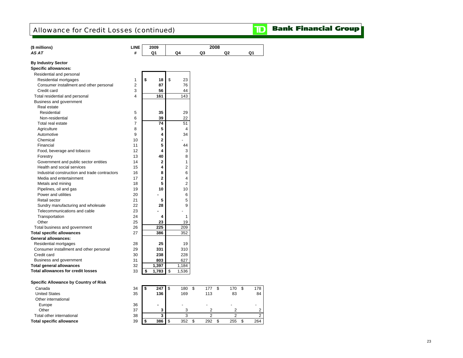# Allowance for Credit Losses (continued)

|  |  | <b>TD</b> Bank Financial Group |  |  |
|--|--|--------------------------------|--|--|
|--|--|--------------------------------|--|--|

| (\$ millions)                                 | <b>LINE</b>    | 2009                    |                |    | 2008                    |    |                |                |
|-----------------------------------------------|----------------|-------------------------|----------------|----|-------------------------|----|----------------|----------------|
| AS AT                                         | #              | Q1                      | Q4             | Q3 |                         | Q2 |                | Q1             |
|                                               |                |                         |                |    |                         |    |                |                |
| <b>By Industry Sector</b>                     |                |                         |                |    |                         |    |                |                |
| <b>Specific allowances:</b>                   |                |                         |                |    |                         |    |                |                |
| Residential and personal                      |                |                         |                |    |                         |    |                |                |
| Residential mortgages                         | $\mathbf{1}$   | \$<br>18                | \$<br>23       |    |                         |    |                |                |
| Consumer installment and other personal       | $\overline{2}$ | 87                      | 76             |    |                         |    |                |                |
| Credit card                                   | 3              | 56                      | 44             |    |                         |    |                |                |
| Total residential and personal                | 4              | 161                     | 143            |    |                         |    |                |                |
| Business and government                       |                |                         |                |    |                         |    |                |                |
| Real estate                                   |                |                         |                |    |                         |    |                |                |
| Residential                                   | 5              | 35                      | 29             |    |                         |    |                |                |
| Non-residential                               | 6              | 39                      | 22             |    |                         |    |                |                |
| Total real estate                             | $\overline{7}$ | 74                      | 51             |    |                         |    |                |                |
| Agriculture                                   | 8              | 5                       | 4              |    |                         |    |                |                |
| Automotive                                    | 9              | 4                       | 34             |    |                         |    |                |                |
| Chemical                                      | 10             | $\mathbf 2$             |                |    |                         |    |                |                |
| Financial                                     | 11             | 5                       | 44             |    |                         |    |                |                |
| Food, beverage and tobacco                    | 12             | $\overline{\mathbf{4}}$ | 3              |    |                         |    |                |                |
| Forestry                                      | 13             | 40                      | 8              |    |                         |    |                |                |
| Government and public sector entities         | 14             | $\overline{2}$          | $\mathbf{1}$   |    |                         |    |                |                |
| Health and social services                    | 15             | 4                       | 2              |    |                         |    |                |                |
| Industrial construction and trade contractors | 16             | 8                       | 6              |    |                         |    |                |                |
| Media and entertainment                       | 17             | $\overline{2}$          | 4              |    |                         |    |                |                |
| Metals and mining                             | 18             | 5                       | $\overline{2}$ |    |                         |    |                |                |
| Pipelines, oil and gas                        | 19             | 10                      | 10             |    |                         |    |                |                |
| Power and utilities                           | 20             |                         | 6              |    |                         |    |                |                |
| Retail sector                                 | 21             | 5                       | 5              |    |                         |    |                |                |
| Sundry manufacturing and wholesale            | 22             | 28                      | 9              |    |                         |    |                |                |
| Telecommunications and cable                  | 23             |                         |                |    |                         |    |                |                |
| Transportation                                | 24             | 4                       | 1              |    |                         |    |                |                |
| Other                                         | 25             | 23                      | 19             |    |                         |    |                |                |
| Total business and government                 | 26             | 225                     | 209            |    |                         |    |                |                |
| <b>Total specific allowances</b>              | 27             | 386                     | 352            |    |                         |    |                |                |
| <b>General allowances:</b>                    |                |                         |                |    |                         |    |                |                |
| Residential mortgages                         | 28             | 25                      | 19             |    |                         |    |                |                |
| Consumer installment and other personal       | 29             | 331                     | 310            |    |                         |    |                |                |
| Credit card                                   | 30             | 238                     | 228            |    |                         |    |                |                |
| Business and government                       | 31             | 803                     | 627            |    |                         |    |                |                |
| <b>Total general allowances</b>               | 32             | 1,397                   | 1,184          |    |                         |    |                |                |
| <b>Total allowances for credit losses</b>     | 33             | \$<br>1,783             | \$<br>1,536    |    |                         |    |                |                |
|                                               |                |                         |                |    |                         |    |                |                |
| Specific Allowance by Country of Risk         |                |                         |                |    |                         |    |                |                |
| Canada                                        | 34             | \$<br>247               | \$<br>180      | \$ | 177                     | \$ | 170            | \$<br>178      |
| <b>United States</b>                          | 35             | 136                     | 169            |    | 113                     |    | 83             | 84             |
| Other international                           |                |                         |                |    |                         |    |                |                |
| Europe                                        | 36             |                         |                |    |                         |    |                |                |
| Other                                         | 37             | 3                       | 3              |    | $\overline{\mathbf{c}}$ |    | 2              | $\overline{2}$ |
| Total other international                     | 38             | 3                       | 3              |    | $\overline{2}$          |    | $\overline{2}$ | $\overline{2}$ |
| <b>Total specific allowance</b>               | 39             | \$<br>386               | \$<br>352      | \$ | 292                     | \$ | 255            | \$<br>264      |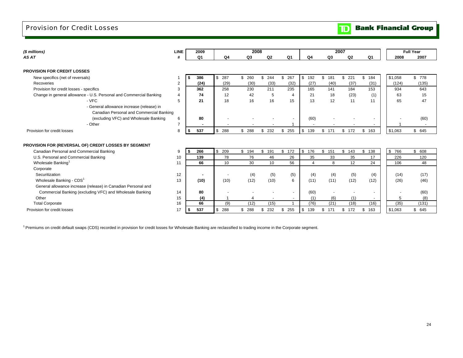### Provision for Credit Losses

| (\$ millions)                                                      | <b>LINE</b>    | 2009           |                | 2008      |           |                |                |           | 2007           |           |         | <b>Full Year</b> |
|--------------------------------------------------------------------|----------------|----------------|----------------|-----------|-----------|----------------|----------------|-----------|----------------|-----------|---------|------------------|
| AS AT                                                              |                | Q <sub>1</sub> | Q <sub>4</sub> | Q3        | Q2        | Q <sub>1</sub> | Q4             | Q3        | Q <sub>2</sub> | Q1        | 2008    | 2007             |
|                                                                    |                |                |                |           |           |                |                |           |                |           |         |                  |
| <b>PROVISION FOR CREDIT LOSSES</b>                                 |                |                |                |           |           |                |                |           |                |           |         |                  |
| New specifics (net of reversals)                                   |                | 386<br>\$      | \$287          | \$<br>260 | \$244     | \$<br>267      | \$<br>192      | \$<br>181 | \$<br>221      | \$<br>184 | \$1,058 | \$ 778           |
| Recoveries                                                         | $\overline{2}$ | (24)           | (29)           | (30)      | (33)      | (32)           | (27)           | (40)      | (37)           | (31)      | (124)   | (135)            |
| Provision for credit losses - specifics                            | 3              | 362            | 258            | 230       | 211       | 235            | 165            | 141       | 184            | 153       | 934     | 643              |
| Change in general allowance - U.S. Personal and Commercial Banking | 4              | 74             | 12             | 42        | 5         | $\overline{4}$ | 21             | 18        | (23)           | (1)       | 63      | 15               |
| - VFC                                                              | 5              | 21             | 18             | 16        | 16        | 15             | 13             | 12        | 11             | 11        | 65      | 47               |
| - General allowance increase (release) in                          |                |                |                |           |           |                |                |           |                |           |         |                  |
| Canadian Personal and Commercial Banking                           |                |                |                |           |           |                |                |           |                |           |         |                  |
| (excluding VFC) and Wholesale Banking                              | 6              | 80             |                |           |           |                | (60)           |           |                |           |         | (60)             |
| - Other                                                            | 7              |                |                |           |           |                |                |           |                |           |         |                  |
| Provision for credit losses                                        | 8              | 537<br>\$      | \$<br>288      | \$<br>288 | 232<br>\$ | \$<br>255      | \$<br>139      | \$<br>171 | 172<br>\$      | 163<br>\$ | \$1,063 | \$645            |
|                                                                    |                |                |                |           |           |                |                |           |                |           |         |                  |
| PROVISION FOR (REVERSAL OF) CREDIT LOSSES BY SEGMENT               |                |                |                |           |           |                |                |           |                |           |         |                  |
| Canadian Personal and Commercial Banking                           | 9              | 266<br>s.      | \$209          | \$<br>194 | \$<br>191 | \$<br>172      | \$<br>176      | \$151     | 143<br>\$      | \$<br>138 | \$ 766  | \$608            |
| U.S. Personal and Commercial Banking                               | 10             | 139            | 78             | 76        | 46        | 26             | 35             | 33        | 35             | 17        | 226     | 120              |
| Wholesale Banking <sup>1</sup>                                     | 11             | 66             | 10             | 30        | 10        | 56             | $\overline{4}$ | 8         | 12             | 24        | 106     | 48               |
| Corporate                                                          |                |                |                |           |           |                |                |           |                |           |         |                  |
| Securitization                                                     | 12             | $\blacksquare$ |                | (4)       | (5)       | (5)            | (4)            | (4)       | (5)            | (4)       | (14)    | (17)             |
| Wholesale Banking - CDS <sup>1</sup>                               | 13             | (10)           | (10)           | (12)      | (10)      | 6              | (11)           | (11)      | (12)           | (12)      | (26)    | (46)             |
| General allowance increase (release) in Canadian Personal and      |                |                |                |           |           |                |                |           |                |           |         |                  |
| Commercial Banking (excluding VFC) and Wholesale Banking           | 14             | 80             |                |           |           |                | (60)           |           |                |           |         | (60)             |
| Other                                                              | 15             | (4)            |                |           |           |                | (1)            | (6)       | (1)            |           | 5       | (8)              |
| <b>Total Corporate</b>                                             | 16             | 66             | (9)            | (12)      | (15)      |                | (76)           | (21)      | (18)           | (16)      | (35)    | (131)            |
| Provision for credit losses                                        | 17             | 537<br>\$      | \$288          | \$<br>288 | 232<br>\$ | \$<br>255      | \$<br>139      | \$<br>171 | 172<br>\$      | 163<br>\$ | \$1,063 | \$645            |

<sup>1</sup> Premiums on credit default swaps (CDS) recorded in provision for credit losses for Wholesale Banking are reclassified to trading income in the Corporate segment.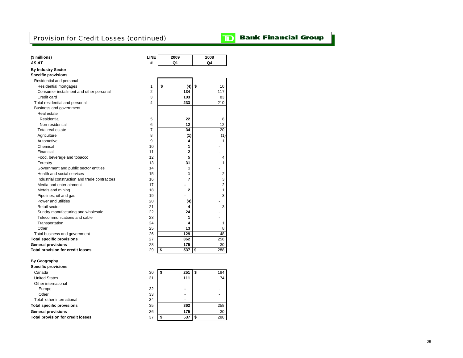# Provision for Credit Losses (continued)

# **TD** Bank Financial Group

| <b>By Industry Sector</b><br><b>Specific provisions</b><br>Residential and personal<br>1<br>\$<br>(4)<br>\$<br>Residential mortgages<br>10<br>$\overline{2}$<br>Consumer installment and other personal<br>134<br>117<br>103<br>Credit card<br>3<br>83<br>4<br>233<br>210<br>Total residential and personal<br>Business and government<br>Real estate<br>22<br>5<br>8<br>Residential<br>6<br>12<br>12<br>Non-residential<br>$\overline{7}$<br>34<br>Total real estate<br>20<br>8<br>(1)<br>Agriculture<br>(1)<br>9<br>Automotive<br>4<br>1<br>1<br>Chemical<br>10<br>$\overline{2}$<br>Financial<br>11<br>5<br>Food, beverage and tobacco<br>12<br>4<br>13<br>31<br>1<br>Forestry<br>Government and public sector entities<br>14<br>1<br>Health and social services<br>15<br>1<br>2<br>Industrial construction and trade contractors<br>7<br>16<br>3<br>Media and entertainment<br>17<br>2<br>18<br>$\overline{2}$<br>1<br>Metals and mining<br>Pipelines, oil and gas<br>19<br>3<br>Power and utilities<br>20<br>(4)<br>Retail sector<br>21<br>3<br>4<br>22<br>24<br>Sundry manufacturing and wholesale<br>Telecommunications and cable<br>23<br>1<br>Transportation<br>24<br>4<br>1<br>25<br>13<br>8<br>Other<br>129<br>48<br>Total business and government<br>26<br><b>Total specific provisions</b><br>27<br>362<br>258<br><b>General provisions</b><br>175<br>28<br>30<br><b>Total provision for credit losses</b><br>29<br>\$<br>537<br>\$<br>288<br><b>By Geography</b><br><b>Specific provisions</b><br>30<br>\$<br>251<br>\$<br>184<br>Canada<br><b>United States</b><br>31<br>111<br>74<br>Other international<br>Europe<br>32<br>Other<br>33<br>$\qquad \qquad \blacksquare$<br>$\overline{\phantom{m}}$<br>Total other international<br>34<br>362<br>258<br><b>Total specific provisions</b><br>35<br><b>General provisions</b><br>36<br>175<br>30<br><b>Total provision for credit losses</b><br>37<br>\$<br>537<br>\$<br>288 | (\$ millions)<br>AS AT | <b>LINE</b><br># | 2009<br>Q1 | 2008<br>Q4 |
|--------------------------------------------------------------------------------------------------------------------------------------------------------------------------------------------------------------------------------------------------------------------------------------------------------------------------------------------------------------------------------------------------------------------------------------------------------------------------------------------------------------------------------------------------------------------------------------------------------------------------------------------------------------------------------------------------------------------------------------------------------------------------------------------------------------------------------------------------------------------------------------------------------------------------------------------------------------------------------------------------------------------------------------------------------------------------------------------------------------------------------------------------------------------------------------------------------------------------------------------------------------------------------------------------------------------------------------------------------------------------------------------------------------------------------------------------------------------------------------------------------------------------------------------------------------------------------------------------------------------------------------------------------------------------------------------------------------------------------------------------------------------------------------------------------------------------------------------------------------------------------------------------------------------------------------------|------------------------|------------------|------------|------------|
|                                                                                                                                                                                                                                                                                                                                                                                                                                                                                                                                                                                                                                                                                                                                                                                                                                                                                                                                                                                                                                                                                                                                                                                                                                                                                                                                                                                                                                                                                                                                                                                                                                                                                                                                                                                                                                                                                                                                            |                        |                  |            |            |
|                                                                                                                                                                                                                                                                                                                                                                                                                                                                                                                                                                                                                                                                                                                                                                                                                                                                                                                                                                                                                                                                                                                                                                                                                                                                                                                                                                                                                                                                                                                                                                                                                                                                                                                                                                                                                                                                                                                                            |                        |                  |            |            |
|                                                                                                                                                                                                                                                                                                                                                                                                                                                                                                                                                                                                                                                                                                                                                                                                                                                                                                                                                                                                                                                                                                                                                                                                                                                                                                                                                                                                                                                                                                                                                                                                                                                                                                                                                                                                                                                                                                                                            |                        |                  |            |            |
|                                                                                                                                                                                                                                                                                                                                                                                                                                                                                                                                                                                                                                                                                                                                                                                                                                                                                                                                                                                                                                                                                                                                                                                                                                                                                                                                                                                                                                                                                                                                                                                                                                                                                                                                                                                                                                                                                                                                            |                        |                  |            |            |
|                                                                                                                                                                                                                                                                                                                                                                                                                                                                                                                                                                                                                                                                                                                                                                                                                                                                                                                                                                                                                                                                                                                                                                                                                                                                                                                                                                                                                                                                                                                                                                                                                                                                                                                                                                                                                                                                                                                                            |                        |                  |            |            |
|                                                                                                                                                                                                                                                                                                                                                                                                                                                                                                                                                                                                                                                                                                                                                                                                                                                                                                                                                                                                                                                                                                                                                                                                                                                                                                                                                                                                                                                                                                                                                                                                                                                                                                                                                                                                                                                                                                                                            |                        |                  |            |            |
|                                                                                                                                                                                                                                                                                                                                                                                                                                                                                                                                                                                                                                                                                                                                                                                                                                                                                                                                                                                                                                                                                                                                                                                                                                                                                                                                                                                                                                                                                                                                                                                                                                                                                                                                                                                                                                                                                                                                            |                        |                  |            |            |
|                                                                                                                                                                                                                                                                                                                                                                                                                                                                                                                                                                                                                                                                                                                                                                                                                                                                                                                                                                                                                                                                                                                                                                                                                                                                                                                                                                                                                                                                                                                                                                                                                                                                                                                                                                                                                                                                                                                                            |                        |                  |            |            |
|                                                                                                                                                                                                                                                                                                                                                                                                                                                                                                                                                                                                                                                                                                                                                                                                                                                                                                                                                                                                                                                                                                                                                                                                                                                                                                                                                                                                                                                                                                                                                                                                                                                                                                                                                                                                                                                                                                                                            |                        |                  |            |            |
|                                                                                                                                                                                                                                                                                                                                                                                                                                                                                                                                                                                                                                                                                                                                                                                                                                                                                                                                                                                                                                                                                                                                                                                                                                                                                                                                                                                                                                                                                                                                                                                                                                                                                                                                                                                                                                                                                                                                            |                        |                  |            |            |
|                                                                                                                                                                                                                                                                                                                                                                                                                                                                                                                                                                                                                                                                                                                                                                                                                                                                                                                                                                                                                                                                                                                                                                                                                                                                                                                                                                                                                                                                                                                                                                                                                                                                                                                                                                                                                                                                                                                                            |                        |                  |            |            |
|                                                                                                                                                                                                                                                                                                                                                                                                                                                                                                                                                                                                                                                                                                                                                                                                                                                                                                                                                                                                                                                                                                                                                                                                                                                                                                                                                                                                                                                                                                                                                                                                                                                                                                                                                                                                                                                                                                                                            |                        |                  |            |            |
|                                                                                                                                                                                                                                                                                                                                                                                                                                                                                                                                                                                                                                                                                                                                                                                                                                                                                                                                                                                                                                                                                                                                                                                                                                                                                                                                                                                                                                                                                                                                                                                                                                                                                                                                                                                                                                                                                                                                            |                        |                  |            |            |
|                                                                                                                                                                                                                                                                                                                                                                                                                                                                                                                                                                                                                                                                                                                                                                                                                                                                                                                                                                                                                                                                                                                                                                                                                                                                                                                                                                                                                                                                                                                                                                                                                                                                                                                                                                                                                                                                                                                                            |                        |                  |            |            |
|                                                                                                                                                                                                                                                                                                                                                                                                                                                                                                                                                                                                                                                                                                                                                                                                                                                                                                                                                                                                                                                                                                                                                                                                                                                                                                                                                                                                                                                                                                                                                                                                                                                                                                                                                                                                                                                                                                                                            |                        |                  |            |            |
|                                                                                                                                                                                                                                                                                                                                                                                                                                                                                                                                                                                                                                                                                                                                                                                                                                                                                                                                                                                                                                                                                                                                                                                                                                                                                                                                                                                                                                                                                                                                                                                                                                                                                                                                                                                                                                                                                                                                            |                        |                  |            |            |
|                                                                                                                                                                                                                                                                                                                                                                                                                                                                                                                                                                                                                                                                                                                                                                                                                                                                                                                                                                                                                                                                                                                                                                                                                                                                                                                                                                                                                                                                                                                                                                                                                                                                                                                                                                                                                                                                                                                                            |                        |                  |            |            |
|                                                                                                                                                                                                                                                                                                                                                                                                                                                                                                                                                                                                                                                                                                                                                                                                                                                                                                                                                                                                                                                                                                                                                                                                                                                                                                                                                                                                                                                                                                                                                                                                                                                                                                                                                                                                                                                                                                                                            |                        |                  |            |            |
|                                                                                                                                                                                                                                                                                                                                                                                                                                                                                                                                                                                                                                                                                                                                                                                                                                                                                                                                                                                                                                                                                                                                                                                                                                                                                                                                                                                                                                                                                                                                                                                                                                                                                                                                                                                                                                                                                                                                            |                        |                  |            |            |
|                                                                                                                                                                                                                                                                                                                                                                                                                                                                                                                                                                                                                                                                                                                                                                                                                                                                                                                                                                                                                                                                                                                                                                                                                                                                                                                                                                                                                                                                                                                                                                                                                                                                                                                                                                                                                                                                                                                                            |                        |                  |            |            |
|                                                                                                                                                                                                                                                                                                                                                                                                                                                                                                                                                                                                                                                                                                                                                                                                                                                                                                                                                                                                                                                                                                                                                                                                                                                                                                                                                                                                                                                                                                                                                                                                                                                                                                                                                                                                                                                                                                                                            |                        |                  |            |            |
|                                                                                                                                                                                                                                                                                                                                                                                                                                                                                                                                                                                                                                                                                                                                                                                                                                                                                                                                                                                                                                                                                                                                                                                                                                                                                                                                                                                                                                                                                                                                                                                                                                                                                                                                                                                                                                                                                                                                            |                        |                  |            |            |
|                                                                                                                                                                                                                                                                                                                                                                                                                                                                                                                                                                                                                                                                                                                                                                                                                                                                                                                                                                                                                                                                                                                                                                                                                                                                                                                                                                                                                                                                                                                                                                                                                                                                                                                                                                                                                                                                                                                                            |                        |                  |            |            |
|                                                                                                                                                                                                                                                                                                                                                                                                                                                                                                                                                                                                                                                                                                                                                                                                                                                                                                                                                                                                                                                                                                                                                                                                                                                                                                                                                                                                                                                                                                                                                                                                                                                                                                                                                                                                                                                                                                                                            |                        |                  |            |            |
|                                                                                                                                                                                                                                                                                                                                                                                                                                                                                                                                                                                                                                                                                                                                                                                                                                                                                                                                                                                                                                                                                                                                                                                                                                                                                                                                                                                                                                                                                                                                                                                                                                                                                                                                                                                                                                                                                                                                            |                        |                  |            |            |
|                                                                                                                                                                                                                                                                                                                                                                                                                                                                                                                                                                                                                                                                                                                                                                                                                                                                                                                                                                                                                                                                                                                                                                                                                                                                                                                                                                                                                                                                                                                                                                                                                                                                                                                                                                                                                                                                                                                                            |                        |                  |            |            |
|                                                                                                                                                                                                                                                                                                                                                                                                                                                                                                                                                                                                                                                                                                                                                                                                                                                                                                                                                                                                                                                                                                                                                                                                                                                                                                                                                                                                                                                                                                                                                                                                                                                                                                                                                                                                                                                                                                                                            |                        |                  |            |            |
|                                                                                                                                                                                                                                                                                                                                                                                                                                                                                                                                                                                                                                                                                                                                                                                                                                                                                                                                                                                                                                                                                                                                                                                                                                                                                                                                                                                                                                                                                                                                                                                                                                                                                                                                                                                                                                                                                                                                            |                        |                  |            |            |
|                                                                                                                                                                                                                                                                                                                                                                                                                                                                                                                                                                                                                                                                                                                                                                                                                                                                                                                                                                                                                                                                                                                                                                                                                                                                                                                                                                                                                                                                                                                                                                                                                                                                                                                                                                                                                                                                                                                                            |                        |                  |            |            |
|                                                                                                                                                                                                                                                                                                                                                                                                                                                                                                                                                                                                                                                                                                                                                                                                                                                                                                                                                                                                                                                                                                                                                                                                                                                                                                                                                                                                                                                                                                                                                                                                                                                                                                                                                                                                                                                                                                                                            |                        |                  |            |            |
|                                                                                                                                                                                                                                                                                                                                                                                                                                                                                                                                                                                                                                                                                                                                                                                                                                                                                                                                                                                                                                                                                                                                                                                                                                                                                                                                                                                                                                                                                                                                                                                                                                                                                                                                                                                                                                                                                                                                            |                        |                  |            |            |
|                                                                                                                                                                                                                                                                                                                                                                                                                                                                                                                                                                                                                                                                                                                                                                                                                                                                                                                                                                                                                                                                                                                                                                                                                                                                                                                                                                                                                                                                                                                                                                                                                                                                                                                                                                                                                                                                                                                                            |                        |                  |            |            |
|                                                                                                                                                                                                                                                                                                                                                                                                                                                                                                                                                                                                                                                                                                                                                                                                                                                                                                                                                                                                                                                                                                                                                                                                                                                                                                                                                                                                                                                                                                                                                                                                                                                                                                                                                                                                                                                                                                                                            |                        |                  |            |            |
|                                                                                                                                                                                                                                                                                                                                                                                                                                                                                                                                                                                                                                                                                                                                                                                                                                                                                                                                                                                                                                                                                                                                                                                                                                                                                                                                                                                                                                                                                                                                                                                                                                                                                                                                                                                                                                                                                                                                            |                        |                  |            |            |
|                                                                                                                                                                                                                                                                                                                                                                                                                                                                                                                                                                                                                                                                                                                                                                                                                                                                                                                                                                                                                                                                                                                                                                                                                                                                                                                                                                                                                                                                                                                                                                                                                                                                                                                                                                                                                                                                                                                                            |                        |                  |            |            |
|                                                                                                                                                                                                                                                                                                                                                                                                                                                                                                                                                                                                                                                                                                                                                                                                                                                                                                                                                                                                                                                                                                                                                                                                                                                                                                                                                                                                                                                                                                                                                                                                                                                                                                                                                                                                                                                                                                                                            |                        |                  |            |            |
|                                                                                                                                                                                                                                                                                                                                                                                                                                                                                                                                                                                                                                                                                                                                                                                                                                                                                                                                                                                                                                                                                                                                                                                                                                                                                                                                                                                                                                                                                                                                                                                                                                                                                                                                                                                                                                                                                                                                            |                        |                  |            |            |
|                                                                                                                                                                                                                                                                                                                                                                                                                                                                                                                                                                                                                                                                                                                                                                                                                                                                                                                                                                                                                                                                                                                                                                                                                                                                                                                                                                                                                                                                                                                                                                                                                                                                                                                                                                                                                                                                                                                                            |                        |                  |            |            |
|                                                                                                                                                                                                                                                                                                                                                                                                                                                                                                                                                                                                                                                                                                                                                                                                                                                                                                                                                                                                                                                                                                                                                                                                                                                                                                                                                                                                                                                                                                                                                                                                                                                                                                                                                                                                                                                                                                                                            |                        |                  |            |            |
|                                                                                                                                                                                                                                                                                                                                                                                                                                                                                                                                                                                                                                                                                                                                                                                                                                                                                                                                                                                                                                                                                                                                                                                                                                                                                                                                                                                                                                                                                                                                                                                                                                                                                                                                                                                                                                                                                                                                            |                        |                  |            |            |
|                                                                                                                                                                                                                                                                                                                                                                                                                                                                                                                                                                                                                                                                                                                                                                                                                                                                                                                                                                                                                                                                                                                                                                                                                                                                                                                                                                                                                                                                                                                                                                                                                                                                                                                                                                                                                                                                                                                                            |                        |                  |            |            |
|                                                                                                                                                                                                                                                                                                                                                                                                                                                                                                                                                                                                                                                                                                                                                                                                                                                                                                                                                                                                                                                                                                                                                                                                                                                                                                                                                                                                                                                                                                                                                                                                                                                                                                                                                                                                                                                                                                                                            |                        |                  |            |            |
|                                                                                                                                                                                                                                                                                                                                                                                                                                                                                                                                                                                                                                                                                                                                                                                                                                                                                                                                                                                                                                                                                                                                                                                                                                                                                                                                                                                                                                                                                                                                                                                                                                                                                                                                                                                                                                                                                                                                            |                        |                  |            |            |
|                                                                                                                                                                                                                                                                                                                                                                                                                                                                                                                                                                                                                                                                                                                                                                                                                                                                                                                                                                                                                                                                                                                                                                                                                                                                                                                                                                                                                                                                                                                                                                                                                                                                                                                                                                                                                                                                                                                                            |                        |                  |            |            |
|                                                                                                                                                                                                                                                                                                                                                                                                                                                                                                                                                                                                                                                                                                                                                                                                                                                                                                                                                                                                                                                                                                                                                                                                                                                                                                                                                                                                                                                                                                                                                                                                                                                                                                                                                                                                                                                                                                                                            |                        |                  |            |            |
|                                                                                                                                                                                                                                                                                                                                                                                                                                                                                                                                                                                                                                                                                                                                                                                                                                                                                                                                                                                                                                                                                                                                                                                                                                                                                                                                                                                                                                                                                                                                                                                                                                                                                                                                                                                                                                                                                                                                            |                        |                  |            |            |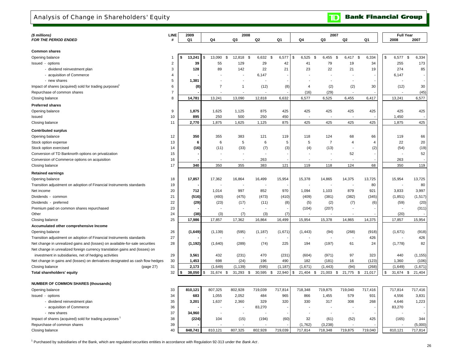## Analysis of Change in Shareholders' Equity

**Bank Financial Group**  $\mathbf{D}$ 

| (\$ millions)                                                                  | <b>LINE</b>    | 2009 |          |                | 2008                     |                |          |                 | 2007                     |                          |                |      | <b>Full Year</b> |             |
|--------------------------------------------------------------------------------|----------------|------|----------|----------------|--------------------------|----------------|----------|-----------------|--------------------------|--------------------------|----------------|------|------------------|-------------|
| <b>FOR THE PERIOD ENDED</b>                                                    |                | Q1   |          | Q4             | Q3                       | Q <sub>2</sub> | Q1       | Q4              | Q3                       | Q <sub>2</sub>           | Q1             | 2008 |                  | 2007        |
|                                                                                |                |      |          |                |                          |                |          |                 |                          |                          |                |      |                  |             |
| <b>Common shares</b>                                                           |                |      |          |                |                          |                |          |                 |                          |                          |                |      |                  |             |
| Opening balance                                                                |                | \$   | 13,241   | 13,090         | \$<br>12,818<br>\$       | 6,632<br>\$    | 6,577    | \$<br>6,525     | 6,455<br>\$<br>\$        | 6,417                    | 6,334<br>-\$   | \$   | 6,577            | \$<br>6,334 |
| Issued - options                                                               | 2              |      | 39       | 55             | 129                      | 29             | 42       | 41              | 79                       | 19                       | 34             |      | 255              | 173         |
| - dividend reinvestment plan                                                   | 3              |      | 128      | 89             | 142                      | 22             | 21       | 23              | 22                       | 21                       | 19             |      | 274              | 85          |
| - acquisition of Commerce                                                      | 4              |      |          |                |                          | 6,147          |          |                 |                          |                          |                |      | 6,147            |             |
| - new shares                                                                   | 5              |      | 1,381    |                | $\overline{\phantom{a}}$ |                |          | ÷               |                          | $\blacksquare$           |                |      |                  |             |
| Impact of shares (acquired) sold for trading purposes                          | 6              |      | (8)      | $\overline{7}$ | $\mathbf{1}$             | (12)           | (8)      | $\overline{4}$  | (2)                      | (2)                      | 30             |      | (12)             | 30          |
| Repurchase of common shares                                                    | $\overline{7}$ |      |          |                |                          |                |          | (16)            | (29)                     |                          |                |      |                  | (45)        |
| Closing balance                                                                | 8              |      | 14,781   | 13,241         | 13,090                   | 12,818         | 6,632    | 6,577           | 6,525                    | 6,455                    | 6,417          |      | 13,241           | 6,577       |
| <b>Preferred shares</b>                                                        |                |      |          |                |                          |                |          |                 |                          |                          |                |      |                  |             |
| Opening balance                                                                | 9              |      | 1,875    | 1,625          | 1,125                    | 875            | 425      | 425             | 425                      | 425                      | 425            |      | 425              | 425         |
| Issued                                                                         | 10             |      | 895      | 250            | 500                      | 250            | 450      |                 |                          |                          |                |      | 1,450            |             |
| Closing balance                                                                | 11             |      | 2,770    | 1,875          | 1,625                    | 1,125          | 875      | 425             | 425                      | 425                      | 425            |      | 1,875            | 425         |
|                                                                                |                |      |          |                |                          |                |          |                 |                          |                          |                |      |                  |             |
| <b>Contributed surplus</b>                                                     |                |      |          |                |                          |                |          |                 |                          |                          |                |      |                  |             |
| Opening balance                                                                | 12             |      | 350      | 355            | 383                      | 121            | 119      | 118             | 124                      | 68                       | 66             |      | 119              | 66          |
| Stock option expense                                                           | 13             |      | 6        | 6              | 5                        | 6              | 5        | 5               | $\overline{7}$           | $\overline{4}$           | $\overline{4}$ |      | 22               | 20          |
| Stock option exercised                                                         | 14             |      | (16)     | (11)           | (33)                     | (7)            | (3)      | (4)             | (13)                     | $\blacksquare$           | (2)            |      | (54)             | (19)        |
| Conversion of TD Banknorth options on privatization                            | 15             |      |          |                |                          |                |          |                 | $\overline{\phantom{a}}$ | 52                       |                |      |                  | 52          |
| Conversion of Commerce options on acquisition                                  | 16             |      |          |                |                          | 263            |          |                 |                          |                          |                |      | 263              |             |
| Closing balance                                                                | 17             |      | 340      | 350            | 355                      | 383            | 121      | 119             | 118                      | 124                      | 68             |      | 350              | 119         |
| <b>Retained earnings</b>                                                       |                |      |          |                |                          |                |          |                 |                          |                          |                |      |                  |             |
| Opening balance                                                                | 18             |      | 17,857   | 17,362         | 16,864                   | 16,499         | 15,954   | 15,378          | 14,865                   | 14,375                   | 13,725         |      | 15,954           | 13,725      |
| Transition adjustment on adoption of Financial Instruments standards           | 19             |      |          |                |                          |                |          |                 |                          | ÷,                       | 80             |      |                  | 80          |
| Net income                                                                     | 20             |      | 712      | 1,014          | 997                      | 852            | 970      | 1,094           | 1,103                    | 879                      | 921            |      | 3,833            | 3,997       |
| Dividends - common                                                             | 21             |      | (516)    | (493)          | (475)                    | (473)          | (410)    | (409)           | (381)                    | (382)                    | (345)          |      | (1, 851)         | (1, 517)    |
| Dividends - preferred                                                          | 22             |      | (29)     | (23)           | (17)                     | (11)           | (8)      | (5)             | (2)                      | (7)                      | (6)            |      | (59)             | (20)        |
| Premium paid on common shares repurchased                                      | 23             |      |          |                |                          |                |          | (104)           | (207)                    | $\overline{\phantom{a}}$ |                |      |                  | (311)       |
| Other                                                                          | 24             |      | (38)     | (3)            | (7)                      | (3)            | (7)      |                 |                          |                          |                |      | (20)             |             |
| Closing balance                                                                | 25             |      | 17,986   | 17,857         | 17,362                   | 16,864         | 16,499   | 15,954          | 15,378                   | 14,865                   | 14,375         |      | 17,857           | 15,954      |
| Accumulated other comprehensive Income                                         |                |      |          |                |                          |                |          |                 |                          |                          |                |      |                  |             |
| Opening balance                                                                | 26             |      | (1,649)  | (1, 139)       | (595)                    | (1, 187)       | (1,671)  | (1, 443)        | (94)                     | (268)                    | (918)          |      | (1,671)          | (918)       |
| Transition adjustment on adoption of Financial Instruments standards           | 27             |      |          |                |                          |                |          |                 |                          |                          | 426            |      |                  | 426         |
| Net change in unrealized gains and (losses) on available-for-sale securities   | 28             |      | (1, 192) | (1,640)        | (289)                    | (74)           | 225      | 194             | (197)                    | 61                       | 24             |      | (1,778)          | 82          |
| Net change in unrealized foreign currency translation gains and (losses) on    |                |      |          |                |                          |                |          |                 |                          |                          |                |      |                  |             |
| investment in subsidiaries, net of hedging activities                          | 29             |      | 3,561    | 432            | (231)                    | 470            | (231)    | (604)           | (971)                    | 97                       | 323            |      | 440              | (1, 155)    |
| Net change in gains and (losses) on derivatives designated as cash flow hedges | 30             |      | 1,453    | 698            | (24)                     | 196            | 490      | 182             | (181)                    | 16                       | (123)          |      | 1,360            | (106)       |
| Closing balance<br>(page 27)                                                   | 31             |      | 2,173    | (1,649)        | (1, 139)                 | (595)          | (1, 187) | (1,671)         | (1, 443)                 | (94)                     | (268)          |      | (1,649)          | (1,671)     |
| Total shareholders' equity                                                     | 32             |      | 38,050   | 31,674 \$      | 31,293 \$                | 30,595 \$      | 22,940   | \$<br>21,404 \$ | 21,003<br>\$             | 21,775 \$                | 21,017         | \$   | 31,674 \$        | 21,404      |
|                                                                                |                |      |          |                |                          |                |          |                 |                          |                          |                |      |                  |             |
| <b>NUMBER OF COMMON SHARES (thousands)</b>                                     |                |      |          |                |                          |                |          |                 |                          |                          |                |      |                  |             |
| Opening balance                                                                | 33             |      | 810,121  | 807,325        | 802,928                  | 719,039        | 717,814  | 718,348         | 719,875                  | 719,040                  | 717,416        |      | 717,814          | 717,416     |
| Issued - options                                                               | 34             |      | 683      | 1,055          | 2,052                    | 484            | 965      | 866             | 1,455                    | 579                      | 931            |      | 4,556            | 3,831       |
| - dividend reinvestment plan                                                   | 35             |      | 3,201    | 1,637          | 2,360                    | 329            | 320      | 330             | 317                      | 308                      | 268            |      | 4,646            | 1,223       |
| - acquisition of Commerce                                                      | 36             |      |          |                |                          | 83,270         |          |                 |                          |                          |                |      | 83,270           |             |
| - new shares                                                                   | 37             |      | 34,960   |                |                          |                |          | ÷,              |                          | $\overline{\phantom{a}}$ |                |      |                  |             |
| Impact of shares (acquired) sold for trading purposes                          | 38             |      | (224)    | 104            | (15)                     | (194)          | (60)     | 32              | (61)                     | (52)                     | 425            |      | (165)            | 344         |
| Repurchase of common shares                                                    | 39             |      |          |                |                          |                |          | (1,762)         | (3, 238)                 |                          |                |      |                  | (5,000)     |
| Closing balance                                                                | 40             |      | 848,741  | 810,121        | 807,325                  | 802,928        | 719,039  | 717,814         | 718,348                  | 719,875                  | 719,040        |      | 810,121          | 717,814     |
|                                                                                |                |      |          |                |                          |                |          |                 |                          |                          |                |      |                  |             |

1 Purchased by subsidiaries of the Bank, which are regulated securities entities in accordance with Regulation 92-313 under the *Bank Act* .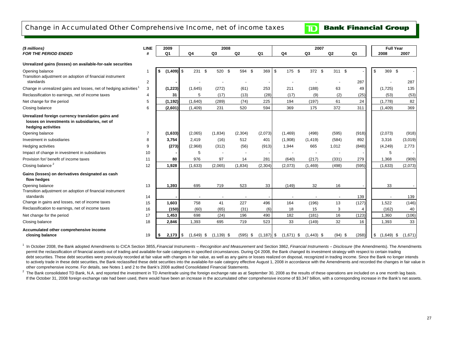## Change in Accumulated Other Comprehensive Income, net of income taxes

**Bank Financial Group** 

 $\mathbf{D}$ 

| (\$ millions)                                                                                                            | <b>LINE</b>    | 2009           |              |              | 2008           |                |               |                        | 2007           |                |                | <b>Full Year</b>   |         |
|--------------------------------------------------------------------------------------------------------------------------|----------------|----------------|--------------|--------------|----------------|----------------|---------------|------------------------|----------------|----------------|----------------|--------------------|---------|
| <b>FOR THE PERIOD ENDED</b>                                                                                              |                | Q <sub>1</sub> |              | Q4           | Q <sub>3</sub> | Q <sub>2</sub> | Q1            | Q4                     | Q <sub>3</sub> | Q <sub>2</sub> | Q <sub>1</sub> | 2008               | 2007    |
| Unrealized gains (losses) on available-for-sale securities                                                               |                |                |              |              |                |                |               |                        |                |                |                |                    |         |
| Opening balance<br>Transition adjustment on adoption of financial instrument                                             | 1              | \$             | $(1,409)$ \$ | 231<br>\$    | 520 \$         | 594 \$         | 369           | $\mathbf{s}$<br>175 \$ | 372 \$         | 311 \$         |                | 369 \$<br>\$       |         |
| standards                                                                                                                | $\overline{2}$ |                |              |              |                |                |               |                        |                |                | 287            |                    | 287     |
| Change in unrealized gains and losses, net of hedging activities                                                         | 3              | (1, 223)       |              | (1,645)      | (272)          | (61)           | 253           | 211                    | (188)          | 63             | 49             | (1,725)            | 135     |
| Reclassification to earnings, net of income taxes                                                                        | $\overline{4}$ |                | 31           | 5            | (17)           | (13)           | (28)          | (17)                   | (9)            | (2)            | (25)           | (53)               | (53)    |
| Net change for the period                                                                                                | 5              | (1, 192)       |              | (1,640)      | (289)          | (74)           | 225           | 194                    | (197)          | 61             | 24             | (1,778)            | 82      |
| Closing balance                                                                                                          | 6              | (2,601)        |              | (1,409)      | 231            | 520            | 594           | 369                    | 175            | 372            | 311            | (1,409)            | 369     |
| Unrealized foreign currency translation gains and<br>losses on investments in subsidiaries, net of<br>hedging activities |                |                |              |              |                |                |               |                        |                |                |                |                    |         |
| Opening balance                                                                                                          | 7              | (1,633)        |              | (2,065)      | (1,834)        | (2,304)        | (2,073)       | (1, 469)               | (498)          | (595)          | (918)          | (2,073)            | (918)   |
| Investment in subsidiaries                                                                                               | 8              | 3,754          |              | 2.419        | (16)           | 512            | 401           | (1,908)                | (1, 419)       | (584)          | 892            | 3,316              | (3,019) |
| Hedging activities                                                                                                       | 9              |                | (273)        | (2,968)      | (312)          | (56)           | (913)         | 1,944                  | 665            | 1,012          | (848)          | (4, 249)           | 2,773   |
| Impact of change in investment in subsidiaries                                                                           | 10             |                |              | 5            |                |                |               |                        | $\sim$         |                |                | 5                  |         |
| Provision for/ benefit of income taxes                                                                                   | 11             |                | 80           | 976          | 97             | 14             | 281           | (640)                  | (217)          | (331)          | 279            | 1,368              | (909)   |
| Closing balance <sup>2</sup>                                                                                             | 12             | 1,928          |              | (1,633)      | (2,065)        | (1, 834)       | (2, 304)      | (2,073)                | (1, 469)       | (498)          | (595)          | (1,633)            | (2,073) |
| Gains (losses) on derivatives designated as cash<br>flow hedges                                                          |                |                |              |              |                |                |               |                        |                |                |                |                    |         |
| Opening balance                                                                                                          | 13             | 1,393          |              | 695          | 719            | 523            | 33            | (149)                  | 32             | 16             |                | 33                 |         |
| Transition adjustment on adoption of financial instrument<br>standards                                                   | 14             |                |              |              |                |                |               |                        |                |                | 139            |                    | 139     |
| Change in gains and losses, net of income taxes                                                                          | 15             | 1,603          |              | 758          | 41             | 227            | 496           | 164                    | (196)          | 13             | (127)          | 1,522              | (146)   |
| Reclassification to earnings, net of income taxes                                                                        | 16             |                | (150)        | (60)         | (65)           | (31)           | (6)           | 18                     | 15             | 3              | 4              | (162)              | 40      |
| Net change for the period                                                                                                | 17             | 1,453          |              | 698          | (24)           | 196            | 490           | 182                    | (181)          | 16             | (123)          | 1,360              | (106)   |
| Closing balance                                                                                                          | 18             | 2,846          |              | 1,393        | 695            | 719            | 523           | 33                     | (149)          | 32             | 16             | 1,393              | 33      |
| Accumulated other comprehensive income<br>closing balance                                                                | 19             | l \$           | $2,173$ \$   | $(1,649)$ \$ | $(1, 139)$ \$  | $(595)$ \$     | $(1, 187)$ \$ | $(1,671)$ \$           | $(1,443)$ \$   | $(94)$ \$      | (268)          | \$<br>$(1,649)$ \$ | (1,671) |

<sup>1</sup> In October 2008, the Bank adopted Amendments to CICA Section 3855, *Financial Instruments – Recognition and Measurement* and Section 3862, *Financial Instruments – Disclosure* (the Amendments). The Amendments permit the reclassification of financial assets out of trading and available-for-sale categories in specified circumstances. During Q4 2008, the Bank changed its investment strategy with respect to certain trading debt securities. These debt securities were previously recorded at fair value with changes in fair value, as well as any gains or losses realized on disposal, recognized in trading income. Since the Bank no longer intends to actively trade in these debt securities, the Bank reclassified these debt securities into the available-for-sale category effective August 1, 2008 in accordance with the Amendments and recorded the changes in fair value other comprehensive income. For details, see Notes 1 and 2 to the Bank's 2008 audited Consolidated Financial Statements.

 $2$  The Bank consolidated TD Bank, N.A. and reported the investment in TD Ameritrade using the foreign exchange rate as at September 30, 2008 as the results of these operations are included on a one month lag basis. If the October 31, 2008 foreign exchange rate had been used, there would have been an increase in the accumulated other comprehensive income of \$3.347 billion, with a corresponding increase in the Bank's net assets.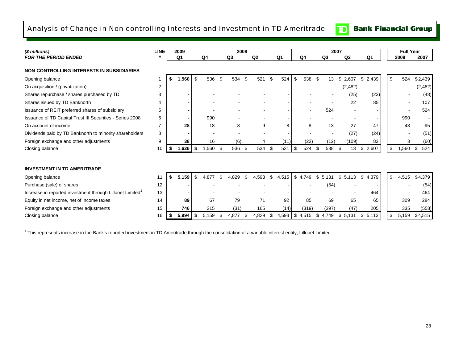# Analysis of Change in Non-controlling Interests and Investment in TD Ameritrade

**Bank Financial Group**  $\mathbf{D}$ 

| (\$ millions)                                                         | <b>LINE</b> |    | 2009           |             |      | 2008           |                |    |                |             |             | 2007  |                |             | <b>Full Year</b> |           |
|-----------------------------------------------------------------------|-------------|----|----------------|-------------|------|----------------|----------------|----|----------------|-------------|-------------|-------|----------------|-------------|------------------|-----------|
| <b>FOR THE PERIOD ENDED</b>                                           |             |    | Q <sub>1</sub> | Q4          |      | Q <sub>3</sub> | Q <sub>2</sub> |    | Q <sub>1</sub> | Q4          | Q3          |       | Q <sub>2</sub> | Q1          | 2008             | 2007      |
| <b>NON-CONTROLLING INTERESTS IN SUBSIDIARIES</b>                      |             |    |                |             |      |                |                |    |                |             |             |       |                |             |                  |           |
| Opening balance                                                       |             |    | 1,560          | \$<br>536   | \$   | 534            | \$<br>521      | \$ | 524            | \$<br>538   | -\$         | 13    | \$<br>2.607    | \$<br>2,439 | \$<br>524        | \$2,439   |
| On acquisition / (privatization)                                      | 2           |    |                |             |      |                |                |    |                |             |             |       | (2, 482)       |             |                  | (2, 482)  |
| Shares repurchase / shares purchased by TD                            | 3           |    |                |             |      |                |                |    |                |             |             |       | (25)           | (23)        |                  | (48)      |
| Shares issued by TD Banknorth                                         |             |    |                |             |      |                |                |    |                |             |             |       | 22             | 85          |                  | 107       |
| Issuance of REIT preferred shares of subsidiary                       | 5           |    |                |             |      |                |                |    |                |             |             | 524   |                |             |                  | 524       |
| Issuance of TD Capital Trust III Securities - Series 2008             | 6           |    |                | 990         |      |                |                |    |                |             |             |       |                |             | 990              |           |
| On account of income                                                  |             |    | 28             | 18          |      | 8              | 9              |    | 8              | 8           |             | 13    | 27             | 47          | 43               | 95        |
| Dividends paid by TD Banknorth to minority shareholders               | 8           |    |                |             |      |                |                |    |                |             |             |       | (27)           | (24)        |                  | (51)      |
| Foreign exchange and other adjustments                                | 9           |    | 38             | 16          |      | (6)            |                |    | (11)           | (22)        |             | (12)  | (109)          | 83          | 3                | (60)      |
| Closing balance                                                       | 10          | S. | 1,626          | \$<br>1,560 | - \$ | 536            | \$<br>534      | \$ | 521            | \$<br>524   | -\$         | 538   | 13<br>- \$     | \$2,607     | 1,560<br>\$      | 524<br>\$ |
|                                                                       |             |    |                |             |      |                |                |    |                |             |             |       |                |             |                  |           |
| <b>INVESTMENT IN TD AMERITRADE</b>                                    |             |    |                |             |      |                |                |    |                |             |             |       |                |             |                  |           |
| Opening balance                                                       | 11          |    | 5.159          | \$<br>4.877 | £.   | 4.829          | 4.593          | \$ | 4,515          | \$<br>4.749 | \$<br>5.131 |       | \$.<br>5,113   | \$<br>4,379 | \$<br>4,515      | \$4,379   |
| Purchase (sale) of shares                                             | 12          |    |                |             |      |                |                |    |                |             |             | (54)  |                |             |                  | (54)      |
| Increase in reported investment through Lillooet Limited <sup>1</sup> | 13          |    |                |             |      |                |                |    |                |             |             |       |                | 464         |                  | 464       |
| Equity in net income, net of income taxes                             | 14          |    | 89             | 67          |      | 79             | 71             |    | 92             | 85          |             | 69    | 65             | 65          | 309              | 284       |
| Foreign exchange and other adjustments                                | 15          |    | 746            | 215         |      | (31)           | 165            |    | (14)           | (319)       |             | (397) | (47)           | 205         | 335              | (558)     |
| Closing balance                                                       | 16          |    | 5,994          | \$<br>5.159 |      | 4,877          | 4.829          | S  | 4,593 \$       | 4,515       | S<br>4.749  |       | \$<br>5.131    | \$5,113     | \$<br>5,159      | \$4,515   |

<sup>1</sup> This represents increase in the Bank's reported investment in TD Ameritrade through the consolidation of a variable interest entity, Lillooet Limited.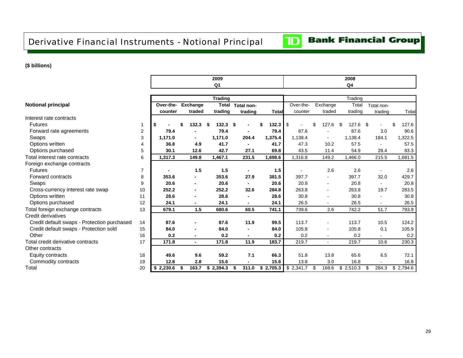Derivative Financial Instruments - Notional Principal **Table 8 b,c**

## **(\$ billions)**

|                                             |              |           |                          | 2009             |                |              |           |             | 2008        |                |           |
|---------------------------------------------|--------------|-----------|--------------------------|------------------|----------------|--------------|-----------|-------------|-------------|----------------|-----------|
|                                             |              |           |                          | Q <sub>1</sub>   |                |              |           |             | Q4          |                |           |
|                                             |              |           |                          | <b>Trading</b>   |                |              |           |             | Trading     |                |           |
| <b>Notional principal</b>                   |              | Over-the- | Exchange                 | Total            | Total non-     |              | Over-the- | Exchange    | Total       | Total non-     |           |
|                                             |              | counter   | traded                   | trading          | trading        | <b>Total</b> | counter   | traded      | trading     | trading        | Total     |
| Interest rate contracts                     |              |           |                          |                  |                |              |           |             |             |                |           |
| <b>Futures</b>                              | $\mathbf{1}$ | \$        | 132.3                    | $132.3$ \$<br>\$ | $\blacksquare$ | 132.3<br>\$  | \$        | \$<br>127.6 | 127.6<br>\$ | \$             | 127.6     |
| Forward rate agreements                     | 2            | 79.4      | ٠                        | 79.4             |                | 79.4         | 87.6      |             | 87.6        | 3.0            | 90.6      |
| Swaps                                       | 3            | 1,171.0   | ٠                        | 1,171.0          | 204.4          | 1,375.4      | 1,138.4   |             | 1,138.4     | 184.1          | 1,322.5   |
| Options written                             | 4            | 36.8      | 4.9                      | 41.7             | $\blacksquare$ | 41.7         | 47.3      | 10.2        | 57.5        |                | 57.5      |
| Options purchased                           | 5            | 30.1      | 12.6                     | 42.7             | 27.1           | 69.8         | 43.5      | 11.4        | 54.9        | 28.4           | 83.3      |
| Total interest rate contracts               | 6            | 1,317.3   | 149.8                    | 1,467.1          | 231.5          | 1,698.6      | 1,316.8   | 149.2       | 1,466.0     | 215.5          | 1,681.5   |
| Foreign exchange contracts                  |              |           |                          |                  |                |              |           |             |             |                |           |
| <b>Futures</b>                              | 7            |           | 1.5                      | 1.5              | $\blacksquare$ | 1.5          |           | 2.6         | 2.6         | $\blacksquare$ | 2.6       |
| Forward contracts                           | 8            | 353.6     | ٠                        | 353.6            | 27.9           | 381.5        | 397.7     |             | 397.7       | 32.0           | 429.7     |
| Swaps                                       | 9            | 20.6      | $\blacksquare$           | 20.6             |                | 20.6         | 20.8      | $\sim$      | 20.8        |                | 20.8      |
| Cross-currency interest rate swap           | 10           | 252.2     | $\blacksquare$           | 252.2            | 32.6           | 284.8        | 263.8     |             | 263.8       | 19.7           | 283.5     |
| Options written                             | 11           | 28.6      | $\blacksquare$           | 28.6             | $\blacksquare$ | 28.6         | 30.8      |             | 30.8        |                | 30.8      |
| Options purchased                           | 12           | 24.1      | ٠                        | 24.1             | $\blacksquare$ | 24.1         | 26.5      |             | 26.5        |                | 26.5      |
| Total foreign exchange contracts            | 13           | 679.1     | 1.5                      | 680.6            | 60.5           | 741.1        | 739.6     | 2.6         | 742.2       | 51.7           | 793.9     |
| Credit derivatives                          |              |           |                          |                  |                |              |           |             |             |                |           |
| Credit default swaps - Protection purchased | 14           | 87.6      | $\overline{\phantom{a}}$ | 87.6             | 11.9           | 99.5         | 113.7     |             | 113.7       | 10.5           | 124.2     |
| Credit default swaps - Protection sold      | 15           | 84.0      | ٠                        | 84.0             | $\blacksquare$ | 84.0         | 105.8     |             | 105.8       | 0.1            | 105.9     |
| Other                                       | 16           | 0.2       | ٠                        | 0.2              |                | 0.2          | 0.2       |             | 0.2         |                | 0.2       |
| Total credit derivative contracts           | 17           | 171.8     | $\blacksquare$           | 171.8            | 11.9           | 183.7        | 219.7     | $\sim$      | 219.7       | 10.6           | 230.3     |
| Other contracts                             |              |           |                          |                  |                |              |           |             |             |                |           |
| Equity contracts                            | 18           | 49.6      | 9.6                      | 59.2             | 7.1            | 66.3         | 51.8      | 13.8        | 65.6        | 6.5            | 72.1      |
| Commodity contracts                         | 19           | 12.8      | 2.8                      | 15.6             |                | 15.6         | 13.8      | 3.0         | 16.8        |                | 16.8      |
| Total                                       | 20           | \$2,230.6 | 163.7                    | 2,394.3<br>\$    | 311.0<br>\$    | \$2,705.3    | \$2,341.7 | \$<br>168.6 | \$2,510.3   | 284.3<br>\$    | \$2,794.6 |

# **Bank Financial Group**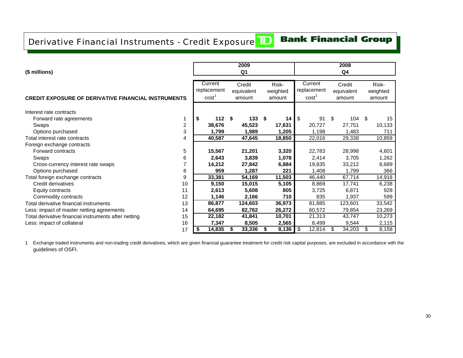# Derivative Financial Instruments - Credit Exposure**TD**

# **Bank Financial Group**

| (\$ millions)                                              |                |                                             | 2009<br>Q <sub>1</sub>         |                             |                                             | 2008<br>Q <sub>4</sub>         |      |                             |
|------------------------------------------------------------|----------------|---------------------------------------------|--------------------------------|-----------------------------|---------------------------------------------|--------------------------------|------|-----------------------------|
| <b>CREDIT EXPOSURE OF DERIVATIVE FINANCIAL INSTRUMENTS</b> |                | Current<br>replacement<br>cost <sup>1</sup> | Credit<br>equivalent<br>amount | Risk-<br>weighted<br>amount | Current<br>replacement<br>cost <sup>1</sup> | Credit<br>equivalent<br>amount |      | Risk-<br>weighted<br>amount |
| Interest rate contracts                                    |                |                                             |                                |                             |                                             |                                |      |                             |
| Forward rate agreements                                    |                | \$<br>$112$ \$                              | 133S                           | 14                          | \$<br>91                                    | \$<br>104                      | - \$ | 15                          |
| Swaps                                                      | $\overline{2}$ | 38,676                                      | 45,523                         | 17,631                      | 20,727                                      | 27,751                         |      | 10,133                      |
| Options purchased                                          | 3              | 1,799                                       | 1,989                          | 1,205                       | 1,198                                       | 1,483                          |      | 711                         |
| Total interest rate contracts                              | 4              | 40,587                                      | 47,645                         | 18,850                      | 22,016                                      | 29,338                         |      | 10,859                      |
| Foreign exchange contracts                                 |                |                                             |                                |                             |                                             |                                |      |                             |
| Forward contracts                                          | 5              | 15,567                                      | 21,201                         | 3,320                       | 22,783                                      | 28,998                         |      | 4,601                       |
| Swaps                                                      | 6              | 2,643                                       | 3,839                          | 1,078                       | 2,414                                       | 3,705                          |      | 1,262                       |
| Cross-currency interest rate swaps                         |                | 14,212                                      | 27,842                         | 6,884                       | 19,835                                      | 33,212                         |      | 8,689                       |
| Options purchased                                          | 8              | 959                                         | 1,287                          | 221                         | 1,408                                       | 1,799                          |      | 366                         |
| Total foreign exchange contracts                           | 9              | 33,381                                      | 54,169                         | 11,503                      | 46,440                                      | 67,714                         |      | 14,918                      |
| Credit derivatives                                         | 10             | 9,150                                       | 15,015                         | 5,105                       | 8,869                                       | 17,741                         |      | 6,238                       |
| Equity contracts                                           | 11             | 2,613                                       | 5,608                          | 805                         | 3,725                                       | 6,871                          |      | 928                         |
| Commodity contracts                                        | 12             | 1,146                                       | 2,166                          | 710                         | 835                                         | 1,937                          |      | 599                         |
| Total derivative financial instruments                     | 13             | 86,877                                      | 124,603                        | 36,973                      | 81,885                                      | 123,601                        |      | 33,542                      |
| Less: impact of master netting agreements                  | 14             | 64,695                                      | 82,762                         | 26,272                      | 60,572                                      | 79,854                         |      | 23,269                      |
| Total derivative financial instruments after netting       | 15             | 22,182                                      | 41,841                         | 10,701                      | 21,313                                      | 43,747                         |      | 10,273                      |
| Less: impact of collateral                                 | 16             | 7,347                                       | 8,505                          | 2,565                       | 8,499                                       | 9,544                          |      | 2,115                       |
|                                                            | 17             | \$<br>14,835                                | \$<br>33,336                   | 8,136<br>S                  | \$<br>12,814                                | 34,203<br>S                    | \$   | 8,158                       |

1 Exchange traded instruments and non-trading credit derivatives, which are given financial guarantee treatment for credit risk capital purposes, are excluded in accordance with the guidelines of OSFI.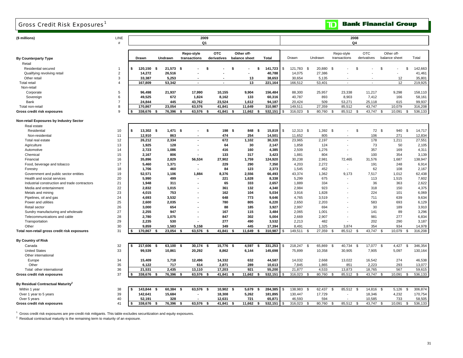# Gross Credit Risk Exposures<sup>1</sup>

**TD** Bank Financial Group

| (\$ millions)                                 | LINE<br>$\#$   |                 |                | 2009<br>Q1               |                          |               |                |               |                          |                          | 2008<br>Q4                  |                                |         |
|-----------------------------------------------|----------------|-----------------|----------------|--------------------------|--------------------------|---------------|----------------|---------------|--------------------------|--------------------------|-----------------------------|--------------------------------|---------|
|                                               |                |                 |                |                          |                          |               |                |               |                          |                          |                             |                                |         |
|                                               |                |                 |                | Repo-style               | <b>OTC</b>               | Other off-    |                |               |                          | Repo-style               | <b>OTC</b>                  | Other off-                     |         |
| <b>By Counterparty Type</b>                   |                | Drawn           | Undrawn        | transactions             | derivatives              | balance sheet | <b>Total</b>   | Drawn         | Undrawn                  | transactions             | derivatives                 | balance sheet                  | Total   |
| Retail                                        |                |                 |                |                          |                          |               |                |               |                          |                          |                             |                                |         |
| Residential secured                           | 1              | 120,150<br>-\$  | 21,573<br>Ŝ.   | - \$                     | \$                       | Ŝ.            | 141,723<br>\$  | \$<br>121,783 | \$<br>20,880             | - \$                     | \$                          | \$<br>\$                       | 142,663 |
| Qualifying revolving retail                   | $\overline{2}$ | 14,272          | 26,516         |                          |                          |               | 40,788         | 14,075        | 27,386                   |                          |                             |                                | 41,461  |
| Other retail                                  | 3              | 33,387          | 5,253          |                          |                          | 13            | 38,653         | 30,654        | 5,135                    |                          |                             | 12                             | 35,801  |
| <b>Total retail</b>                           | $\overline{4}$ | 167,809         | 53,342         | $\sim$                   | $\overline{\phantom{a}}$ | 13            | 221,164        | 166,512       | 53,401                   | $\sim$                   | $\sim$                      | 12                             | 219,925 |
| Non-retail                                    |                |                 |                |                          |                          |               |                |               |                          |                          |                             |                                |         |
| Corporate                                     | 5              | 96,498          | 21,937         | 17,990                   | 10,155                   | 9,904         | 156,484        | 88,300        | 25,957                   | 23,338                   | 11,217                      | 9,298                          | 158,110 |
| Sovereign                                     | 6              | 49.525          | 672            | 1,824                    | 8.162                    | 133           | 60,316         | 40,787        | 893                      | 8,903                    | 7,412                       | 166                            | 58,161  |
| Bank                                          | $\overline{7}$ | 24,844          | 445            | 43,762                   | 23,524                   | 1,612         | 94,187         | 20,424        | 509                      | 53,271                   | 25,118                      | 615                            | 99,937  |
| Total non-retail                              | 8              | 170,867         | 23,054         | 63,576                   | 41,841                   | 11,649        | 310,987        | 149,511       | 27,359                   | 85,512                   | 43,747                      | 10,079                         | 316,208 |
| Gross credit risk exposures                   | 9              | 338,676<br>- \$ | 76,396<br>\$   | 63,576<br>\$             | 41,841                   | 11,662<br>\$  | 532,151<br>ŝ   | 316,023<br>\$ | 80,760<br>-S             | 85,512<br>\$             | 43,747<br>\$                | 10,091<br>\$<br>\$             | 536,133 |
| Non-retail Exposures by Industry Sector       |                |                 |                |                          |                          |               |                |               |                          |                          |                             |                                |         |
| Real estate                                   |                |                 |                |                          |                          |               |                |               |                          |                          |                             |                                |         |
| Residential                                   | 10             | 13,302 \$<br>\$ | $1,471$ \$     | ٠                        | 198<br>\$                | 848<br>-\$    | 15,819<br>- \$ | \$<br>12,313  | 1,392<br>\$              | \$                       | \$<br>72 \$                 | 940<br>- \$                    | 14,717  |
| Non-residential                               | 11             | 12,910          | 863            |                          | 474                      | 254           | 14,501         | 11,652        | 805                      |                          | 106                         | 271                            | 12,834  |
| Total real estate                             | 12             | 26,212          | 2,334          | $\overline{\phantom{a}}$ | 672                      | 1,102         | 30,320         | 23,965        | 2,197                    | $\overline{\phantom{a}}$ | 178                         | 1,211                          | 27,551  |
| Agriculture                                   | 13             | 1,925           | 128            |                          | 64                       | 30            | 2,147          | 1,858         | 124                      |                          | 73                          | 50                             | 2,105   |
| Automotive                                    | 14             | 2.723           | 1,086          | $\blacksquare$           | 416                      | 160           | 4,385          | 2.509         | 1,276                    |                          | 357                         | 169                            | 4,311   |
| Chemical                                      | 15             | 2,167           | 806            |                          | 133                      | 317           | 3,423          | 1,881         | 804                      |                          | 100                         | 354                            | 3,139   |
| Financial                                     | 16             | 35,896          | 2,829          | 56,534                   | 27,902                   | 1,759         | 124,920        | 30,238        | 2,981                    | 72,465                   | 31,576                      | 1,687                          | 138,947 |
| Food, beverage and tobacco                    | 17             | 5,460           | 1,371          | $\overline{\phantom{a}}$ | 229                      | 290           | 7,350          | 4,203         | 2,272                    |                          | 191                         | 248                            | 6,914   |
| Forestry                                      | 18             | 1,706           | 460            |                          | 84                       | 123           | 2,373          | 1,545         | 452                      | $\sim$                   | 62                          | 108                            | 2,167   |
| Government and public sector entities         | 19             | 52,571          | 1,106          | 1,884                    | 8,376                    | 2,556         | 66,493         | 43,374        | 1,362                    | 9,173                    | 7,517                       | 1,012                          | 62,438  |
| Health and social services                    | 20             | 5,990           | 499            | ٠                        | 221                      | 1,628         | 8,338          | 5,299         | 675                      |                          | 113                         | 1,515                          | 7,602   |
| Industrial construction and trade contractors | 21             | 1,948           | 311            |                          | 65                       | 333           | 2,657          | 1,889         | 334                      |                          | 36                          | 363                            | 2,622   |
| Media and entertainment                       | 22             | 2.832           | 1.015          |                          | 361                      | 132           | 4.340          | 2.984         | 923                      |                          | 318                         | 150                            | 4,375   |
| Metals and mining                             | 23             | 4,015           | 753            |                          | 162                      | 104           | 5,034          | 3,916         | 1,828                    |                          | 224                         | 101                            | 6,069   |
| Pipelines, oil and gas                        | 24             | 4,693           | 3,532          |                          | 648                      | 773           | 9,646          | 4,765         | 3,519                    |                          | 711                         | 639                            | 9,634   |
| Power and utilities                           | 25             | 2,600           | 2,035          |                          | 780                      | 805           | 6,220          | 2,650         | 2,203                    |                          | 583                         | 693                            | 6,129   |
| Retail sector                                 | 26             | 3,000           | 654            |                          | 88                       | 185           | 3,927          | 2,997         | 694                      |                          | 30                          | 189                            | 3,910   |
| Sundry manufacturing and wholesale            | 27             | 2.255           | 947            |                          | 167                      | 115           | 3,484          | 2.065         | 1,001                    |                          | 141                         | 89                             | 3,296   |
| Telecommunications and cable                  | 28             | 2,780           | 1,075          |                          | 847                      | 302           | 5,004          | 2,669         | 2,907                    |                          | 981                         | 277                            | 6,834   |
| Transportation                                | 29             | 2,235           | 530            |                          | 277                      | 490           | 3,532          | 2,213         | 482                      |                          | 202                         | 290                            | 3,187   |
| Other                                         | 30             | 9,859           | 1,583          | 5,158                    | 349                      | 445           | 17,394         | 8,491         | 1,325                    | 3,874                    | 354                         | 934                            | 14,978  |
| Total non-retail gross credit risk exposures  | 31             | 170,867<br>- \$ | 23,054<br>-\$  | 63,576<br>\$             | 41,841                   | 11,649<br>-\$ | 310,987        | 149,511       | 27,359<br>.ኖ             | 85,512<br>- \$           | 43,747<br>ŗ.                | 10,079<br>\$.                  | 316,208 |
| <b>By Country of Risk</b>                     |                |                 |                |                          |                          |               |                |               |                          |                          |                             |                                |         |
| Canada                                        | 32             | 217,606<br>\$   | 63,100<br>\$   | 30,174<br>-\$            | 15,776<br>Ŝ.             | 4,597<br>-\$  | 331,253<br>Ŝ.  | 218,247<br>\$ | 65,869<br>\$             | 40,734<br>\$             | 17,077 \$<br>$\mathfrak{L}$ | 4,427<br>\$                    | 346,354 |
| <b>United States</b>                          | 33             | 99,539          | 10,861         | 20,292                   | 8,862                    | 6,144         | 145,698        | 75,899        | 10,358                   | 30,905                   | 7,905                       | 5,097                          | 130,164 |
| Other international                           |                |                 |                |                          |                          |               |                |               |                          |                          |                             |                                |         |
| Europe                                        | 34             | 15,409          | 1,718          | 12,496                   | 14,332                   | 632           | 44,587         | 14,032        | 2,668                    | 13,022                   | 16,542                      | 274                            | 46,538  |
| Other                                         | 35             | 6,122           | 717            | 614                      | 2,871                    | 289           | 10,613         | 7,845         | 1,865                    | 851                      | 2,223                       | 293                            | 13,077  |
| Total other international                     | 36             | 21,531          | 2,435          | 13,110                   | 17,203                   | 921           | 55,200         | 21,877        | 4,533                    | 13,873                   | 18,765                      | 567                            | 59,615  |
| Gross credit risk exposures                   | 37             | 338,676<br>\$   | 76,396         | 63,576 \$<br>ŝ.          | 41,841                   | 11,662<br>-\$ | 532,151        | 316,023       | 80,760                   | 85,512<br>- \$           | 43,747<br>્વ                | 10,091<br>$\mathfrak{s}$       | 536,133 |
| By Residual Contractual Maturity <sup>2</sup> |                |                 |                |                          |                          |               |                |               |                          |                          |                             |                                |         |
| Within 1 year                                 | 38             | 143,844<br>\$   | 60,384<br>- \$ | 63,576<br>\$             | $10,902$ \$<br>- \$      | 5,679         | 284,385<br>s.  | \$<br>138,983 | 62,437<br>\$             | 85,512 \$<br>- \$        | 14,816 \$                   | 5,126<br>- \$                  | 306,874 |
| Over 1 year to 5 years                        | 39             | 142,641         | 15,684         |                          | 18,308                   | 5,262         | 181,895        | 130,447       | 17,729                   |                          | 18,346                      | 4,232                          | 170,754 |
| Over 5 years                                  | 40             | 52,191          | 328            | $\overline{\phantom{a}}$ | 12,631                   | 721           | 65,871         | 46,593        | 594                      |                          | 10,585                      | 733                            | 58,505  |
| Gross credit risk exposures                   | 41             | Ŝ.<br>338.676   | 76.396<br>-\$  | 63.576<br>\$             | 41.841<br>Ŝ.             | 11.662<br>Ŝ.  | 532.151<br>s.  | 316,023<br>\$ | 80.760<br>$\mathfrak{L}$ | 85.512<br>-\$            | <b>S</b><br>43.747          | 10.091<br>\$<br>$\mathfrak{S}$ | 536.133 |

 $1$  Gross credit risk exposures are pre-credit risk mitigants. This table excludes securitization and equity exposures.

 $2$  Residual contractual maturity is the remaining term to maturity of an exposure.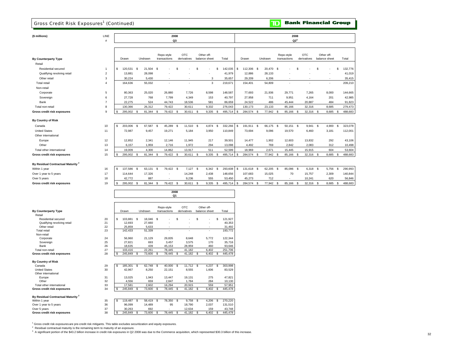### Gross Credit Risk Exposures<sup>1</sup> (Continued)

#### **Bank Financial Group**  $\overline{\mathbf{D}}$

|  | (\$ millions |  |  |
|--|--------------|--|--|
|  |              |  |  |

| (\$ millions)                                 | LINE<br>#      |                     |                        |                            | 2008<br>Q3                |                             |                          |                  |              |                            | 2008<br>$Q2^3$            |                             |                          |
|-----------------------------------------------|----------------|---------------------|------------------------|----------------------------|---------------------------|-----------------------------|--------------------------|------------------|--------------|----------------------------|---------------------------|-----------------------------|--------------------------|
|                                               |                |                     |                        |                            |                           |                             |                          |                  |              |                            |                           |                             |                          |
| By Counterparty Type                          |                | Drawn               | Undrawn                | Repo-style<br>transactions | <b>OTC</b><br>derivatives | Other off-<br>balance sheet | Total                    | Drawn            | Undrawn      | Repo-style<br>transactions | <b>OTC</b><br>derivatives | Other off-<br>balance sheet | Total                    |
| Retail                                        |                |                     |                        |                            |                           |                             |                          |                  |              |                            |                           |                             |                          |
| Residential secured                           | $\mathbf{1}$   | \$<br>120,531       | \$<br>21,504           | $\,$                       | \$                        | \$                          | 142,035<br>S             | \$<br>112,306    | \$<br>20,470 | <b>S</b>                   | \$.                       | S                           | 132,776<br>\$            |
| Qualifying revolving retail                   | $\overline{2}$ | 13,881              | 28,098                 |                            |                           |                             | 41,979                   | 12,886           | 28,133       |                            |                           |                             | 41,019                   |
| Other retail                                  | 3              | 30,224              | 5,430                  |                            |                           | 3                           | 35,657                   | 29,209           | 6,206        |                            |                           |                             | 35,415                   |
| <b>Total retail</b>                           | $\overline{4}$ | 164,636             | 55,032                 |                            | ÷                         | 3                           | 219,671                  | 154,401          | 54,809       | $\overline{a}$             |                           |                             | 209,210                  |
| Non-retail                                    |                |                     |                        |                            |                           |                             |                          |                  |              |                            |                           |                             |                          |
| Corporate                                     | 5              | 80,363              | 25,020                 | 26,880                     | 7,726                     | 8,598                       | 148,587                  | 77,693           | 21,936       | 29,771                     | 7,265                     | 8,000                       | 144,665                  |
| Sovereign                                     | 6              | 27,728              | 768                    | 7,799                      | 4,349                     | 153                         | 40,797                   | 27,958           | 711          | 9,951                      | 4,164                     | 201                         | 42,985                   |
| Bank                                          | $\overline{7}$ | 22,275              | 524                    | 44,743                     | 18,536                    | 581                         | 86,659                   | 24,522           | 486          | 45,444                     | 20,887                    | 484                         | 91,823                   |
| Total non-retail                              | 8              | 130,366             | 26,312                 | 79,422                     | 30,611                    | 9,332                       | 276,043                  | 130,173          | 23,133       | 85,166                     | 32,316                    | 8,685                       | 279,473                  |
| Gross credit risk exposures                   | $\mathsf g$    | s.<br>295,002       | 81,344<br>£.           | 79,422<br><b>S</b>         | 30,611<br>\$              | 9,335<br>\$                 | $\mathfrak s$<br>495,714 | 284,574<br>S     | 77,942<br>\$ | <b>S</b><br>85,166         | 32,316<br>-S              | 8,685<br>\$                 | 488,683<br>\$            |
| By Country of Risk                            |                |                     |                        |                            |                           |                             |                          |                  |              |                            |                           |                             |                          |
| Canada                                        | 10             | \$<br>203,006 \$    | 67,587 \$              | 45,289                     | 11,510 \$<br>\$           | 4,874 \$                    | 332,266                  | \$<br>191,911 \$ | 66,175 \$    | 50,151 \$                  | 9,941 \$                  | 4,900                       | 323,078<br>\$            |
| <b>United States</b><br>Other international   | 11             | 72,987              | 9,457                  | 19,271                     | 5,184                     | 3,950                       | 110,849                  | 73,694           | 9,096        | 19,570                     | 6,460                     | 3,181                       | 112,001                  |
| Europe                                        | 12             | 12,852              | 2,341                  | 12,146                     | 11,945                    | 217                         | 39,501                   | 14,477           | 1,902        | 12,603                     | 13,832                    | 292                         | 43,106                   |
| Other                                         | 13             | 6,157               | 1,959                  | 2,716                      | 1,972                     | 294                         | 13,098                   | 4,492            | 769          | 2,842                      | 2,083                     | 312                         | 10,498                   |
| Total other international                     | 14             | 19,009              | 4,300                  | 14,862                     | 13,917                    | 511                         | 52,599                   | 18,969           | 2,671        | 15,445                     | 15,915                    | 604                         | 53,604                   |
| Gross credit risk exposures                   | 15             | \$<br>295,002       | 81,344<br>$\mathbf{s}$ | 79,422<br>\$               | 30,611<br>\$              | 9,335<br>\$                 | \$<br>495,714            | 284,574<br>S     | 77,942<br>\$ | <b>S</b><br>85,166         | 32,316<br>$\mathbf{s}$    | 8,685<br>\$                 | $\mathfrak s$<br>488,683 |
| By Residual Contractual Maturity <sup>2</sup> |                |                     |                        |                            |                           |                             |                          |                  |              |                            |                           |                             |                          |
| Within 1 year                                 | 16             | s.<br>137,586       | 63,131<br>S.           | 79,422 \$<br>\$            | 7,127                     | $\mathbf s$<br>6,342        | 293,608<br>\$            | \$<br>131,618 \$ | 62,205       | S.<br>85,096               | 6,318<br>- \$             | \$<br>5,756                 | \$<br>290,993            |
| Over 1 year to 5 years                        | 17             | 114,644             | 17,326                 |                            | 14,248                    | 2,438                       | 148,656                  | 107,683          | 15,025       | 70                         | 15,757                    | 2,309                       | 140,844                  |
| Over 5 years                                  | 18             | 42.772              | 887                    |                            | 9.236                     | 555                         | 53,450                   | 45,273           | 712          |                            | 10,241                    | 620                         | 56,846                   |
| <b>Gross credit risk exposures</b>            | 19             | \$<br>295,002       | 81,344<br>\$           | 79,422<br>- \$             | -S<br>30,611              | 9,335<br>$\mathbf s$        | 495,714<br>\$            | 284,574          | 77,942<br>\$ | 85,166<br><b>S</b>         | - S<br>32,316             | \$<br>8,685                 | 488,683<br>\$            |
|                                               |                |                     |                        |                            | 2008<br>Q1                |                             |                          |                  |              |                            |                           |                             |                          |
| <b>By Counterparty Type</b>                   |                | Drawn               | Undrawn                | Repo-style<br>transactions | <b>OTC</b><br>derivatives | Other off-<br>balance sheet | Total                    |                  |              |                            |                           |                             |                          |
| Retail                                        |                |                     |                        |                            |                           |                             |                          |                  |              |                            |                           |                             |                          |
| Residential secured                           | 20             | \$<br>103,881       | 18,046<br>-S           | - S                        | £.                        | \$                          | \$<br>121,927            |                  |              |                            |                           |                             |                          |
| Qualifying revolving retail<br>Other retail   | 21<br>22       | 12,693<br>25,859    | 27,660<br>5,633        |                            |                           |                             | 40,353<br>31,492         |                  |              |                            |                           |                             |                          |
| <b>Total retail</b>                           | 23             | 142,433             | 51,339                 |                            |                           |                             | 193,772                  |                  |              |                            |                           |                             |                          |
| Non-retail                                    |                |                     |                        |                            |                           |                             |                          |                  |              |                            |                           |                             |                          |
| Corporate                                     | 24             | 56,960              | 21,129                 | 29,835                     | 8,648                     | 5,772                       | 122,344                  |                  |              |                            |                           |                             |                          |
| Sovereign                                     | 25<br>26       | 27,821              | 693                    | 3,457                      | 3,575<br>28.959           | 170                         | 35,716<br>93.646         |                  |              |                            |                           |                             |                          |
| Bank<br>Total non-retail                      | 27             | 18,635<br>103,416   | 439<br>22,261          | 45,153<br>78,445           | 41,182                    | 460<br>6,402                | 251,706                  |                  |              |                            |                           |                             |                          |
| Gross credit risk exposures                   | 28             | <b>S</b><br>245,849 | 73,600<br>\$           | \$<br>78,445               | 41,182<br>-8              | 6,402<br>- \$               | \$<br>445,478            |                  |              |                            |                           |                             |                          |
|                                               |                |                     |                        |                            |                           |                             |                          |                  |              |                            |                           |                             |                          |
| By Country of Risk<br>Canada                  | 29             | S.<br>185,301       | 62,748<br>S.           | 40,000<br>- \$             | 11,712<br>\$              | 4,237<br>-S                 | 303,998<br>S.            |                  |              |                            |                           |                             |                          |
| <b>United States</b><br>Other international   | 30             | 42,967              | 8,250                  | 22,151                     | 8,555                     | 1,606                       | 83,529                   |                  |              |                            |                           |                             |                          |
| Europe                                        | 31             | 13,025              | 1,943                  | 13,447                     | 19,131                    | 275                         | 47,821                   |                  |              |                            |                           |                             |                          |

### **Gross credit risk exposures By Residual Contractual Maturity <sup>2</sup>**

 Other Total other international

| Within 1 year               | 35 | 119,487 | 58.419 | 78.350 | 9.758  | 4.206 | 270.220 |
|-----------------------------|----|---------|--------|--------|--------|-------|---------|
| Over 1 year to 5 years      | 36 | 96.099  | 14.489 | 95     | 18.790 | 2.037 | 131.510 |
| Over 5 vears                |    | 30.263  | 692    |        | 12.634 | 159   | 43.748  |
| Gross credit risk exposures | 38 | 245.849 | 73,600 | 78.445 | 41.182 | 6.402 | 445.478 |

<sup>1</sup> Gross credit risk exposures are pre-credit risk mitigants. This table excludes securitization and equity exposures.

<sup>2</sup> Residual contractual maturity is the remaining term to maturity of an exposure.

<sup>3</sup> A significant portion of the \$43.2 billion increase in credit risk exposures in Q2 2008 was due to the Commerce acquisition, which represented \$30.3 billion of this increase.

 13,025 1,943 13,447 19,131 275 47,821 4,556 659 2,847 1,784 284 10,130 17,581 2,602 16,294 20,915 559 57,951  $\begin{array}{|c|ccccccccccccccc|}\hline 32&4,556&659&2,847&1,784&284&10,130\\ \hline 33&17,581&2,602&16,294&20,915&559&57,851\\ \hline \end{array}$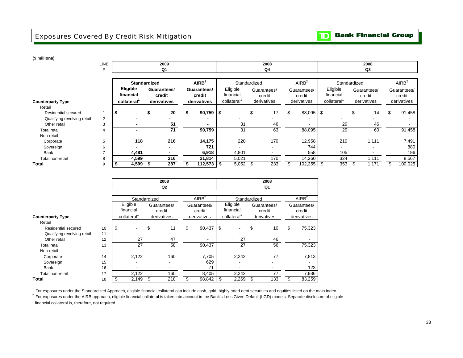# Exposures Covered By Credit Risk Mitigation

**(\$ millions)**

|                                    | <b>LINE</b><br># |                                                  |   | 2009<br>Q1                           |   |                                      |                                     | 2008<br>Q4               |                                      |                                                  |     | 2008<br>Q3            |     |                                      |
|------------------------------------|------------------|--------------------------------------------------|---|--------------------------------------|---|--------------------------------------|-------------------------------------|--------------------------|--------------------------------------|--------------------------------------------------|-----|-----------------------|-----|--------------------------------------|
|                                    |                  |                                                  |   |                                      |   |                                      |                                     |                          |                                      |                                                  |     |                       |     |                                      |
|                                    |                  | <b>Standardized</b>                              |   |                                      |   | AIRB <sup>2</sup>                    |                                     | Standardized             | AIRB <sup>2</sup>                    |                                                  |     | Standardized          |     | AIRB <sup>2</sup>                    |
|                                    |                  | Eligible<br>financial<br>collateral <sup>1</sup> |   | Guarantees/<br>credit<br>derivatives |   | Guarantees/<br>credit<br>derivatives | Eligible<br>financial<br>collateral | Guarantees/<br>credit    | Guarantees/<br>credit<br>derivatives | Eligible<br>financial<br>collateral <sup>1</sup> |     | Guarantees/<br>credit |     | Guarantees/<br>credit<br>derivatives |
| <b>Counterparty Type</b><br>Retail |                  |                                                  |   |                                      |   |                                      |                                     | derivatives              |                                      |                                                  |     | derivatives           |     |                                      |
| <b>Residential secured</b>         |                  | - \$                                             | э | 20                                   | S | 90,759                               | -\$                                 | \$<br>17                 | \$<br>88,095                         | \$                                               |     | \$<br>14              | \$  | 91,458                               |
| Qualifying revolving retail        | $\overline{2}$   |                                                  |   |                                      |   |                                      |                                     | $\overline{\phantom{a}}$ |                                      |                                                  |     |                       |     |                                      |
| Other retail                       | 3                |                                                  |   | 51                                   |   |                                      | 31                                  | 46                       |                                      |                                                  | 29  | 46                    |     |                                      |
| <b>Total retail</b>                | 4                | $\blacksquare$                                   |   | 71                                   |   | 90,759                               | 31                                  | 63                       | 88,095                               |                                                  | 29  | 60                    |     | 91,458                               |
| Non-retail                         |                  |                                                  |   |                                      |   |                                      |                                     |                          |                                      |                                                  |     |                       |     |                                      |
| Corporate                          | 5                | 118                                              |   | 216                                  |   | 14,175                               | 220                                 | 170                      | 12,958                               |                                                  | 219 | 1,111                 |     | 7,491                                |
| Sovereign                          | 6                |                                                  |   |                                      |   | 721                                  |                                     | $\overline{\phantom{a}}$ | 744                                  |                                                  |     |                       |     | 880                                  |
| Bank                               |                  | 4,481                                            |   |                                      |   | 6,918                                | 4,801                               | $\overline{\phantom{a}}$ | 558                                  |                                                  | 105 |                       |     | 196                                  |
| Total non-retail                   | 8                | 4,599                                            |   | 216                                  |   | 21,814                               | 5,021                               | 170                      | 14,260                               |                                                  | 324 | 1,111                 |     | 8,567                                |
| <b>Total</b>                       |                  | 4,599                                            |   | 287                                  |   | $112,573$ $\frac{1}{3}$              | 5,052                               | 233<br>-\$               | 102,355                              |                                                  | 353 | 1,171<br>ъ.           | \$. | 100,025                              |

|                             |    |                       | 2008<br>Q2               |                              |     |                       | 2008<br>Q1            |                       |
|-----------------------------|----|-----------------------|--------------------------|------------------------------|-----|-----------------------|-----------------------|-----------------------|
|                             |    |                       |                          |                              |     |                       |                       |                       |
|                             |    | Standardized          |                          | AlRB <sup>2</sup>            |     | Standardized          |                       | AlRB <sup>2</sup>     |
|                             |    | Eligible<br>financial | Guarantees/<br>credit    | Guarantees/<br>credit        |     | Eligible<br>financial | Guarantees/<br>credit | Guarantees/<br>credit |
| <b>Counterparty Type</b>    |    | collateral            | derivatives              | derivatives                  |     | collateral            | derivatives           | derivatives           |
| Retail                      |    |                       |                          |                              |     |                       |                       |                       |
| <b>Residential secured</b>  | 10 | \$                    | \$<br>11                 | \$<br>90,437                 | \$  |                       | \$<br>10              | \$<br>75,323          |
| Qualifying revolving retail | 11 |                       |                          |                              |     |                       |                       |                       |
| Other retail                | 12 | 27                    | 47                       | $\qquad \qquad \blacksquare$ |     | 27                    | 46                    |                       |
| <b>Total retail</b>         | 13 | 27                    | 58                       | 90.437                       |     | 27                    | 56                    | 75,323                |
| Non-retail                  |    |                       |                          |                              |     |                       |                       |                       |
| Corporate                   | 14 | 2,122                 | 160                      | 7,705                        |     | 2,242                 | 77                    | 7,813                 |
| Sovereign                   | 15 |                       | $\overline{\phantom{a}}$ | 629                          |     |                       |                       |                       |
| Bank                        | 16 |                       |                          | 71                           |     |                       |                       | 123                   |
| Total non-retail            | 17 | 2,122                 | 160                      | 8,405                        |     | 2,242                 | 77                    | 7,936                 |
| Total                       | 18 | \$<br>2,149           | \$<br>218                | \$<br>98,842                 | -\$ | 2,269                 | \$<br>133             | \$<br>83,259          |

<sup>1</sup> For exposures under the Standardized Approach, eligible financial collateral can include cash, gold, highly rated debt securities and equities listed on the main index.

 $2$  For exposures under the AIRB approach, eligible financial collateral is taken into account in the Bank's Loss Given Default (LGD) models. Separate disclosure of eligible financial collateral is, therefore, not required.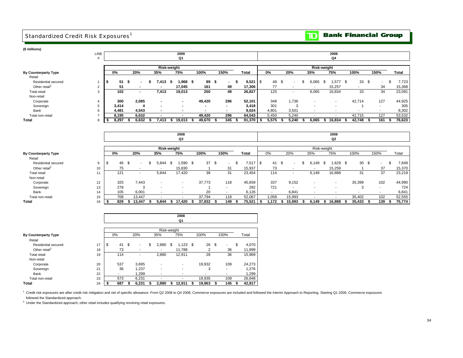# Standardized Credit Risk Exposures<sup>1</sup>



### **(\$ millions)**

**Total** 

Total non-retail

 Residential secured Other retail<sup>2</sup> Total retail

Non-retail Corporate Sovereign Bank

Retail

**By Counterparty Type**

| <b>LINE</b> |   |       | 2009 |                |    |                    |      |                          |    |        |                          |   |        |      |       |                                |                          | 2008 |        |      |        |                          |        |
|-------------|---|-------|------|----------------|----|--------------------|------|--------------------------|----|--------|--------------------------|---|--------|------|-------|--------------------------------|--------------------------|------|--------|------|--------|--------------------------|--------|
| #           |   |       |      |                |    |                    |      | Q1                       |    |        |                          |   |        |      |       |                                |                          |      | Q4     |      |        |                          |        |
|             |   |       |      |                |    | <b>Risk-weight</b> |      |                          |    |        |                          |   |        |      |       |                                | Risk-weight              |      |        |      |        |                          |        |
|             |   | 0%    |      | 20%            |    | 35%                |      | 75%                      |    | 100%   | 150%                     |   | Total  |      | 0%    | 20%                            | 35%                      |      | 75%    |      | 100%   | 150%                     | Total  |
|             | S | 51    | - \$ | $\blacksquare$ |    | 413.               | - 35 | .968                     | \$ | 89     | \$<br>$\sim$             | л | 9,521  | l \$ | 48    | \$<br>$\overline{\phantom{a}}$ | 6,065                    | \$.  | .577   | - \$ | 33     | \$<br>$\sim$             | 7,723  |
| 2           |   | 51    |      | -              |    |                    |      | 17,045                   |    | 161    | 49                       |   | 17,306 |      | 77    |                                |                          |      | 15,257 |      | ۰.     | 34                       | 15,368 |
| 3           |   | 102   |      | $\blacksquare$ |    | 7,413              |      | 19,013                   |    | 250    | 49                       |   | 26,827 |      | 125   | ٠                              | 6,065                    |      | 16,834 |      | 33     | 34                       | 23,091 |
| 4           |   | 300   |      | 2,085          |    |                    |      | $\sim$                   |    | 49,420 | 296                      |   | 52,101 |      | 348   | 1,736                          |                          |      | ٠      |      | 42,714 | 127                      | 44,925 |
| 5           |   | 3,414 |      | 4              |    |                    |      | $\overline{\phantom{0}}$ |    | -      | $\overline{\phantom{a}}$ |   | 3,418  |      | 301   | 3                              | $\overline{\phantom{a}}$ |      |        |      |        | $\overline{\phantom{a}}$ | 305    |
| 6           |   | 4,481 |      | 4,543          |    | $\blacksquare$     |      | ٠                        |    |        | $\overline{\phantom{a}}$ |   | 9,024  |      | 4,801 | 3,501                          | $\overline{\phantom{a}}$ |      | ۰      |      | -      | $\overline{\phantom{a}}$ | 8,302  |
|             |   | 8,195 |      | 6,632          |    |                    |      |                          |    | 49,420 | 296                      |   | 64,543 |      | 5,450 | 5,240                          |                          |      |        |      | 42,715 | 127                      | 53,532 |
| 8           |   | 8,297 |      | 6,632          | л. | 7,413              | 55   | 19,013                   |    | 49,670 | 345                      |   | 91,370 |      | 5,575 | 5,240                          | 6,065                    |      | 16,834 |      | 42,748 | 161                      | 76,623 |

|                           |    |     |     |     |                          |                          | 2008<br>Q3               |            |                |    |              |                |    |                          |             | 2008<br>Q <sub>2</sub> |      |        |      |      |      |        |
|---------------------------|----|-----|-----|-----|--------------------------|--------------------------|--------------------------|------------|----------------|----|--------------|----------------|----|--------------------------|-------------|------------------------|------|--------|------|------|------|--------|
|                           |    |     |     |     |                          |                          | Risk-weight              |            |                |    |              |                |    |                          | Risk-weight |                        |      |        |      |      |      |        |
| By Counterparty Type      |    | 0%  |     | 20% |                          | 35%                      | 75%                      | 100%       | 150%           |    | <b>Total</b> | 0%             |    | 20%                      | 35%         | 75%                    | 100% |        |      | 150% |      | Total  |
| Retail                    |    |     |     |     |                          |                          |                          |            |                |    |              |                |    |                          |             |                        |      |        |      |      |      |        |
| Residential secured       | 9  | -JD | 46  | .ზ  | $\overline{\phantom{a}}$ | 5,844                    | 1,590<br>-S              | 37<br>- \$ | - \$<br>$\sim$ | .S | 7,51         | l \$<br>41     | .ፍ | $\sim$                   | 6,149       | .629                   | \$   | 30     | - \$ |      |      | 7,849  |
| Other retail <sup>2</sup> | 10 |     | 75  |     |                          | $\overline{\phantom{a}}$ | 15,830                   |            | 31             |    | 15,937       | 73             |    |                          |             | 15,259                 |      |        |      | 37   |      | 15,370 |
| <b>Total retail</b>       | 11 |     | 121 |     | $\sim$                   | 5,844                    | 17,420                   | 38         | 31             |    | 23,454       | 114            |    | $\sim$                   | 6,149       | 16,888                 |      | 31     |      | 37   |      | 23,219 |
| Non-retail                |    |     |     |     |                          |                          |                          |            |                |    |              |                |    |                          |             |                        |      |        |      |      |      |        |
| Corporate                 | 12 |     | 325 |     | 7,443                    | $\overline{\phantom{a}}$ | $\overline{\phantom{a}}$ | 37,773     | 118            |    | 45,659       | 337            |    | 9,152                    |             | ٠                      |      | 35,399 |      | 102  |      | 44,990 |
| Sovereign                 | 13 |     | 278 |     | 3                        | $\overline{\phantom{a}}$ | $\overline{\phantom{a}}$ |            |                |    | 282          | 721            |    | $\overline{\phantom{a}}$ |             |                        |      |        |      | . .  |      | 724    |
| Bank                      | 14 |     | 105 |     | 6,001                    | $\overline{\phantom{a}}$ | $\overline{\phantom{0}}$ | 20         |                |    | 6,126        | $\blacksquare$ |    | 6,841                    | ٠           |                        |      |        |      |      |      | 6,841  |
| Total non-retail          | 15 |     | 708 |     | 13,447                   |                          | $\overline{\phantom{a}}$ | 37,794     | 118            |    | 52,067       | 1,058          |    | 15,993                   |             |                        |      | 35,402 |      | 102  |      | 52,555 |
| Total                     | 16 |     | 829 |     | 13,447                   | 5,844                    | 17,420<br>-55            | 37,832     | 149            |    | 75,521       | 1.172<br>- 5   |    | 15,993                   | 6.149       | 16,888                 |      | 35,433 |      | 139  | - 55 | 75,774 |

|                             |    |                          |          |             | 2008<br>Q1               |      |        |     |      |   |        |
|-----------------------------|----|--------------------------|----------|-------------|--------------------------|------|--------|-----|------|---|--------|
|                             |    |                          |          | Risk-weight |                          |      |        |     |      |   |        |
| <b>By Counterparty Type</b> |    | $0\%$                    | 20%      | 35%         | 75%                      |      | 100%   |     | 150% |   | Total  |
| Retail                      |    |                          |          |             |                          |      |        |     |      |   |        |
| Residential secured         | 17 | \$<br>41                 | \$<br>۰. | \$<br>2,880 | \$<br>1,123              | - \$ | 26     | -\$ |      | S | 4,070  |
| Other retail <sup>2</sup>   | 18 | 73                       |          |             | 11,788                   |      | 2      |     | 36   |   | 11,899 |
| <b>Total retail</b>         | 19 | 114                      |          | 2,880       | 12,911                   |      | 28     |     | 36   |   | 15,969 |
| Non-retail                  |    |                          |          |             |                          |      |        |     |      |   |        |
| Corporate                   | 20 | 537                      | 3,695    |             | $\overline{\phantom{0}}$ |      | 19,932 |     | 109  |   | 24,273 |
| Sovereign                   | 21 | 36                       | 1,237    |             | $\overline{\phantom{a}}$ |      | 3      |     |      |   | 1.276  |
| Bank                        | 22 | $\overline{\phantom{a}}$ | 1.299    |             | ۰                        |      |        |     | ٠    |   | 1,299  |
| Total non-retail            | 23 | 573                      | 6,231    |             |                          |      | 19,935 |     | 109  |   | 26,848 |
| <b>Total</b>                | 24 | 687                      | 6,231    | 2,880       | 12.911                   |      | 19,963 |     | 145  |   | 42,817 |

<sup>1</sup> Credit risk exposures are after credit risk mitigation and net of specific allowance. From Q2 2008 to Q4 2008, Commerce exposures are included and followed the Interim Approach to Reporting. Starting Q1 2009, Commerce followed the Standardized approach.

<sup>2</sup> Under the Standardized approach, other retail includes qualifying revolving retail exposures.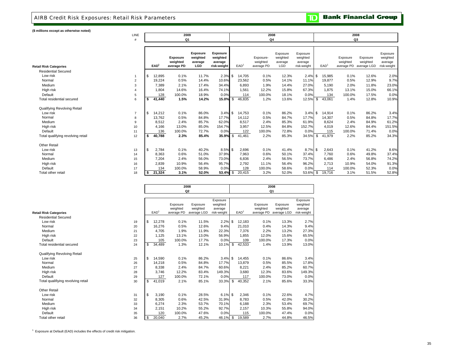### AIRB Credit Risk Exposures: Retail Risk Parameters

**TD** Bank Financial Group

#### **(\$ millions except as otherwise noted)**

|                                   | LINE                   | 2009             |                                           |                                        |                                                       |  |                  | 2008                                |                                        |                                                |                  | 2008                               |                                     |                                                |
|-----------------------------------|------------------------|------------------|-------------------------------------------|----------------------------------------|-------------------------------------------------------|--|------------------|-------------------------------------|----------------------------------------|------------------------------------------------|------------------|------------------------------------|-------------------------------------|------------------------------------------------|
|                                   | #                      |                  | Q1                                        |                                        |                                                       |  |                  | Q4                                  |                                        |                                                |                  | Q3                                 |                                     |                                                |
|                                   |                        |                  |                                           |                                        |                                                       |  |                  |                                     |                                        |                                                |                  |                                    |                                     |                                                |
| <b>Retail Risk Categories</b>     |                        | EAD <sup>1</sup> | <b>Exposure</b><br>weighted<br>average PD | Exposure<br>weighted<br>average<br>LGD | <b>Exposure</b><br>weighted<br>average<br>risk-weight |  | EAD <sup>1</sup> | Exposure-<br>weighted<br>average PD | Exposure<br>weighted<br>average<br>LGD | Exposure<br>weighted<br>average<br>risk-weight | EAD <sup>1</sup> | Exposure<br>weighted<br>average PD | Exposure<br>weighted<br>average LGD | Exposure<br>weighted<br>average<br>risk-weight |
| <b>Residential Secured</b>        |                        |                  |                                           |                                        |                                                       |  |                  |                                     |                                        |                                                |                  |                                    |                                     |                                                |
| Low risk                          | $\mathbf{1}$           | 12,895<br>\$     | 0.1%                                      | 11.7%                                  | $2.3\%$ \$                                            |  | 14,705           | 0.1%                                | 12.3%                                  | $2.4\%$ \$                                     | 15,985           | 0.1%                               | 12.6%                               | 2.0%                                           |
| Normal                            | 2                      | 19,224           | 0.5%                                      | 14.4%                                  | 10.6%                                                 |  | 23,562           | 0.5%                                | 14.1%                                  | 11.1%                                          | 19,877           | 0.5%                               | 12.9%                               | 9.7%                                           |
| Medium                            | 3                      | 7.389            | 2.1%                                      | 17.4%                                  | 34.4%                                                 |  | 6,893            | 1.9%                                | 14.4%                                  | 27.0%                                          | 5,190            | 2.0%                               | 11.8%                               | 23.0%                                          |
| High risk                         | $\boldsymbol{\Lambda}$ | 1,804            | 14.6%                                     | 16.4%                                  | 74.1%                                                 |  | 1,561            | 12.2%                               | 15.8%                                  | 67.3%                                          | 1,875            | 13.1%                              | 15.0%                               | 66.1%                                          |
| Default                           | 5                      | 128              | 100.0%                                    | 18.9%                                  | 0.0%                                                  |  | 114              | 100.0%                              | 18.1%                                  | 0.0%                                           | 134              | 100.0%                             | 17.5%                               | 0.0%                                           |
| Total residential secured         | 6                      | 41,440<br>\$     | 1.5%                                      | 14.2%                                  | 15.0% \$                                              |  | 46,835           | 1.2%                                | 13.6%                                  | 12.5%                                          | \$<br>43,061     | 1.4%                               | 12.8%                               | 10.9%                                          |
| Qualifying Revolving Retail       |                        |                  |                                           |                                        |                                                       |  |                  |                                     |                                        |                                                |                  |                                    |                                     |                                                |
| Low risk                          | $\overline{7}$         | \$<br>14,212     | 0.1%                                      | 86.0%                                  | $3.4\%$ \$                                            |  | 14,753           | 0.1%                                | 86.2%                                  | $3.4\%$ \$                                     | 14,914           | 0.1%                               | 86.2%                               | 3.4%                                           |
| Normal                            | 8                      | 13,762           | 0.5%                                      | 84.8%                                  | 17.7%                                                 |  | 14,112           | 0.5%                                | 84.7%                                  | 17.7%                                          | 14,307           | 0.5%                               | 84.8%                               | 17.7%                                          |
| Medium                            | 9                      | 8,512            | 2.4%                                      | 85.7%                                  | 62.0%                                                 |  | 8,517            | 2.4%                                | 85.3%                                  | 61.9%                                          | 8,624            | 2.4%                               | 84.9%                               | 61.2%                                          |
| High risk                         | 10                     | 4,166            | 13.0%                                     | 85.0%                                  | 154.7%                                                |  | 3,957            | 12.5%                               | 84.8%                                  | 152.7%                                         | 4,019            | 12.6%                              | 84.4%                               | 151.5%                                         |
| Default                           | 11                     | 136              | 100.0%                                    | 72.7%                                  | 0.0%                                                  |  | 122              | 100.0%                              | 72.8%                                  | 0.0%                                           | 115              | 100.0%                             | 71.4%                               | 0.0%                                           |
| Total qualifying revolving retail | 12                     | 40,788<br>\$     | 2.3%                                      | 85.4%                                  | $35.9%$ \$                                            |  | 41,461           | 2.2%                                | 85.3%                                  | 34.5%                                          | \$<br>41,979     | 2.2%                               | 85.2%                               | 34.3%                                          |
| <b>Other Retail</b>               |                        |                  |                                           |                                        |                                                       |  |                  |                                     |                                        |                                                |                  |                                    |                                     |                                                |
| Low risk                          | 13                     | \$<br>2,784      | 0.1%                                      | 40.2%                                  | $8.5\%$ \$                                            |  | 2,696            | 0.1%                                | 41.4%                                  | $8.7\%$ \$                                     | 2,643            | 0.1%                               | 41.2%                               | 8.6%                                           |
| Normal                            | 14                     | 8,363            | 0.6%                                      | 51.0%                                  | 37.9%                                                 |  | 7,963            | 0.6%                                | 50.1%                                  | 37.4%                                          | 7,760            | 0.6%                               | 49.8%                               | 37.4%                                          |
| Medium                            | 15                     | 7.204            | 2.4%                                      | 56.0%                                  | 73.0%                                                 |  | 6,836            | 2.4%                                | 56.5%                                  | 73.7%                                          | 6,486            | 2.4%                               | 56.8%                               | 74.2%                                          |
| High risk                         | 16                     | 2,839            | 10.9%                                     | 56.4%                                  | 95.7%                                                 |  | 2,792            | 11.1%                               | 56.4%                                  | 96.2%                                          | 2,713            | 10.9%                              | 54.0%                               | 91.3%                                          |
| Default                           | 17                     | 134              | 100.0%                                    | 58.9%                                  | 0.0%                                                  |  | 128              | 100.0%                              | 58.6%                                  | 0.0%                                           | 114              | 100.0%                             | 52.3%                               | 0.0%                                           |
| Total other retail                | 18                     | 21,324<br>\$     | 3.1%                                      | 52.0%                                  | 53.4% \$                                              |  | 20,415           | 3.2%                                | 52.0%                                  | 53.6%                                          | \$<br>19,716     | 3.1%                               | 51.5%                               | 52.8%                                          |

|                                    |    |                |                  | 2008<br>Q <sub>2</sub> |             |                      |                  |            | 2008<br>Q1  |                      |
|------------------------------------|----|----------------|------------------|------------------------|-------------|----------------------|------------------|------------|-------------|----------------------|
|                                    |    |                |                  |                        |             |                      |                  |            |             |                      |
|                                    |    |                |                  | Exposure               | Exposure    | Exposure<br>weighted |                  | Exposure   | Exposure    | Exposure<br>weighted |
|                                    |    |                |                  | weighted               | weighted    | average              |                  | weighted   | weighted    | average              |
| <b>Retail Risk Categories</b>      |    |                | EAD <sup>®</sup> | average PD             | average LGD | risk-weight          | EAD <sup>1</sup> | average PD | average LGD | risk-weight          |
| <b>Residential Secured</b>         |    |                |                  |                        |             |                      |                  |            |             |                      |
| Low risk                           | 19 | \$             | 12,278           | 0.1%                   | 11.5%       | $2.2\%$ \$           | 12,183           | 0.1%       | 13.3%       | 2.7%                 |
| Normal                             | 20 |                | 16,276           | 0.5%                   | 12.6%       | 9.4%                 | 21.010           | 0.4%       | 14.3%       | 9.4%                 |
| Medium                             | 21 |                | 4.705            | 1.9%                   | 11.9%       | 22.3%                | 7.376            | 2.2%       | 13.2%       | 27.3%                |
| High risk                          | 22 |                | 1,125            | 13.1%                  | 13.0%       | 56.9%                | 1,855            | 12.0%      | 15.6%       | 65.5%                |
| Default                            | 23 |                | 105              | 100.0%                 | 17.7%       | 0.0%                 | 109              | 100.0%     | 17.3%       | 0.0%                 |
| Total residential secured          | 24 | \$             | 34,489           | 1.3%                   | 12.1%       | 10.1%                | \$<br>42,533     | 1.4%       | 13.9%       | 13.0%                |
| Qualifying Revolving Retail        |    |                |                  |                        |             |                      |                  |            |             |                      |
| Low risk                           | 25 | \$             | 14,590           | 0.1%                   | 86.2%       | $3.4\%$ \$           | 14,455           | 0.1%       | 86.6%       | 3.4%                 |
| Normal                             | 26 |                | 14,218           | 0.5%                   | 84.8%       | 17.7%                | 13,879           | 0.5%       | 85.5%       | 17.8%                |
| Medium                             | 27 |                | 8,338            | 2.4%                   | 84.7%       | 60.6%                | 8,221            | 2.4%       | 85.2%       | 60.7%                |
| High risk                          | 28 |                | 3.746            | 12.2%                  | 83.4%       | 149.3%               | 3.680            | 12.3%      | 83.6%       | 149.3%               |
| Default                            | 29 |                | 127              | 100.0%                 | 72.1%       | 0.0%                 | 117              | 100.0%     | 73.0%       | 0.0%                 |
| Total qualifiying revolving retail | 30 | $\mathfrak{L}$ | 41,019           | 2.1%                   | 85.1%       | 33.3%                | \$<br>40,352     | 2.1%       | 85.6%       | 33.3%                |
| <b>Other Retail</b>                |    |                |                  |                        |             |                      |                  |            |             |                      |
| Low risk                           | 31 | \$             | 3,190            | 0.1%                   | 28.5%       | $6.1\%$ \$           | 2.346            | 0.1%       | 22.6%       | 4.7%                 |
| Normal                             | 32 |                | 8,305            | 0.6%                   | 42.5%       | 31.9%                | 8,783            | 0.5%       | 42.0%       | 30.2%                |
| Medium                             | 33 |                | 6,274            | 2.3%                   | 53.7%       | 70.1%                | 6.188            | 2.3%       | 53.4%       | 69.7%                |
| High risk                          | 34 |                | 2,151            | 10.2%                  | 55.2%       | 92.7%                | 2,157            | 10.3%      | 55.8%       | 94.0%                |
| Default                            | 35 |                | 120              | 100.0%                 | 47.6%       | 0.0%                 | 115              | 100.0%     | 47.4%       | 0.0%                 |
| Total other retail                 | 36 | \$             | 20,040           | 2.7%                   | 45.2%       | 46.1%                | \$<br>19,589     | 2.7%       | 44.8%       | 46.5%                |

 $1$  Exposure at Default (EAD) includes the effects of credit risk mitigation.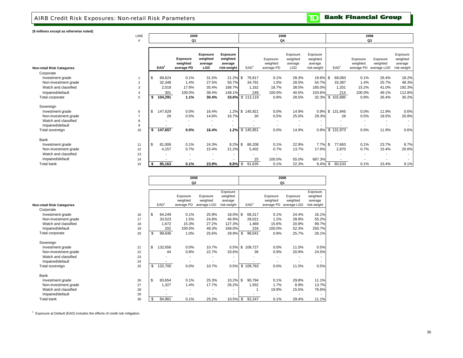### AIRB Credit Risk Exposures: Non-retail Risk Parameters

**TD** Bank Financial Group

**(\$ millions except as otherwise noted)**

| winnons except as otherwise hoted) |      |               |                                           |                                               |                                                       |                  |                                     |                                               |                                                |                    |                                    |                                     |                                                |  |  |  |
|------------------------------------|------|---------------|-------------------------------------------|-----------------------------------------------|-------------------------------------------------------|------------------|-------------------------------------|-----------------------------------------------|------------------------------------------------|--------------------|------------------------------------|-------------------------------------|------------------------------------------------|--|--|--|
|                                    | LINE |               | 2009                                      |                                               |                                                       |                  | 2008                                |                                               |                                                | 2008               |                                    |                                     |                                                |  |  |  |
|                                    |      |               | Q <sub>1</sub>                            |                                               |                                                       |                  | Q <sub>4</sub>                      |                                               |                                                | Q3                 |                                    |                                     |                                                |  |  |  |
|                                    |      |               |                                           |                                               |                                                       |                  |                                     |                                               |                                                |                    |                                    |                                     |                                                |  |  |  |
| Non-retail Risk Categories         |      | EAD           | <b>Exposure</b><br>weighted<br>average PD | <b>Exposure</b><br>weighted<br>average<br>LGD | <b>Exposure</b><br>weighted<br>average<br>risk-weight | EAD <sup>1</sup> | Exposure-<br>weighted<br>average PD | Exposure<br>weighted<br>average<br><b>LGD</b> | Exposure<br>weighted<br>average<br>risk-weight | EAD <sup>1</sup>   | Exposure<br>weighted<br>average PD | Exposure<br>weighted<br>average LGD | Exposure<br>weighted<br>average<br>risk-weight |  |  |  |
| Corporate                          |      |               |                                           |                                               |                                                       |                  |                                     |                                               |                                                |                    |                                    |                                     |                                                |  |  |  |
| Investment grade                   |      | 69,624<br>\$  | 0.1%                                      | 31.5%                                         | $21.2\%$ \$                                           | 76,917           | 0.1%                                | 28.3%                                         | 19.6% \$                                       | 68,083             | 0.1%                               | 26.4%                               | 18.2%                                          |  |  |  |
| Non-investment grade               | 2    | 32,348        | 1.4%                                      | 27.5%                                         | 50.7%                                                 | 34,791           | 1.5%                                | 28.5%                                         | 54.7%                                          | 33,387             | 1.4%                               | 25.7%                               | 48.3%                                          |  |  |  |
| Watch and classified               | 3    | 2.018         | 17.6%                                     | 35.4%                                         | 168.7%                                                | 1,162            | 18.7%                               | 38.5%                                         | 185.0%                                         | 1.201              | 15.2%                              | 41.0%                               | 192.3%                                         |  |  |  |
| Impaired/default                   |      |               | 301<br>100.0%                             | 38.4%                                         | 148.1%                                                | 249              | 100.0%                              | 40.5%                                         | 103.6%                                         | 214                | 100.0%                             | 49.1%                               | 112.8%                                         |  |  |  |
| Total corporate                    | 5    | 104,291<br>s. | 1.1%                                      | 30.4%                                         |                                                       | 33.6% \$ 113,119 | 0.9%                                | 28.5%                                         |                                                | 32.3% \$ 102,885   | 0.9%                               | 26.4%                               | 30.2%                                          |  |  |  |
| Sovereign                          |      |               |                                           |                                               |                                                       |                  |                                     |                                               |                                                |                    |                                    |                                     |                                                |  |  |  |
| Investment grade                   | 6    | 147,629<br>\$ | 0.0%                                      | 16.4%                                         |                                                       | 1.2% \$ 145,921  | 0.0%                                | 14.9%                                         |                                                | 0.9% \$ 131,945    | 0.0%                               | 11.9%                               | 0.6%                                           |  |  |  |
| Non-investment grade               |      |               | 28<br>0.5%                                | 14.6%                                         | 16.7%                                                 | 30               | 0.5%                                | 25.0%                                         | 29.3%                                          | 28                 | 0.5%                               | 18.5%                               | 20.8%                                          |  |  |  |
| Watch and classified               | 8    |               |                                           |                                               |                                                       |                  |                                     |                                               |                                                |                    |                                    |                                     |                                                |  |  |  |
| Impaired/default                   | 9    |               |                                           |                                               |                                                       |                  |                                     |                                               |                                                |                    |                                    |                                     |                                                |  |  |  |
| Total sovereign                    | 10   | 147,657<br>\$ | $0.0\%$                                   | 16.4%                                         | 1.2%                                                  | \$145,951        | 0.0%                                | 14.9%                                         |                                                | 0.9% \$131,973     | 0.0%                               | 11.9%                               | 0.6%                                           |  |  |  |
| Bank                               |      |               |                                           |                                               |                                                       |                  |                                     |                                               |                                                |                    |                                    |                                     |                                                |  |  |  |
| Investment grade                   | 11   | \$<br>81,006  | 0.1%                                      | 24.3%                                         | $8.2\%$ \$                                            | 86,208           | 0.1%                                | 22.9%                                         | 7.7%                                           | <b>S</b><br>77,663 | 0.1%                               | 23.7%                               | 8.7%                                           |  |  |  |
| Non-investment grade               | 12   | 4,157         | 0.7%                                      | 15.4%                                         | 21.2%                                                 | 5.402            | 0.7%                                | 13.7%                                         | 17.6%                                          | 2.870              | 0.7%                               | 15.4%                               | 20.6%                                          |  |  |  |
| Watch and classified               | 13   |               |                                           | $\overline{\phantom{a}}$                      |                                                       |                  | ۰                                   | $\overline{\phantom{a}}$                      |                                                |                    | $\overline{\phantom{a}}$           |                                     |                                                |  |  |  |
| Impaired/default                   | 14   |               |                                           |                                               |                                                       | 25               | 100.0%                              | 55.0%                                         | 687.3%                                         |                    |                                    |                                     |                                                |  |  |  |
| <b>Total bank</b>                  | 15   | 85,163        | 0.1%                                      | 23.9%                                         | $8.8\%$ \$                                            | 91,635           | 0.1%                                | 22.3%                                         | 8.4%                                           | 80,533<br>- \$     | 0.1%                               | 23.4%                               | 9.1%                                           |  |  |  |
|                                    |      |               |                                           |                                               |                                                       |                  |                                     |                                               |                                                |                    |                                    |                                     |                                                |  |  |  |

|                                   |    |     |                  | 2008<br>Q2                         |                                     |                                                | 2008<br>Q <sub>1</sub> |                  |                                    |                                     |                                                |  |  |
|-----------------------------------|----|-----|------------------|------------------------------------|-------------------------------------|------------------------------------------------|------------------------|------------------|------------------------------------|-------------------------------------|------------------------------------------------|--|--|
|                                   |    |     |                  |                                    |                                     |                                                |                        |                  |                                    |                                     |                                                |  |  |
| <b>Non-retail Risk Categories</b> |    |     | EAD <sup>®</sup> | Exposure<br>weighted<br>average PD | Exposure<br>weighted<br>average LGD | Exposure<br>weighted<br>average<br>risk-weight |                        | EAD <sup>1</sup> | Exposure<br>weighted<br>average PD | Exposure<br>weighted<br>average LGD | Exposure<br>weighted<br>average<br>risk-weight |  |  |
| Corporate                         |    |     |                  |                                    |                                     |                                                |                        |                  |                                    |                                     |                                                |  |  |
| Investment grade                  | 16 | \$  | 64,249           | 0.1%                               | 25.9%                               | 18.0% \$                                       |                        | 68,317           | 0.1%                               | 24.4%                               | 16.1%                                          |  |  |
| Non-investment grade              | 17 |     | 33,523           | 1.5%                               | 24.8%                               | 46.9%                                          |                        | 28,021           | 1.2%                               | 28.9%                               | 55.2%                                          |  |  |
| Watch and classified              | 18 |     | 1,672            | 15.3%                              | 27.2%                               | 127.3%                                         |                        | 1,469            | 15.6%                              | 20.9%                               | 99.7%                                          |  |  |
| Impaired/default                  | 19 |     | 202              | 100.0%                             | 48.3%                               | 168.0%                                         |                        | 234              | 100.0%                             | 52.3%                               | 250.7%                                         |  |  |
| Total corporate                   | 20 | \$  | 99,646           | 1.0%                               | 25.6%                               | 29.9%                                          | \$                     | 98,041           | 0.9%                               | 25.7%                               | 29.1%                                          |  |  |
| Sovereign                         |    |     |                  |                                    |                                     |                                                |                        |                  |                                    |                                     |                                                |  |  |
| Investment grade                  | 21 | \$  | 132,656          | 0.0%                               | 10.7%                               | 0.5%                                           | \$                     | 109.727          | 0.0%                               | 11.5%                               | 0.5%                                           |  |  |
| Non-investment grade              | 22 |     | 44               | 0.8%                               | 22.7%                               | 33.6%                                          |                        | 36               | 0.9%                               | 20.9%                               | 24.5%                                          |  |  |
| Watch and classified              | 23 |     |                  | ۰                                  |                                     |                                                |                        |                  | ۰                                  |                                     |                                                |  |  |
| Impaired/default                  | 24 |     |                  |                                    |                                     |                                                |                        |                  |                                    |                                     |                                                |  |  |
| Total sovereign                   | 25 | \$  | 132,700          | 0.0%                               | 10.7%                               | 0.5%                                           |                        | \$109,763        | 0.0%                               | 11.5%                               | 0.5%                                           |  |  |
| Bank                              |    |     |                  |                                    |                                     |                                                |                        |                  |                                    |                                     |                                                |  |  |
| Investment grade                  | 26 | \$  | 83,654           | 0.1%                               | 25.3%                               | 10.2%                                          | \$                     | 90,794           | 0.1%                               | 29.8%                               | 11.1%                                          |  |  |
| Non-investment grade              | 27 |     | 1,327            | 1.4%                               | 17.7%                               | 26.2%                                          |                        | 1,552            | 1.7%                               | 8.9%                                | 13.7%                                          |  |  |
| Watch and classified              | 28 |     |                  |                                    |                                     |                                                |                        |                  | 19.9%                              | 15.5%                               | 76.6%                                          |  |  |
| Impaired/default                  | 29 |     |                  |                                    |                                     |                                                |                        |                  |                                    |                                     |                                                |  |  |
| <b>Total bank</b>                 | 30 | \$. | 84,981           | 0.1%                               | 25.2%                               | 10.5%                                          | \$                     | 92,347           | 0.1%                               | 29.4%                               | 11.1%                                          |  |  |

 $1$  Exposure at Default (EAD) includes the effects of credit risk mitigation.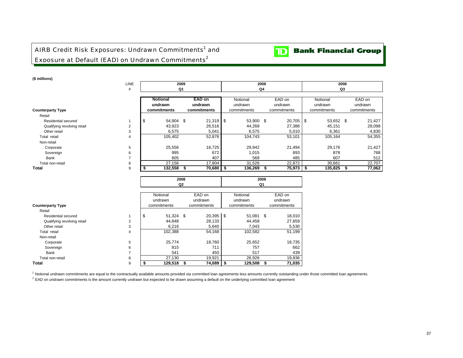# AIRB Credit Risk Exposures: Undrawn Commitments<sup>1</sup> and Exposure at Default (EAD) on Undrawn Commitments<sup>2</sup>



**(\$ millions)**

| († 11111110113 <i>)</i>     |             |                 |                |      |             |  |                |      |             |          |             |  |             |
|-----------------------------|-------------|-----------------|----------------|------|-------------|--|----------------|------|-------------|----------|-------------|--|-------------|
|                             | <b>LINE</b> |                 | 2009           |      |             |  |                | 2008 |             | 2008     |             |  |             |
|                             | #           |                 | Q <sub>1</sub> |      |             |  | Q <sub>4</sub> |      |             | Q3       |             |  |             |
|                             |             |                 |                |      |             |  |                |      |             |          |             |  |             |
|                             |             | <b>Notional</b> |                |      | EAD on      |  | Notional       |      | EAD on      | Notional |             |  | EAD on      |
|                             |             | undrawn         |                |      | undrawn     |  | undrawn        |      | undrawn     |          | undrawn     |  | undrawn     |
| <b>Counterparty Type</b>    |             |                 | commitments    |      | commitments |  | commitments    |      | commitments |          | commitments |  | commitments |
| Retail                      |             |                 |                |      |             |  |                |      |             |          |             |  |             |
| Residential secured         |             | - \$            | 54,904 \$      |      | $21,319$ \$ |  | 53,900 \$      |      | $20,705$ \$ |          | 53,652 \$   |  | 21,427      |
| Qualifying revolving retail | 2           |                 | 43,923         |      | 26,516      |  | 44,268         |      | 27,386      |          | 45,151      |  | 28,098      |
| Other retail                | 3           |                 | 6,575          |      | 5,041       |  | 6,575          |      | 5,010       |          | 6,361       |  | 4,830       |
| Total retail                | 4           |                 | 105,402        |      | 52,876      |  | 104,743        |      | 53,101      |          | 105,164     |  | 54,355      |
| Non-retail                  |             |                 |                |      |             |  |                |      |             |          |             |  |             |
| Corporate                   | 5           |                 | 25,556         |      | 16,725      |  | 29,942         |      | 21,494      |          | 29,176      |  | 21,427      |
| Sovereign                   | 6           |                 | 995            |      | 672         |  | 1,015          |      | 893         |          | 878         |  | 768         |
| Bank                        |             |                 | 605            |      | 407         |  | 569            |      | 485         |          | 607         |  | 512         |
| Total non-retail            | 8           |                 | 27,156         |      | 17,804      |  | 31,526         |      | 22,872      |          | 30,661      |  | 22,707      |
| Total                       | 9           |                 | 132,558        | - 56 | 70,680      |  | 136,269        |      | 75,973      |          | 135,825     |  | 77,062      |
|                             |             |                 |                |      |             |  |                |      |             |          |             |  |             |

**2008**

|                             |                | Q <sub>2</sub> |             |  |             |    | Q1          |     |             |  |  |
|-----------------------------|----------------|----------------|-------------|--|-------------|----|-------------|-----|-------------|--|--|
|                             |                |                |             |  |             |    |             |     |             |  |  |
|                             |                |                | Notional    |  | EAD on      |    | Notional    |     | EAD on      |  |  |
|                             |                |                | undrawn     |  | undrawn     |    | undrawn     |     | undrawn     |  |  |
| <b>Counterparty Type</b>    |                |                | commitments |  | commitments |    | commitments |     | commitments |  |  |
| Retail                      |                |                |             |  |             |    |             |     |             |  |  |
| Residential secured         |                | \$             | 51,324 \$   |  | 20,395      | \$ | 51,081      | -\$ | 18,010      |  |  |
| Qualifying revolving retail | $\overline{2}$ |                | 44,848      |  | 28,133      |    | 44,458      |     | 27,659      |  |  |
| Other retail                | 3              |                | 6,216       |  | 5,640       |    | 7,043       |     | 5,530       |  |  |
| Total retail                | 4              |                | 102,388     |  | 54,168      |    | 102,582     |     | 51,199      |  |  |
| Non-retail                  |                |                |             |  |             |    |             |     |             |  |  |
| Corporate                   | 5              |                | 25,774      |  | 18,760      |    | 25,652      |     | 18,735      |  |  |
| Sovereign                   | 6              |                | 815         |  | 711         |    | 757         |     | 662         |  |  |
| Bank                        | ⇁              |                | 541         |  | 450         |    | 517         |     | 439         |  |  |
| Total non-retail            | 8              |                | 27,130      |  | 19,921      |    | 26,926      |     | 19,836      |  |  |
| Total                       | 9              |                | 129,518     |  | 74,089      | \$ | 129,508     |     | 71,035      |  |  |

**2008**

<sup>1</sup> Notional undrawn commitments are equal to the contractually available amounts provided via committed loan agreements less amounts currently outstanding under those committed loan agreements.

 $2$  EAD on undrawn commitments is the amount currently undrawn but expected to be drawn assuming a default on the underlying committed loan agreement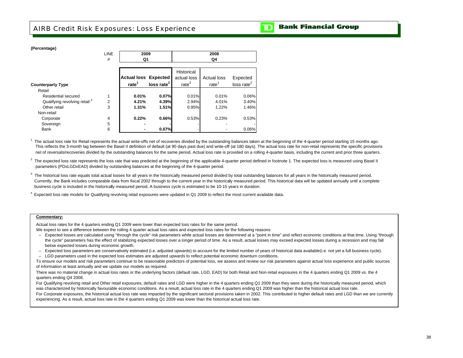# AIRB Credit Risk Exposures: Loss Experience

|  |  | <b>TD</b> Bank Financial Group |  |
|--|--|--------------------------------|--|
|--|--|--------------------------------|--|

| (Percentage)                             |                |                             |                        |                   |                    |                        |  |  |  |  |  |
|------------------------------------------|----------------|-----------------------------|------------------------|-------------------|--------------------|------------------------|--|--|--|--|--|
|                                          | <b>LINE</b>    | 2009                        |                        | 2008              |                    |                        |  |  |  |  |  |
|                                          | #              | Q1                          |                        | Q4                |                    |                        |  |  |  |  |  |
|                                          |                |                             |                        | Historical        |                    |                        |  |  |  |  |  |
|                                          |                | <b>Actual loss Expected</b> |                        | actual loss       | <b>Actual loss</b> | Expected               |  |  |  |  |  |
| <b>Counterparty Type</b>                 |                | rate <sup>1</sup>           | loss rate <sup>2</sup> | rate <sup>3</sup> | rate <sup>1</sup>  | loss rate <sup>2</sup> |  |  |  |  |  |
| Retail                                   |                |                             |                        |                   |                    |                        |  |  |  |  |  |
| Residential secured                      |                | 0.01%                       | 0.07%                  | 0.01%             | 0.01%              | 0.06%                  |  |  |  |  |  |
| Qualifying revolving retail <sup>4</sup> | $\overline{2}$ | 4.21%                       | 4.39%                  | 2.94%             | 4.01%              | 3.40%                  |  |  |  |  |  |
| Other retail                             | 3              | 1.31%                       | 1.51%                  | 0.95%             | 1.22%              | 1.46%                  |  |  |  |  |  |
| Non-retail                               |                |                             |                        |                   |                    |                        |  |  |  |  |  |
| Corporate                                | 4              | 0.22%                       | 0.66%                  | 0.53%             | 0.23%              | 0.53%                  |  |  |  |  |  |
| Sovereign                                | 5              |                             |                        |                   |                    |                        |  |  |  |  |  |
| <b>Bank</b>                              | 6              |                             | 0.07%                  |                   |                    | 0.06%                  |  |  |  |  |  |

**(Percentage)**

 $1$  The actual loss rate for Retail represents the actual write-offs net of recoveries divided by the outstanding balances taken at the beginning of the 4-quarter period starting 15 months ago. net of reversals/recoveries divided by the outstanding balances for the same period. Actual loss rate is provided on a rolling 4-quarter basis, including the current and prior three quarters. This reflects the 3-month lag between the Basel II definition of default (at 90 days past due) and write-off (at 180 days). The actual loss rate for non-retail represents the specific provisions

 $2$  The expected loss rate represents the loss rate that was predicted at the beginning of the applicable 4-quarter period defined in footnote 1. The expected loss is measured using Basel II parameters (PDxLGDxEAD) divided by outstanding balances at the beginning of the 4-quarter period.

 $3$  The historical loss rate equals total actual losses for all years in the historically measured period divided by total outstanding balances for all years in the historically measured period. business cycle is included in the historically measured period. A business cycle is estimated to be 10-15 years in duration. Currently, the Bank includes comparable data from fiscal 2002 through to the current year in the historicaly measured period. This historical data will be updated annually until a complete

 $4$  Expected loss rate models for Qualifying revolving retail exposures were updated in Q1 2009 to reflect the most current available data.

### **Commentary:**

Actual loss rates for the 4 quarters ending Q1 2009 were lower than expected loss rates for the same period.

We expect to see a difference between the rolling 4 quarter actual loss rates and expected loss rates for the following reasons:

- –Expected losses are calculated using "through the cycle" risk parameters while actual losses are determined at a "point in time" and reflect economic conditions at that time. Using "through the cycle" parameters has the effect of stabilizing expected losses over a longer period of time. As a result, actual losses may exceed expected losses during a recession and may fall below expected losses during economic growth.
- Expected loss parameters are conservatively estimated (i.e. adjusted upwards) to account for the limited number of years of historical data available (i.e. not yet a full business cycle).
- LGD parameters used in the expected loss estimates are adjusted upwards to reflect potential economic downturn conditions.

To ensure our models and risk parameters continue to be reasonable predictors of potential loss, we assess and review our risk parameters against actual loss experience and public sources of information at least annually and we update our models as required.

There was no material change in actual loss rates or the underlying factors (default rate, LGD, EAD) for both Retail and Non-retail exposures in the 4 quarters ending Q1 2009 vs. the 4 quarters ending Q4 2008.

For Qualifving revolving retail and Other retail exposures, default rates and LGD were higher in the 4 quarters ending Q1 2009 than they were during the historically measured period, which was characterized by historically favourable economic conditions. As a result, actual loss rate in the 4 quarters ending Q1 2009 was higher than the historical actual loss rate.

For Corporate exposures, the historical actual loss rate was impacted by the significant sectoral provisions taken in 2002. This contributed to higher default rates and LGD than we are currently experiencing. As a result, actual loss rate in the 4 quarters ending Q1 2009 was lower than the historical actual loss rate.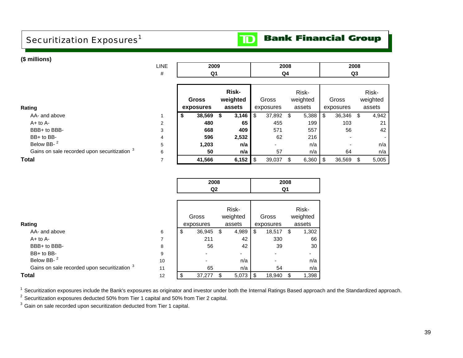# Securitization Exposures<sup>1</sup>

### **Bank Financial Group**  $\mathbf{D}$

| (\$ millions)                                           |                |           |              |      |                     |     |                          |      |            |           |           |          |       |
|---------------------------------------------------------|----------------|-----------|--------------|------|---------------------|-----|--------------------------|------|------------|-----------|-----------|----------|-------|
|                                                         | <b>LINE</b>    |           | 2009         |      |                     |     |                          | 2008 |            |           |           |          |       |
|                                                         | #              |           | Q1           |      |                     | Q4  |                          |      |            | Q3        |           |          |       |
|                                                         |                |           |              |      |                     |     |                          |      |            |           |           |          |       |
|                                                         |                |           |              |      | Risk-               |     |                          |      | Risk-      |           |           |          | Risk- |
|                                                         |                |           | <b>Gross</b> |      | weighted            |     | Gross                    |      | weighted   | Gross     |           | weighted |       |
| Rating                                                  |                | exposures |              |      | assets              |     | exposures                |      | assets     | exposures |           | assets   |       |
| AA- and above                                           |                | \$        | 38,569       | - \$ | 3,146               | -\$ | 37,892 \$                |      | 5,388      | \$        | 36,346 \$ |          | 4,942 |
| $A+$ to $A-$                                            | $\overline{2}$ |           | 480          |      | 65                  |     | 455                      |      | 199        |           | 103       |          | 21    |
| BBB+ to BBB-                                            | 3              |           | 668          |      | 409                 |     | 571                      |      | 557        |           | 56        |          | 42    |
| BB+ to BB-                                              | 4              |           | 596          |      | 2,532               |     | 62                       |      | 216        |           |           |          |       |
| Below BB- <sup>2</sup>                                  | 5              |           | 1,203        |      | n/a                 |     | $\overline{\phantom{0}}$ |      | n/a        |           |           |          | n/a   |
| Gains on sale recorded upon securitization <sup>3</sup> | 6              |           | 50           |      | n/a                 |     | 57                       |      | n/a        |           | 64        |          | n/a   |
| <b>Total</b>                                            | 7              |           | 41,566       |      | 6,152 $\frac{1}{3}$ |     | 39,037 \$                |      | $6,360$ \$ |           | 36,569    | S.       | 5,005 |

| 2008 | 2008 |
|------|------|
| מח   | ∩1   |

| Rating                                       |    |   | Gross<br>exposures |   | Risk-<br>weighted<br>assets | Gross<br>exposures |     | Risk-<br>weighted<br>assets |
|----------------------------------------------|----|---|--------------------|---|-----------------------------|--------------------|-----|-----------------------------|
| AA- and above                                | 6  | S | 36,945             | S | 4,989                       | \$<br>18,517       | \$. | 1,302                       |
| $A+$ to $A-$                                 |    |   | 211                |   | 42                          | 330                |     | 66                          |
| BBB+ to BBB-                                 | 8  |   | 56                 |   | 42                          | 39                 |     | 30                          |
| BB+ to BB-                                   | 9  |   |                    |   | ۰                           |                    |     | ۰                           |
| Below BB- <sup>2</sup>                       | 10 |   |                    |   | n/a                         |                    |     | n/a                         |
| Gains on sale recorded upon securitization 3 | 11 |   | 65                 |   | n/a                         | 54                 |     | n/a                         |
| <b>Total</b>                                 | 12 |   | 37,277             |   | 5,073                       | \$<br>18,940       |     | 1,398                       |

<sup>1</sup> Securitization exposures include the Bank's exposures as originator and investor under both the Internal Ratings Based approach and the Standardized approach.

<sup>2</sup> Securitization exposures deducted 50% from Tier 1 capital and 50% from Tier 2 capital.

<sup>3</sup> Gain on sale recorded upon securitization deducted from Tier 1 capital.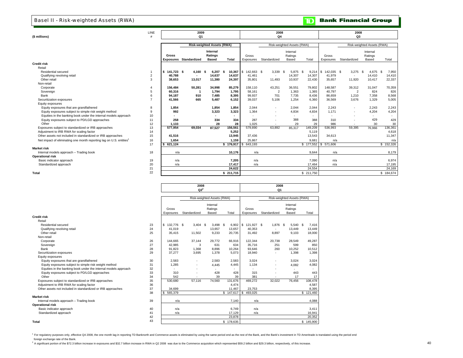### Basel II - Risk-weighted Assets (RWA)

|  |  | <b>TD</b> Bank Financial Group |  |
|--|--|--------------------------------|--|
|--|--|--------------------------------|--|

|                                                                                 | LINE           |                   | 2009                          |                                   |                |                   | 2008                     |                            |               | 2008                       |              |               |               |  |
|---------------------------------------------------------------------------------|----------------|-------------------|-------------------------------|-----------------------------------|----------------|-------------------|--------------------------|----------------------------|---------------|----------------------------|--------------|---------------|---------------|--|
| (\$ millions)                                                                   | #              |                   | Q1                            |                                   |                |                   | Q4                       |                            |               | Q3                         |              |               |               |  |
|                                                                                 |                |                   |                               | <b>Risk-weighted Assets (RWA)</b> |                |                   |                          | Risk-weighted Assets (RWA) |               | Risk-weighted Assets (RWA) |              |               |               |  |
|                                                                                 |                |                   |                               | Internal                          |                |                   |                          | Internal                   |               | Internal                   |              |               |               |  |
|                                                                                 |                | Gross             |                               | Ratings                           |                | Gross             |                          | Ratings                    |               | Gross                      |              | Ratings       |               |  |
|                                                                                 |                |                   | <b>Exposures Standardized</b> | <b>Based</b>                      | <b>Total</b>   | Exposures         | Standardized             | Based                      | Total         | Exposures                  | Standardized | Based         | Total         |  |
| <b>Credit risk</b>                                                              |                |                   |                               |                                   |                |                   |                          |                            |               |                            |              |               |               |  |
| Retail                                                                          |                |                   |                               |                                   |                |                   |                          |                            |               |                            |              |               |               |  |
| Residential secured                                                             | $\mathbf{1}$   | 141.723 \$<br>IS. | 4.160                         | 6.207<br>- \$                     | 10,367<br>- \$ | 142,663 \$<br>I S | 3.339                    | 5,875<br>- \$              | - \$<br>9,214 | 142,035 \$<br>l S          | 3,275        | 4,675<br>- \$ | 7,950<br>- \$ |  |
| Qualifying revolving retail                                                     | $\overline{2}$ | 40.788            | $\blacksquare$                | 14,637                            | 14,637         | 41.461            | $\overline{\phantom{a}}$ | 14,307                     | 14,307        | 41.979                     |              | 14,410        | 14,410        |  |
| Other retail                                                                    | 3              | 38.653            | 13,017                        | 11,380                            | 24,397         | 35,801            | 11.493                   | 10,937                     | 22,430        | 35,657                     | 11,920       | 10,417        | 22,337        |  |
| Non-retail                                                                      |                |                   |                               |                                   |                |                   |                          |                            |               |                            |              |               |               |  |
| Corporate                                                                       | $\overline{4}$ | 156,484           | 50,281                        | 34,998                            | 85,279         | 158.110           | 43,251                   | 36,551                     | 79,802        | 148,587                    | 39,312       | 31,047        | 70,359        |  |
| Sovereign                                                                       | 5              | 60.316            | -1                            | 1,794                             | 1,795          | 58.161            | $\overline{2}$           | 1,363                      | 1,365         | 40.797                     | 2            | 824           | 826           |  |
| Bank                                                                            | 6              | 94,187            | 910                           | 7.485                             | 8,395          | 99.937            | 701                      | 7,735                      | 8,436         | 86.659                     | 1,210        | 7,358         | 8,568         |  |
| Securitization exposures                                                        | $\overline{7}$ | 41.566            | 665                           | 5.487                             | 6.152          | 39.037            | 5.106                    | 1.254                      | 6.360         | 36.569                     | 3.676        | 1.329         | 5,005         |  |
| Equity exposures                                                                |                |                   |                               |                                   |                |                   |                          |                            |               |                            |              |               |               |  |
| Equity exposures that are grandfathered                                         | 8              | 1,854             |                               | 1.854                             | 1,854          | 2.044             | $\sim$                   | 2,044                      | 2,044         | 2.243                      | $\sim$       | 2,243         | 2,243         |  |
| Equity exposures subject to simple risk weight method                           | 9              | 992               |                               | 3.323                             | 3.323          | 1.364             |                          | 4.834                      | 4.834         | 1.171                      | ×.           | 4.204         | 4,204         |  |
| Equities in the banking book under the internal models approach                 | 10             | $\sim$            |                               |                                   |                | $\sim$            |                          | $\sim$                     | $\sim$        | $\sim$                     |              | $\sim$        | ۰.            |  |
| Equity exposures subject to PD/LGD approaches                                   | 11             | 258               |                               | 334                               | 334            | 287               |                          | 388                        | 388           | 310                        |              | 429           | 429           |  |
| Other                                                                           | 12             | 1.133             |                               | 28                                |                | 28<br>1,025       | $\overline{\phantom{a}}$ | 29                         | 29            | 986                        |              | 30            | 30            |  |
| Exposures subject to standardized or IRB approaches                             | 13             | 577.954           | 69.034                        | 87.527                            | 156,561        | 579.890           | 63.892                   | 85.317                     | 149,209       | 536.993                    | 59,395       | 76.966        | 136,361       |  |
| Adjustment to IRB RWA for scaling factor                                        | 14             |                   |                               |                                   | 5,252          |                   |                          |                            | 5,119         |                            |              |               | 4,618         |  |
| Other assets not included in standardized or IRB approaches                     | 15             | 41,516            |                               |                                   | 13,945         | 37,436            |                          |                            | 13,543        | 34.613                     |              |               | 11,347        |  |
| Net impact of eliminating one month reporting lag on U.S. entities <sup>1</sup> | 16             | 1,654             |                               |                                   | 1,159          | 25,867            |                          |                            | 9.681         | n/a                        |              |               | n/a           |  |
|                                                                                 | 17             | 621,124<br>s.     |                               |                                   | \$176,917      | 643,193<br>IS.    |                          |                            |               | \$177,552 \$571,606        |              |               | \$152,326     |  |
| <b>Market risk</b>                                                              |                |                   |                               |                                   |                |                   |                          |                            |               |                            |              |               |               |  |
| Internal models approach - Trading book                                         | 18             | n/a               |                               |                                   | 10.176         | n/a               |                          |                            | 9.644         | n/a                        |              |               | 8.179         |  |
| <b>Operational risk</b>                                                         |                |                   |                               |                                   |                |                   |                          |                            |               |                            |              |               |               |  |
| Basic indicator approach                                                        | 19             | n/a               |                               |                                   | 7,205          | n/a               |                          |                            | 7,090         | n/a                        |              |               | 6,974         |  |
| Standardized approach                                                           | 20             | n/a               |                               |                                   | 17,417         | n/a               |                          |                            | 17.464        | n/a                        |              |               | 17,195        |  |
|                                                                                 | 21             |                   |                               |                                   | 24.622         |                   |                          |                            | 24.554        |                            |              |               | 24,169        |  |
| Total                                                                           | 22             |                   |                               |                                   | \$211,715      |                   |                          |                            | \$211,750     |                            |              |               | \$184,674     |  |

**2008**

ヿ

**2008**

|                                                                 |    |                  | $Q2^2$       |                            |                   | Q <sub>1</sub>             |              |                     |           |  |  |
|-----------------------------------------------------------------|----|------------------|--------------|----------------------------|-------------------|----------------------------|--------------|---------------------|-----------|--|--|
|                                                                 |    |                  |              |                            |                   |                            |              |                     |           |  |  |
|                                                                 |    |                  |              | Risk-weighted Assets (RWA) |                   | Risk-weighted Assets (RWA) |              |                     |           |  |  |
|                                                                 |    | Gross            |              | Internal<br>Ratings        |                   | Gross                      |              | Internal<br>Ratings |           |  |  |
|                                                                 |    | Exposures        | Standardized | Based                      | Total             | Exposures                  | Standardized | Based               | Total     |  |  |
| <b>Credit risk</b>                                              |    |                  |              |                            |                   |                            |              |                     |           |  |  |
| Retail                                                          |    |                  |              |                            |                   |                            |              |                     |           |  |  |
| Residential secured                                             | 23 | S.<br>132,776 \$ | $3,404$ \$   | 3,498                      | $6,902$ \$<br>- S | 121,927 \$                 | 1,876 \$     | 5,540 \$            | 7,416     |  |  |
| Qualifying revolving retail                                     | 24 | 41,019           | ٠            | 13,657                     | 13,657            | 40,353                     |              | 13,449              | 13,449    |  |  |
| Other retail                                                    | 25 | 35,415           | 11,502       | 9,233                      | 20,735            | 31,492                     | 8,897        | 9,103               | 18,000    |  |  |
| Non-retail                                                      |    |                  |              |                            |                   |                            |              |                     |           |  |  |
| Corporate                                                       | 26 | 144.665          | 37,144       | 29,772                     | 66,916            | 122.344                    | 20,738       | 28,549              | 49,287    |  |  |
| Sovereign                                                       | 27 | 42.985           | 3            | 631                        | 634               | 35,716                     | 251          | 599                 | 850       |  |  |
| Bank                                                            | 28 | 91,823           | 1,368        | 8,896                      | 10,264            | 93,646                     | 260          | 10,252              | 10,512    |  |  |
| Securitization exposures                                        | 29 | 37.277           | 3,695        | 1,378                      | 5.073             | 18,940                     |              | 1,398               | 1,398     |  |  |
| Equity exposures                                                |    |                  |              |                            |                   |                            |              |                     |           |  |  |
| Equity exposures that are grandfathered                         | 30 | 2,583            | ٠            | 2.583                      | 2.583             | 3.024                      | ٠            | 3.024               | 3.024     |  |  |
| Equity exposures subject to simple risk weight method           | 31 | 1,285            | ٠            | 4.445                      | 4.445             | 1.134                      |              | 4,082               | 4,082     |  |  |
| Equities in the banking book under the internal models approach | 32 | ×.               | ۰            |                            |                   |                            |              | ٠                   |           |  |  |
| Equity exposures subject to PD/LGD approaches                   | 33 | 310              | ٠            | 428                        | 428               | 315                        |              | 443                 | 443       |  |  |
| Other                                                           | 34 | 542              |              | 39                         | 39                | 381                        |              | 17                  | 17        |  |  |
| Exposures subject to standardized or IRB approaches             | 35 | 530,680          | 57,116       | 74,560                     | 131,676           | 469,272                    | 32,022       | 76,456              | 108,478   |  |  |
| Adjustment to IRB RWA for scaling factor                        | 36 |                  |              |                            | 4,474             |                            |              |                     | 4,587     |  |  |
| Other assets not included in standardized or IRB approaches     | 37 | 34,699           |              |                            | 11,467            | 23,753                     |              |                     | 8,395     |  |  |
|                                                                 | 38 | 565,379<br>S.    |              |                            |                   | 493,025                    |              |                     | \$121,460 |  |  |
| <b>Market risk</b>                                              |    |                  |              |                            |                   |                            |              |                     |           |  |  |
| Internal models approach - Trading book                         | 39 | n/a              |              |                            | 7,140             | n/a                        |              |                     | 4,088     |  |  |
| <b>Operational risk</b>                                         |    |                  |              |                            |                   |                            |              |                     |           |  |  |
| Basic indicator approach                                        | 40 | n/a              |              |                            | 6.749             | n/a                        |              |                     | 3,411     |  |  |
| Standardized approach                                           | 41 | n/a              |              |                            | 17.129            | n/a                        |              |                     | 16,941    |  |  |
|                                                                 | 42 |                  |              |                            | 23,878            |                            |              |                     | 20,352    |  |  |
| Total                                                           | 43 |                  |              |                            | \$178,635         |                            |              |                     | \$145,900 |  |  |

<sup>1</sup> For regulatory purposes only, effective Q4 2008, the one month lag in reporting TD Banknorth and Commerce assets is eliminated by using the same period end as the rest of the Bank, and the Bank's investment in TD Ameri foreign exchange rate of the Bank.

<sup>2</sup> A significant portion of the \$72.3 billion increase in exposures and \$32.7 billion increase in RWA in Q2 2008 was due to the Commerce acquisition which represented \$59.2 billion and \$29.3 billion, respectively, of this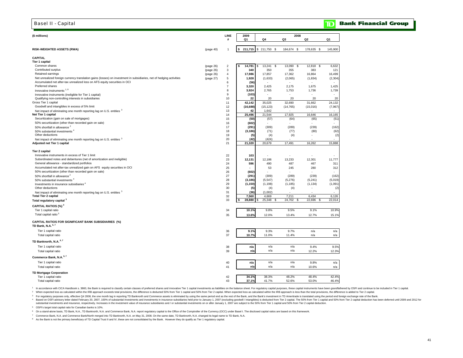| <b>Basel II - Capital</b>                                                                                           |                        |                                |                          |                |               |                    | ID            | <b>Bank Financial Group</b> |
|---------------------------------------------------------------------------------------------------------------------|------------------------|--------------------------------|--------------------------|----------------|---------------|--------------------|---------------|-----------------------------|
|                                                                                                                     |                        |                                |                          |                |               |                    |               |                             |
| (\$ millions)                                                                                                       |                        | <b>LINE</b><br>#               | 2009<br>Q1               | Q4             | 2008<br>Q3    | Q2                 | Q1            |                             |
|                                                                                                                     |                        |                                |                          |                |               |                    |               |                             |
| <b>RISK-WEIGHTED ASSETS (RWA)</b>                                                                                   | (page 40)              | 1                              | 211,715                  | $$211,750$ \$  | 184,674 \$    | 178,635 \$         | 145,900       |                             |
| CAPITAL                                                                                                             |                        |                                |                          |                |               |                    |               |                             |
| <b>Tier 1 capital</b>                                                                                               |                        |                                |                          |                |               |                    |               |                             |
| Common shares                                                                                                       | (page 26)              | $\overline{\mathbf{c}}$        | 14,781                   | 13,241<br>£    | 13,090<br>-9  | 12,818<br>- \$     | 6,632         |                             |
| Contributed surplus<br>Retained earnings                                                                            | (page 26)              | $\mathbf{3}$<br>$\overline{4}$ | 340                      | 350<br>17,857  | 355<br>17,362 | 383                | 121<br>16,499 |                             |
| Net unrealized foreign currency translation gains (losses) on investment in subsidiaries, net of hedging activities | (page 26)<br>(page 27) | $\,$ 5 $\,$                    | 17,986<br>1,928          | (1,633)        | (2,065)       | 16,864<br>(1, 834) | (2, 304)      |                             |
| Accumulated net after-tax unrealized loss on AFS equity securities in OCI                                           |                        | 6                              | (56)                     |                | $\sim$        | $\sim$             |               |                             |
| Preferred shares                                                                                                    |                        | $\overline{7}$                 | 3,320                    | 2,425          | 2,175         | 1,675              | 1,425         |                             |
| Innovative instruments <sup>1,8</sup>                                                                               |                        | 8                              | 3,924                    | 2,765          | 1,753         | 1,736              | 1,739         |                             |
| Innovative instruments (ineligible for Tier 1 capital)                                                              |                        | 9                              | (103)                    |                |               |                    |               |                             |
| Qualifying non-controlling interests in subsidiaries                                                                |                        | 10                             | 22                       | 20             | 20            | 20                 | 20            |                             |
| Gross Tier 1 capital                                                                                                |                        | 11                             | 42,142                   | 35,025         | 32,690        | 31,662             | 24,132        |                             |
| Goodwill and intangibles in excess of 5% limit                                                                      |                        | 12                             | (16, 688)                | (15, 123)      | (14, 765)     | (15,016)           | (7,967)       |                             |
| Net impact of eliminating one month reporting lag on U.S. entities 3                                                |                        | 13                             | 42                       | 1,642          | $\sim$        |                    |               |                             |
| Net Tier 1 capital                                                                                                  |                        | 14                             | 25,496                   | 21,544         | 17,925        | 16,646             | 16,165        |                             |
| Securitization (gain on sale of mortgages)<br>50% securitization (other than recorded gain on sale)                 |                        | 15                             | (50)                     | (57)           | (64)          | (65)               | (51)          |                             |
| 50% shortfall in allowance <sup>2</sup>                                                                             |                        | 16<br>17                       | (602)<br>(291)           | (309)          | (289)         | (239)              | (162)         |                             |
| 50% substantial investments <sup>4</sup>                                                                            |                        | 18                             | (3, 186)                 | (71)           | (77)          | (80)               | (62)          |                             |
| Other deductions                                                                                                    |                        | 19                             | (5)                      | (4)            | (4)           | $\overline{a}$     | (2)           |                             |
| Net impact of eliminating one month reporting lag on U.S. entities 3                                                |                        | 20                             | (42)                     | (424)          |               |                    |               |                             |
| Adjusted net Tier 1 capital                                                                                         |                        | 21                             | 21,320                   | 20,679         | 17,491        | 16,262             | 15,888        |                             |
| <b>Tier 2 capital</b>                                                                                               |                        |                                |                          |                |               |                    |               |                             |
| Innovative instruments in excess of Tier 1 limit                                                                    |                        |                                |                          |                |               |                    |               |                             |
| Subordinated notes and debentures (net of amortization and ineligible)                                              |                        | 22<br>23                       | 103<br>12,131            | 12,186         | 13,233        | 12,301             | 11,777        |                             |
| General allowance - standardized portfolios                                                                         |                        | 24                             | 596                      | 490            | 487           | 467                | 311           |                             |
| Accumulated net after-tax unrealized gain on AFS equity securities in OCI                                           |                        | 25                             | $\overline{\phantom{a}}$ | 53             | 245           | 280                | 312           |                             |
| 50% securitization (other than recorded gain on sale)                                                               |                        | 26                             | (602)                    |                |               |                    |               |                             |
| 50% shortfall in allowance <sup>2</sup>                                                                             |                        | 27                             | (291)                    | (309)          | (289)         | (239)              | (162)         |                             |
| 50% substantial investments <sup>4</sup>                                                                            |                        | 28                             | (3, 186)                 | (5, 547)       | (5,276)       | (5,241)            | (5,019)       |                             |
| Investments in insurance subsidiaries <sup>4</sup>                                                                  |                        | 29                             | (1, 150)                 | (1, 198)       | (1, 185)      | (1, 134)           | (1,091)       |                             |
| Other deductions                                                                                                    |                        | 30                             | (5)                      | (4)            | (4)           |                    | (2)           |                             |
| Net impact of eliminating one month reporting lag on U.S. entities <sup>3</sup>                                     |                        | 31                             | (36)                     | (1,002)        |               |                    |               |                             |
| <b>Total Tier 2 capital</b>                                                                                         |                        | 32                             | 7.560                    | 4.669          | 7.211         | 6.434              | 6.126         |                             |
| Total regulatory capital <sup>3</sup>                                                                               |                        | 33                             | 28,880                   | 25,348<br>- 95 | 24,702 \$     | 22,696<br>- \$     | 22,014        |                             |
| CAPITAL RATIOS (%) <sup>3</sup>                                                                                     |                        |                                |                          |                |               |                    |               |                             |
| Tier 1 capital ratio                                                                                                |                        | 34                             | 10.1%                    | 9.8%           | 9.5%          | 9.1%               | 10.9%         |                             |
| Total capital ratio <sup>5</sup>                                                                                    |                        | 35                             | 13.6%                    | 12.0%          | 13.4%         | 12.7%              | 15.1%         |                             |
| <b>CAPITAL RATIOS FOR SIGNIFICANT BANK SUBSIDIARIES (%)</b><br>TD Bank, N.A. 6,7                                    |                        |                                |                          |                |               |                    |               |                             |
| Tier 1 capital ratio                                                                                                |                        | 36                             | 9.1%                     | 9.3%           | 9.7%          | n/a                | n/a           |                             |
| Total capital ratio                                                                                                 |                        | 37                             | 10.7%                    | 11.0%          | 11.4%         | n/a                | n/a           |                             |
| TD Banknorth, N.A. 6,7                                                                                              |                        |                                |                          |                |               |                    |               |                             |
| Tier 1 capital ratio                                                                                                |                        | 38                             | n/a                      | n/a            | n/a           | 9.4%               | 9.5%          |                             |
| Total capital ratio                                                                                                 |                        | 39                             | n/a                      | n/a            | n/a           | 12.2%              | 12.3%         |                             |
| Commerce Bank, N.A. <sup>6,7</sup>                                                                                  |                        |                                |                          |                |               |                    |               |                             |
| Tier 1 capital ratio                                                                                                |                        | 40                             | n/a                      | n/a            | n/a           | 9.8%               | n/a           |                             |
| Total capital ratio                                                                                                 |                        | 41                             | n/a                      | n/a            | n/a           | 10.6%              | n/a           |                             |
| <b>TD Mortgage Corporation</b>                                                                                      |                        |                                |                          |                |               |                    |               |                             |
| Tier 1 capital ratio                                                                                                |                        | 42                             | 34.1%                    | 38.3%          | 48.2%         | 48.4%              | 42.4%         |                             |
| Total capital ratio                                                                                                 |                        | 43                             | 37.1%                    | 41.7%          | 52.6%         | 53.0%              | 46.4%         |                             |

1 In accordance with CICA Handbook s. 3860, the Bank is required to classify certain classes of preferred shares and innovative Tier 1 capital investments as liabilities on the balance sheet. For regulatory capital purpose

2 When expected loss as calculated within the IRB approach exceeds total provisions, the difference is deducted 50% from Tier 1 capital and 50% from Tier 2 capital. When expected loss as calculated within the IRB approach

<sup>3</sup> For regulatory purposes only, effective Q4 2008, the one month lag in reporting TD Banknorth and Commerce assets is eliminated by using the same period end as the rest of the Bank, and the Bank's investment in TD Ameri 4 Based on OSFI advisory letter dated February 20, 2007, 100% of substantial investments and investments and investments in insurance subsidiaries held prior to January 1, 2007 (excluding goodwill / intangibles) is deducte substantial investments and insurance, respectively. Increases in the investment value of insurance subsidiaries and / or substantial investments on or after January 1, 2007 are subject to the 50% from Tier 1 capital and 5

5 OSFI's target total capital ratio for Canadian banks is 10%.

© On a stand-alone basis, TD Bank, N.A., TD Banknorth, N.A. and Commerce Bank, N.A. report regulatory capital to the Office of the Comptroller of the Currency (OCC) under Basel I. The disclosed capital ratios are based on

7 Commerce Bank, N.A. and Commerce Bank/North merged into TD Banknorth, N.A. on May 31, 2008. On the same date, TD Banknorth, N.A. changed its legal name to TD Bank, N.A.

 $8$  As the Bank is not the primary beneficiary of TD Capital Trust II and IV, these are not consolidated by the Bank. However they do qualify as Tier 1 regulatory capital.

### **Sank Financial Group**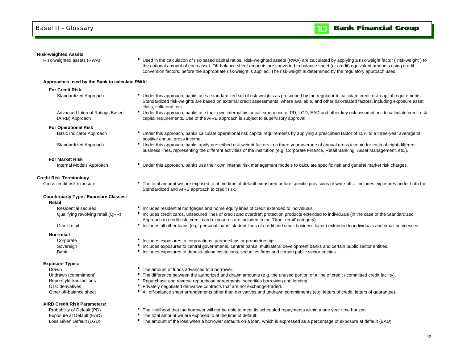### **Risk-weighted Assets**

Risk-weighted assets (RWA) **F** Used in the calculation of risk-based capital ratios. Risk-weighted assets (RWA) are calculated by applying a risk-weight factor ("risk-weight") to the notional amount of each asset. Off-balance sheet amounts are converted to balance sheet (or credit) equivalent amounts using credit

#### **Approaches used by the Bank to calculate RWA:**

### **For Credit Risk**

Advanced Internal Ratings Based (AIRB) Approach

#### **For Operational Risk**

### **For Market Risk**

#### **Credit Risk Terminology**

### **Counterparty Type / Exposure Classes:**

**Retail**

Residential secured

Other retail

#### **Non-retail**

Bank

#### **Exposure Types:**

DrawnOTC derivativesOther off-balance sheet

### **AIRB Credit Risk Parameters:**

- conversion factors, before the appropriate risk-weight is applied. The risk-weight is determined by the regulatory approach used.
- Standardized Approach **IDCO CONFICED STANDER THE Under this approach**, banks use a standardized set of risk-weights as prescribed by the regulator to calculate credit risk capital requirements. Standardized risk-weights are based on external credit assessments, where available, and other risk-related factors, including exposure asset class, collateral, etc.
	- Under this approach, banks use their own internal historical experience of PD, LGD, EAD and other key risk assumptions to calculate credit risk capital requirements. Use of the AIRB approach is subject to supervisory approval.
- Basic Indicator Approach **F** Under this approach, banks calculate operational risk capital requirements by applying a prescribed factor of 15% to a three-year average of positive annual gross income.
- Standardized Approach **IDCO CONFERGATE:** Under this approach, banks apply prescribed risk-weight factors to a three-year average of annual gross income for each of eight different business lines, representing the different activities of the institution (e.g. Corporate Finance, Retail Banking, Asset Management, etc.).
- Internal Models Approach **Internal Tell Conder this approach, banks use their own internal risk management models to calculate specific risk and general market risk charges.**
- Gross credit risk exposure **The total amount we are exposed to at the time of default measured before specific provisions or write-offs. Includes exposures under both the** Standardized and AIRB approach to credit risk.
	- **Includes residential mortgages and home equity lines of credit extended to individuals.**
	- Qualifying revolving retail (QRR) <sup>"</sup> Includes credit cards, unsecured lines of credit and overdraft protection products extended to individuals (in the case of the Standardized Approach to credit risk, credit card exposures are included in the 'Other retail' category).
		- Includes all other loans (e.g. personal loans, student lines of credit and small business loans) extended to individuals and small businesses.
	- Corporate **Includes exposures to corporations, partnerships or proprietorships.**
	- Sovereign **Includes exposures to central governments**, central banks, multilateral development banks and certain public sector entities.
		- Includes exposures to deposit-taking institutions, securities firms and certain public sector entities.
		- The amount of funds advanced to a borrower.
	- Undrawn (commitment) **F** The difference between the authorized and drawn amounts (e.g. the unused portion of a line of credit / committed credit facility).
	- Repo-style transactions **F** Repurchase and reverse repurchase agreements, securities borrowing and lending.
		- Privately negotiated derivative contracts that are not exchange-traded.
		- All off-balance sheet arrangements other than derivatives and undrawn commitments (e.g. letters of credit, letters of guarantee).
	- Probability of Default (PD) **The likelihood that the borrower will not be able to meet its scheduled repayments within a one year time horizon**
	- Exposure at Default (EAD) The total amount we are exposed to at the time of default.
	- Loss Given Default (LGD) **The amount of the loss when a borrower defaults on a loan, which is expressed as a percentage of exposure at default (EAD)**